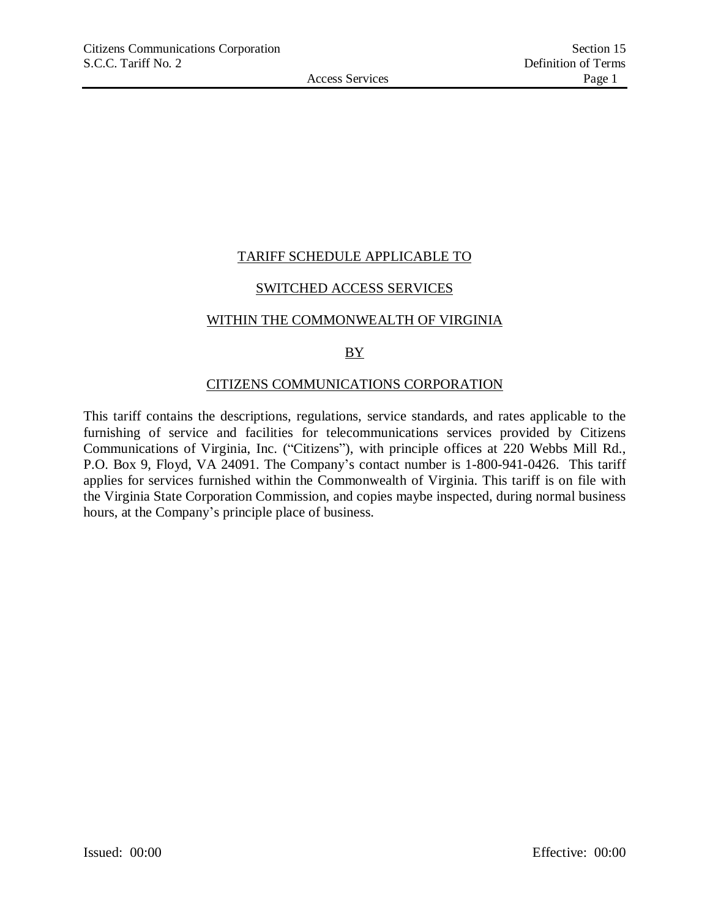## TARIFF SCHEDULE APPLICABLE TO

## SWITCHED ACCESS SERVICES

### WITHIN THE COMMONWEALTH OF VIRGINIA

## **BY**

### CITIZENS COMMUNICATIONS CORPORATION

This tariff contains the descriptions, regulations, service standards, and rates applicable to the furnishing of service and facilities for telecommunications services provided by Citizens Communications of Virginia, Inc. ("Citizens"), with principle offices at 220 Webbs Mill Rd., P.O. Box 9, Floyd, VA 24091. The Company's contact number is 1-800-941-0426. This tariff applies for services furnished within the Commonwealth of Virginia. This tariff is on file with the Virginia State Corporation Commission, and copies maybe inspected, during normal business hours, at the Company's principle place of business.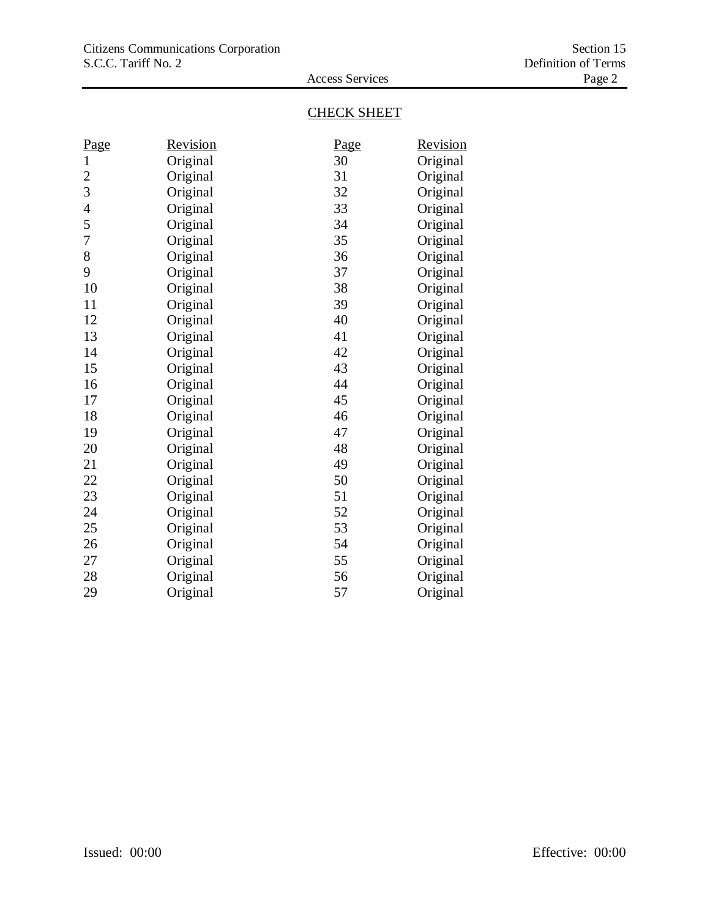# CHECK SHEET

Access Services

| Page         | <u>Revision</u> | Page | Revision |
|--------------|-----------------|------|----------|
| $\mathbf{1}$ | Original        | 30   | Original |
| 2            | Original        | 31   | Original |
| 3            | Original        | 32   | Original |
| 4            | Original        | 33   | Original |
| 5            | Original        | 34   | Original |
| 7            | Original        | 35   | Original |
| 8            | Original        | 36   | Original |
| 9            | Original        | 37   | Original |
| 10           | Original        | 38   | Original |
| 11           | Original        | 39   | Original |
| 12           | Original        | 40   | Original |
| 13           | Original        | 41   | Original |
| 14           | Original        | 42   | Original |
| 15           | Original        | 43   | Original |
| 16           | Original        | 44   | Original |
| 17           | Original        | 45   | Original |
| 18           | Original        | 46   | Original |
| 19           | Original        | 47   | Original |
| 20           | Original        | 48   | Original |
| 21           | Original        | 49   | Original |
| 22           | Original        | 50   | Original |
| 23           | Original        | 51   | Original |
| 24           | Original        | 52   | Original |
| 25           | Original        | 53   | Original |
| 26           | Original        | 54   | Original |
| 27           | Original        | 55   | Original |
| 28           | Original        | 56   | Original |
| 29           | Original        | 57   | Original |
|              |                 |      |          |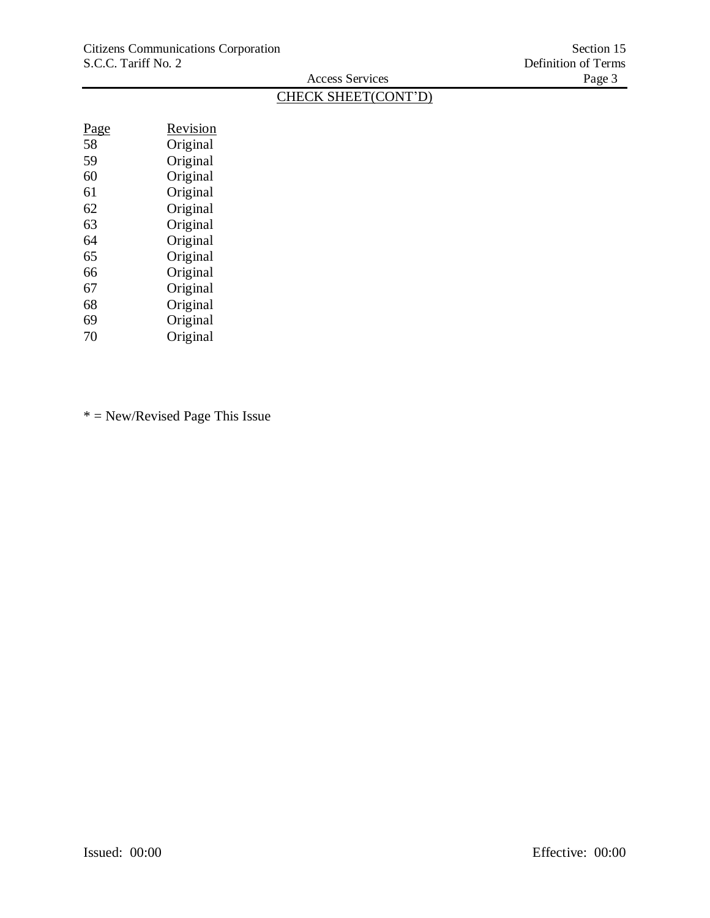# CHECK SHEET(CONT'D)

Access Services

| <u>Page</u> | Revision |
|-------------|----------|
| 58          | Original |
| 59          | Original |
| 60          | Original |
| 61          | Original |
| 62          | Original |
| 63          | Original |
| 64          | Original |
| 65          | Original |
| 66          | Original |
| 67          | Original |
| 68          | Original |
| 69          | Original |
| 70          | Original |

\* = New/Revised Page This Issue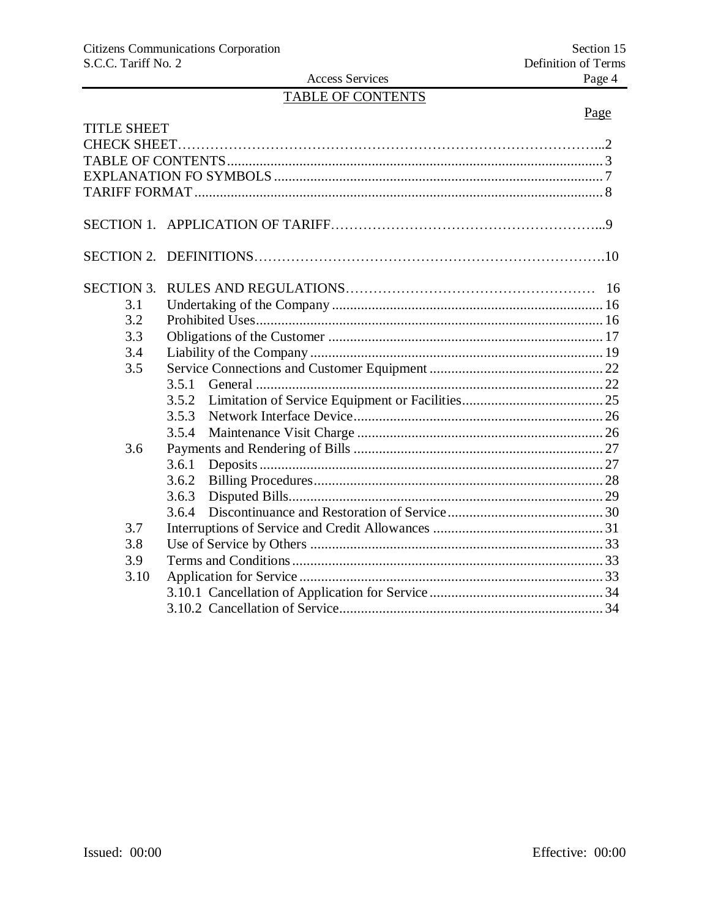## Access Services TABLE OF CONTENTS

# Page

| <b>TITLE SHEET</b> |       |  |
|--------------------|-------|--|
|                    |       |  |
|                    |       |  |
|                    |       |  |
|                    |       |  |
|                    |       |  |
|                    |       |  |
| <b>SECTION 3.</b>  |       |  |
| 3.1                |       |  |
| 3.2                |       |  |
| 3.3                |       |  |
| 3.4                |       |  |
| 3.5                |       |  |
|                    |       |  |
|                    | 3.5.2 |  |
|                    | 3.5.3 |  |
|                    | 3.5.4 |  |
| 3.6                |       |  |
|                    | 3.6.1 |  |
|                    | 3.6.2 |  |
|                    | 3.6.3 |  |
|                    | 3.6.4 |  |
| 3.7                |       |  |
| 3.8                |       |  |
| 3.9                |       |  |
| 3.10               |       |  |
|                    |       |  |
|                    |       |  |
|                    |       |  |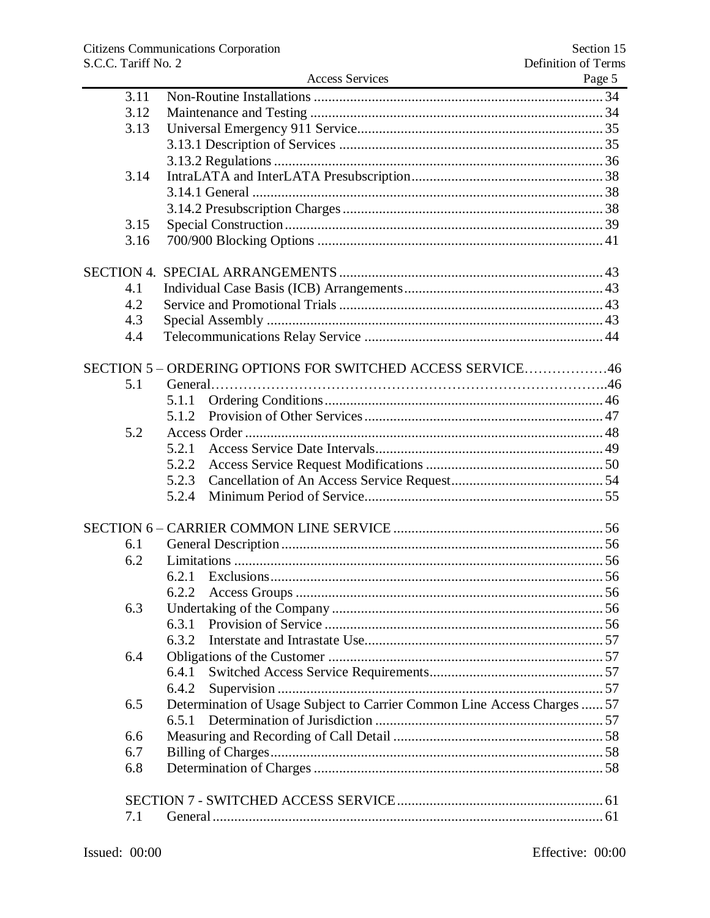|      | <b>Access Services</b>                                                   | Page 5 |
|------|--------------------------------------------------------------------------|--------|
| 3.11 |                                                                          |        |
| 3.12 |                                                                          |        |
| 3.13 |                                                                          |        |
|      |                                                                          |        |
|      |                                                                          |        |
| 3.14 |                                                                          |        |
|      |                                                                          |        |
|      |                                                                          |        |
| 3.15 |                                                                          |        |
| 3.16 |                                                                          |        |
|      |                                                                          |        |
| 4.1  |                                                                          |        |
| 4.2  |                                                                          |        |
| 4.3  |                                                                          |        |
| 4.4  |                                                                          |        |
|      |                                                                          |        |
|      | SECTION 5 – ORDERING OPTIONS FOR SWITCHED ACCESS SERVICE46               |        |
| 5.1  |                                                                          |        |
|      | 5.1.1                                                                    |        |
|      | 5.1.2                                                                    |        |
| 5.2  |                                                                          |        |
|      | 5.2.1                                                                    |        |
|      | 5.2.2                                                                    |        |
|      | 5.2.3                                                                    |        |
|      | 5.2.4                                                                    |        |
|      |                                                                          |        |
|      |                                                                          |        |
| 6.1  |                                                                          |        |
| 6.2  |                                                                          |        |
|      |                                                                          |        |
|      |                                                                          |        |
| 6.3  |                                                                          |        |
|      | 6.3.1                                                                    |        |
|      | 6.3.2                                                                    |        |
| 6.4  |                                                                          |        |
|      | 6.4.1                                                                    |        |
|      | 6.4.2                                                                    |        |
| 6.5  | Determination of Usage Subject to Carrier Common Line Access Charges  57 |        |
|      | 6.5.1                                                                    |        |
| 6.6  |                                                                          |        |
|      |                                                                          |        |
| 6.7  |                                                                          |        |
| 6.8  |                                                                          |        |
|      |                                                                          |        |
|      |                                                                          |        |
| 7.1  |                                                                          |        |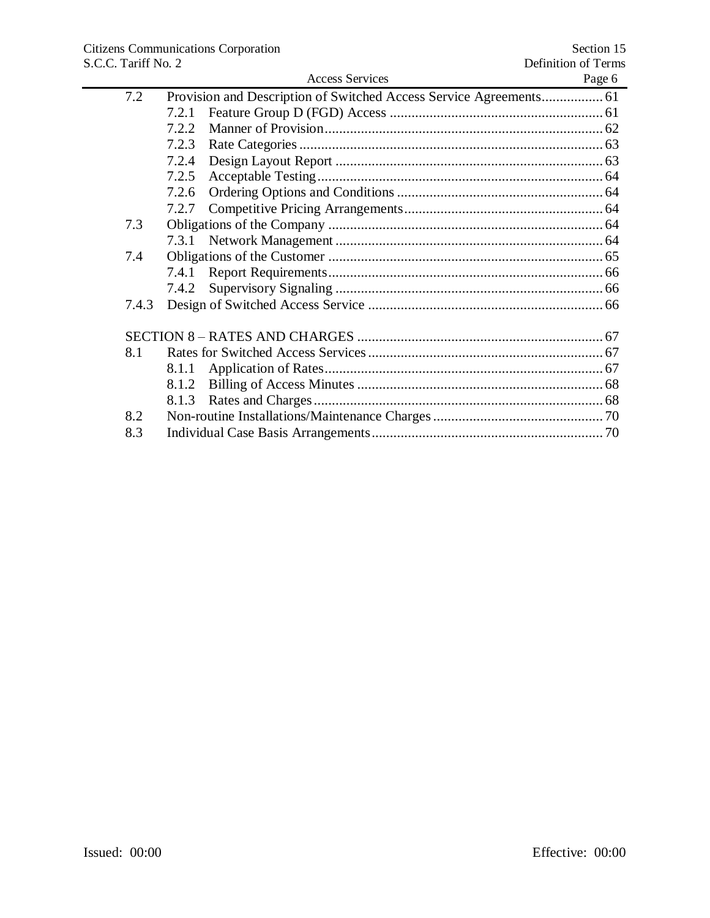|       | <b>Access Services</b> | Page 6 |
|-------|------------------------|--------|
| 7.2   |                        |        |
|       | 7.2.1                  |        |
|       | 7.2.2                  |        |
|       | 7.2.3                  |        |
|       | 7.2.4                  |        |
|       | 7.2.5                  |        |
|       | 7.2.6                  |        |
|       | 7.2.7                  |        |
| 7.3   |                        |        |
|       |                        |        |
| 7.4   |                        |        |
|       | 7.4.1                  |        |
|       | 7.4.2                  |        |
| 7.4.3 |                        |        |
|       |                        |        |
|       |                        |        |
| 8.1   |                        |        |
|       | 8.1.1                  |        |
|       | 8.1.2                  |        |
|       | 8.1.3                  |        |
| 8.2   |                        |        |
| 8.3   |                        |        |
|       |                        |        |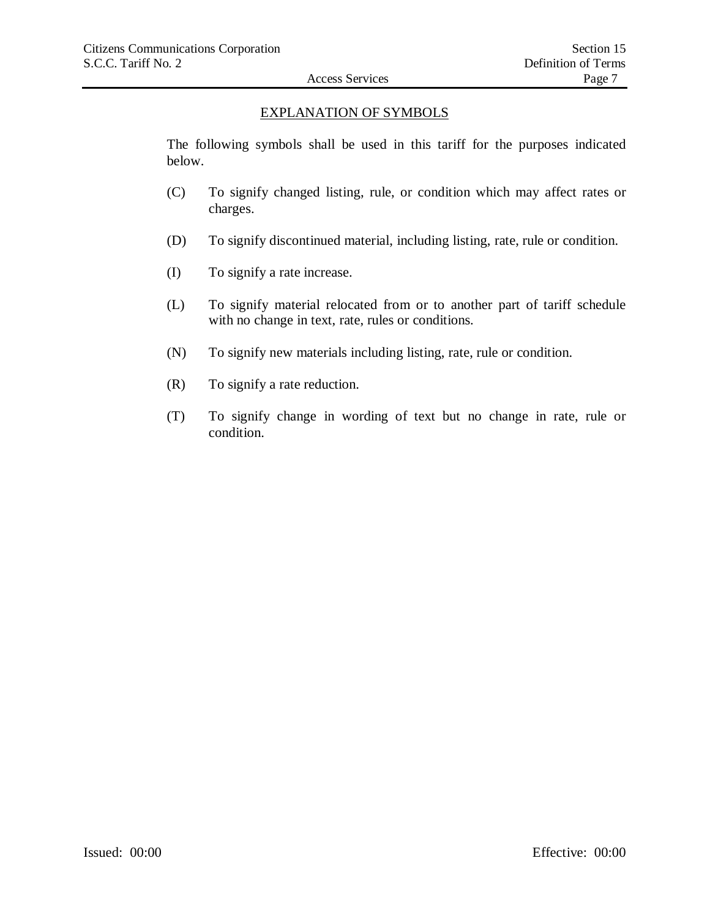## EXPLANATION OF SYMBOLS

The following symbols shall be used in this tariff for the purposes indicated below.

- (C) To signify changed listing, rule, or condition which may affect rates or charges.
- (D) To signify discontinued material, including listing, rate, rule or condition.
- (I) To signify a rate increase.
- (L) To signify material relocated from or to another part of tariff schedule with no change in text, rate, rules or conditions.
- (N) To signify new materials including listing, rate, rule or condition.
- (R) To signify a rate reduction.
- (T) To signify change in wording of text but no change in rate, rule or condition.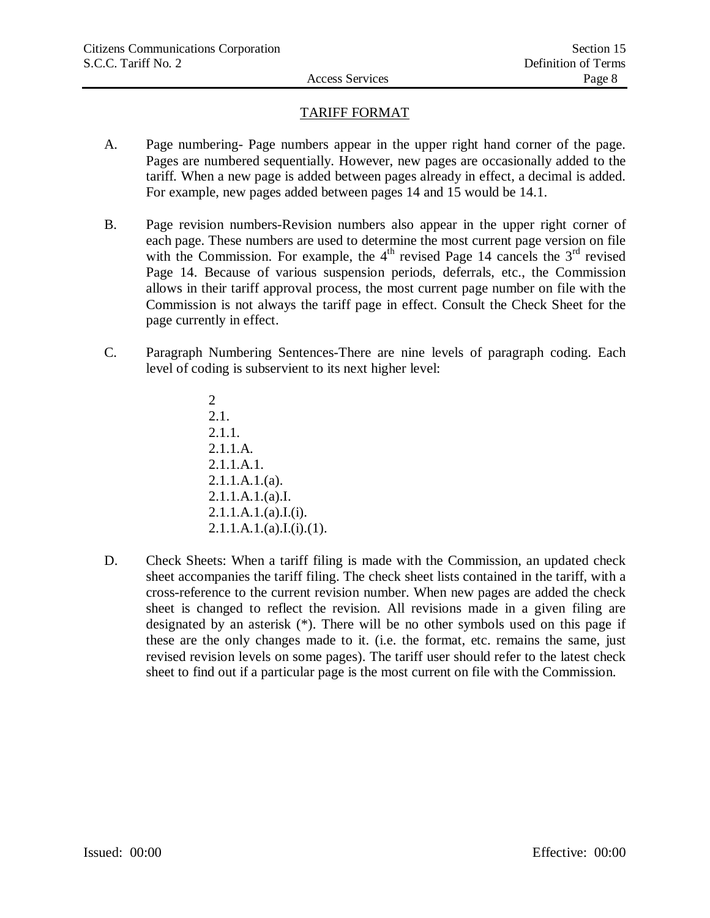## TARIFF FORMAT

- A. Page numbering- Page numbers appear in the upper right hand corner of the page. Pages are numbered sequentially. However, new pages are occasionally added to the tariff. When a new page is added between pages already in effect, a decimal is added. For example, new pages added between pages 14 and 15 would be 14.1.
- B. Page revision numbers-Revision numbers also appear in the upper right corner of each page. These numbers are used to determine the most current page version on file with the Commission. For example, the  $4<sup>th</sup>$  revised Page 14 cancels the  $3<sup>rd</sup>$  revised Page 14. Because of various suspension periods, deferrals, etc., the Commission allows in their tariff approval process, the most current page number on file with the Commission is not always the tariff page in effect. Consult the Check Sheet for the page currently in effect.
- C. Paragraph Numbering Sentences-There are nine levels of paragraph coding. Each level of coding is subservient to its next higher level:
	- 2 2.1. 2.1.1. 2.1.1.A. 2.1.1.A.1.  $2.1.1.A.1.(a)$ . 2.1.1.A.1.(a).I. 2.1.1.A.1.(a).I.(i).  $2.1.1.A.1.(a).I.(i).(1).$
- D. Check Sheets: When a tariff filing is made with the Commission, an updated check sheet accompanies the tariff filing. The check sheet lists contained in the tariff, with a cross-reference to the current revision number. When new pages are added the check sheet is changed to reflect the revision. All revisions made in a given filing are designated by an asterisk (\*). There will be no other symbols used on this page if these are the only changes made to it. (i.e. the format, etc. remains the same, just revised revision levels on some pages). The tariff user should refer to the latest check sheet to find out if a particular page is the most current on file with the Commission.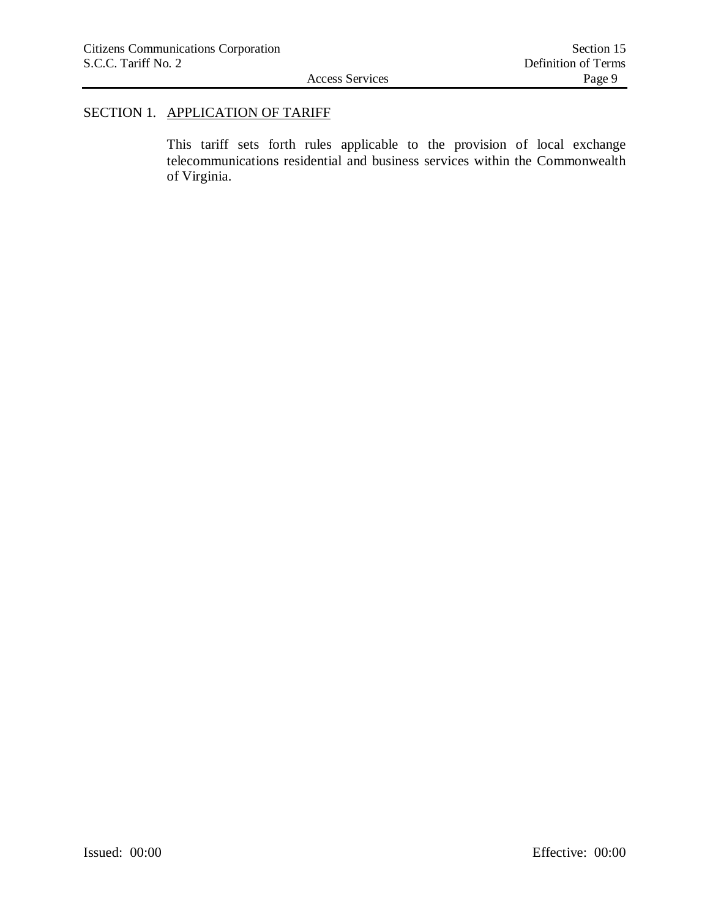## SECTION 1. APPLICATION OF TARIFF

This tariff sets forth rules applicable to the provision of local exchange telecommunications residential and business services within the Commonwealth of Virginia.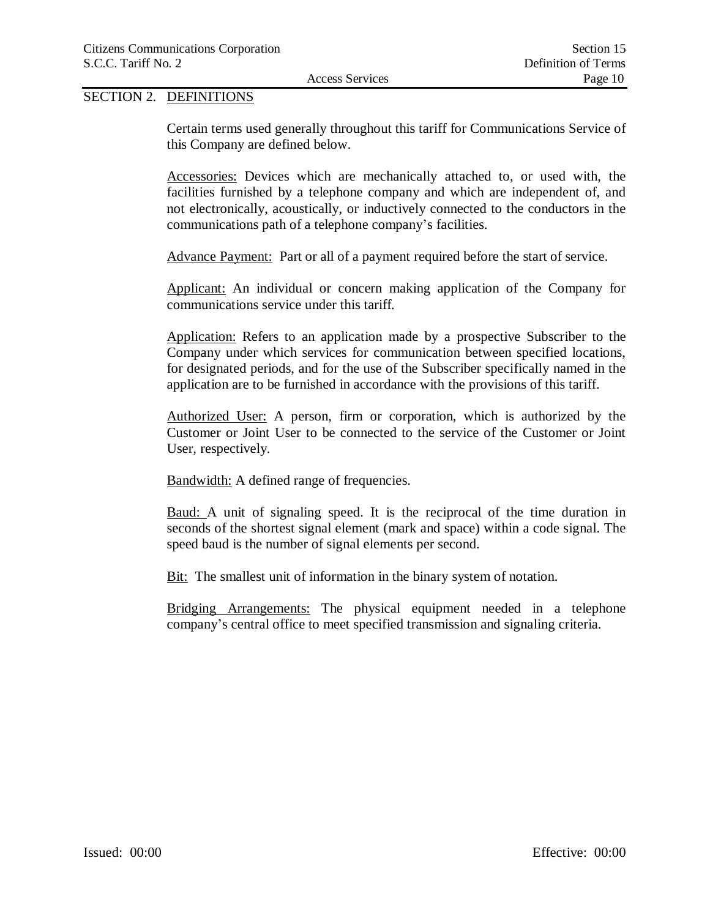## SECTION 2. DEFINITIONS

Certain terms used generally throughout this tariff for Communications Service of this Company are defined below.

Accessories: Devices which are mechanically attached to, or used with, the facilities furnished by a telephone company and which are independent of, and not electronically, acoustically, or inductively connected to the conductors in the communications path of a telephone company's facilities.

Advance Payment: Part or all of a payment required before the start of service.

Applicant: An individual or concern making application of the Company for communications service under this tariff.

Application: Refers to an application made by a prospective Subscriber to the Company under which services for communication between specified locations, for designated periods, and for the use of the Subscriber specifically named in the application are to be furnished in accordance with the provisions of this tariff.

Authorized User: A person, firm or corporation, which is authorized by the Customer or Joint User to be connected to the service of the Customer or Joint User, respectively.

Bandwidth: A defined range of frequencies.

Baud: A unit of signaling speed. It is the reciprocal of the time duration in seconds of the shortest signal element (mark and space) within a code signal. The speed baud is the number of signal elements per second.

Bit: The smallest unit of information in the binary system of notation.

Bridging Arrangements: The physical equipment needed in a telephone company's central office to meet specified transmission and signaling criteria.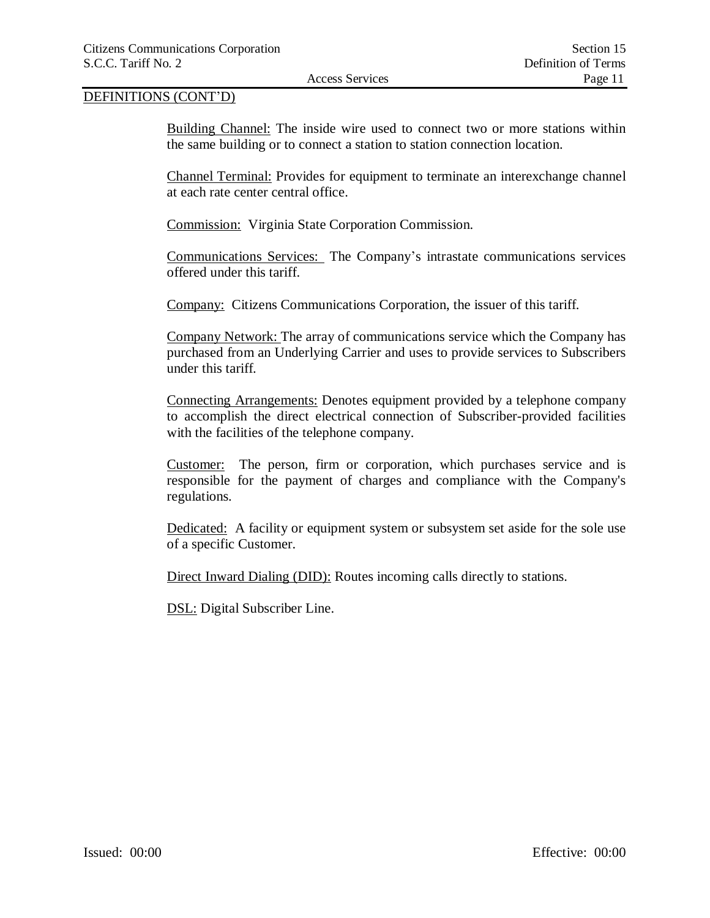Building Channel: The inside wire used to connect two or more stations within the same building or to connect a station to station connection location.

Channel Terminal: Provides for equipment to terminate an interexchange channel at each rate center central office.

Commission: Virginia State Corporation Commission.

Communications Services: The Company's intrastate communications services offered under this tariff.

Company: Citizens Communications Corporation, the issuer of this tariff.

Company Network: The array of communications service which the Company has purchased from an Underlying Carrier and uses to provide services to Subscribers under this tariff.

Connecting Arrangements: Denotes equipment provided by a telephone company to accomplish the direct electrical connection of Subscriber-provided facilities with the facilities of the telephone company.

Customer: The person, firm or corporation, which purchases service and is responsible for the payment of charges and compliance with the Company's regulations.

Dedicated: A facility or equipment system or subsystem set aside for the sole use of a specific Customer.

Direct Inward Dialing (DID): Routes incoming calls directly to stations.

DSL: Digital Subscriber Line.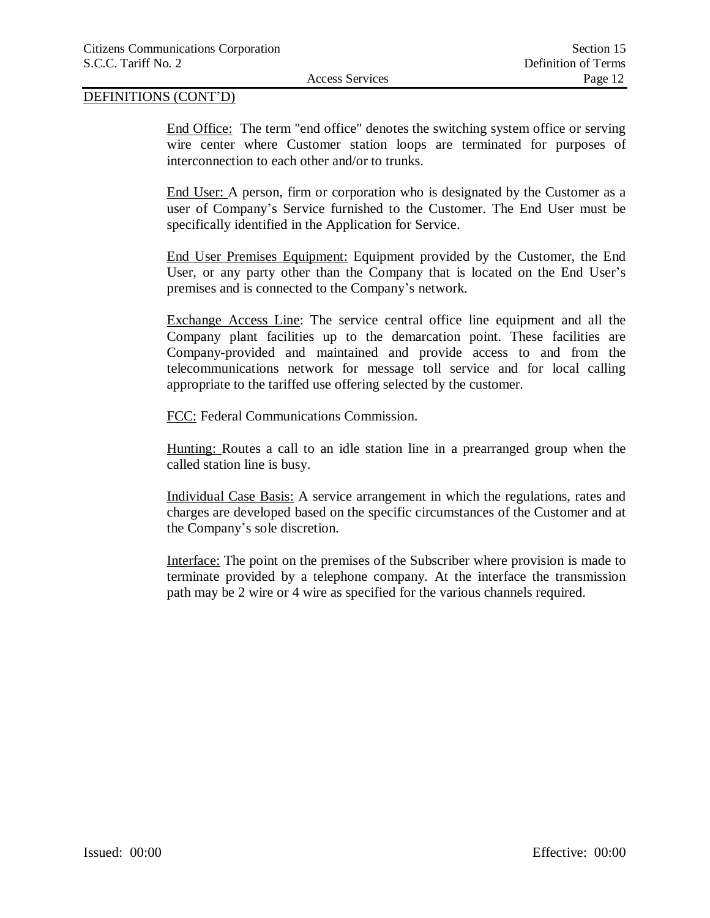End Office: The term "end office" denotes the switching system office or serving wire center where Customer station loops are terminated for purposes of interconnection to each other and/or to trunks.

End User: A person, firm or corporation who is designated by the Customer as a user of Company's Service furnished to the Customer. The End User must be specifically identified in the Application for Service.

End User Premises Equipment: Equipment provided by the Customer, the End User, or any party other than the Company that is located on the End User's premises and is connected to the Company's network.

Exchange Access Line: The service central office line equipment and all the Company plant facilities up to the demarcation point. These facilities are Company-provided and maintained and provide access to and from the telecommunications network for message toll service and for local calling appropriate to the tariffed use offering selected by the customer.

FCC: Federal Communications Commission.

Hunting: Routes a call to an idle station line in a prearranged group when the called station line is busy.

Individual Case Basis: A service arrangement in which the regulations, rates and charges are developed based on the specific circumstances of the Customer and at the Company's sole discretion.

Interface: The point on the premises of the Subscriber where provision is made to terminate provided by a telephone company. At the interface the transmission path may be 2 wire or 4 wire as specified for the various channels required.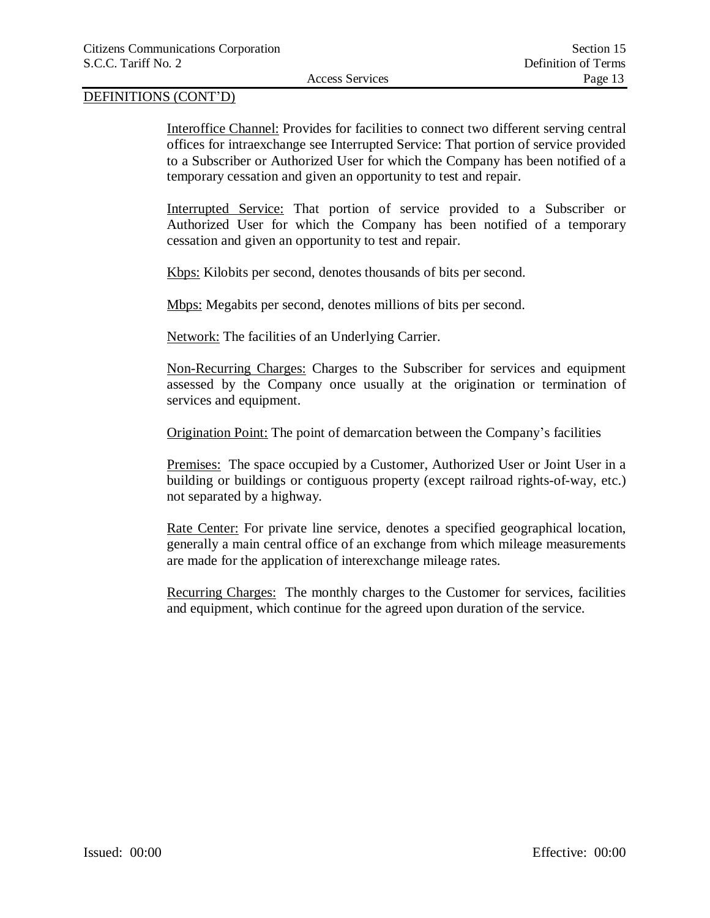Interoffice Channel: Provides for facilities to connect two different serving central offices for intraexchange see Interrupted Service: That portion of service provided to a Subscriber or Authorized User for which the Company has been notified of a temporary cessation and given an opportunity to test and repair.

Interrupted Service: That portion of service provided to a Subscriber or Authorized User for which the Company has been notified of a temporary cessation and given an opportunity to test and repair.

Kbps: Kilobits per second, denotes thousands of bits per second.

Mbps: Megabits per second, denotes millions of bits per second.

Network: The facilities of an Underlying Carrier.

Non-Recurring Charges: Charges to the Subscriber for services and equipment assessed by the Company once usually at the origination or termination of services and equipment.

Origination Point: The point of demarcation between the Company's facilities

Premises: The space occupied by a Customer, Authorized User or Joint User in a building or buildings or contiguous property (except railroad rights-of-way, etc.) not separated by a highway.

Rate Center: For private line service, denotes a specified geographical location, generally a main central office of an exchange from which mileage measurements are made for the application of interexchange mileage rates.

Recurring Charges: The monthly charges to the Customer for services, facilities and equipment, which continue for the agreed upon duration of the service.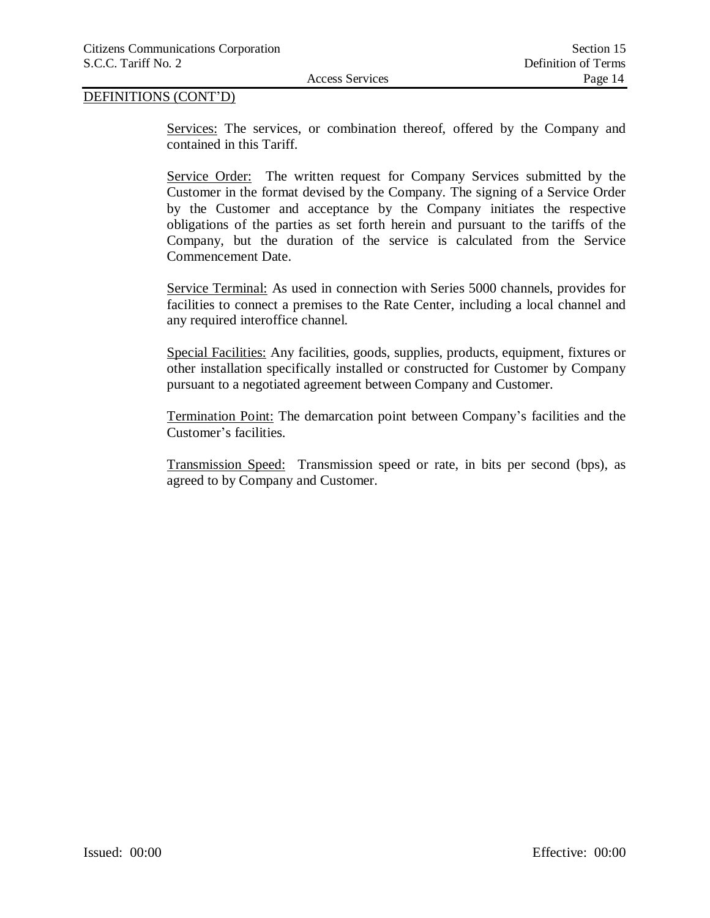Services: The services, or combination thereof, offered by the Company and contained in this Tariff.

Service Order: The written request for Company Services submitted by the Customer in the format devised by the Company. The signing of a Service Order by the Customer and acceptance by the Company initiates the respective obligations of the parties as set forth herein and pursuant to the tariffs of the Company, but the duration of the service is calculated from the Service Commencement Date.

Service Terminal: As used in connection with Series 5000 channels, provides for facilities to connect a premises to the Rate Center, including a local channel and any required interoffice channel.

Special Facilities: Any facilities, goods, supplies, products, equipment, fixtures or other installation specifically installed or constructed for Customer by Company pursuant to a negotiated agreement between Company and Customer.

Termination Point: The demarcation point between Company's facilities and the Customer's facilities.

Transmission Speed: Transmission speed or rate, in bits per second (bps), as agreed to by Company and Customer.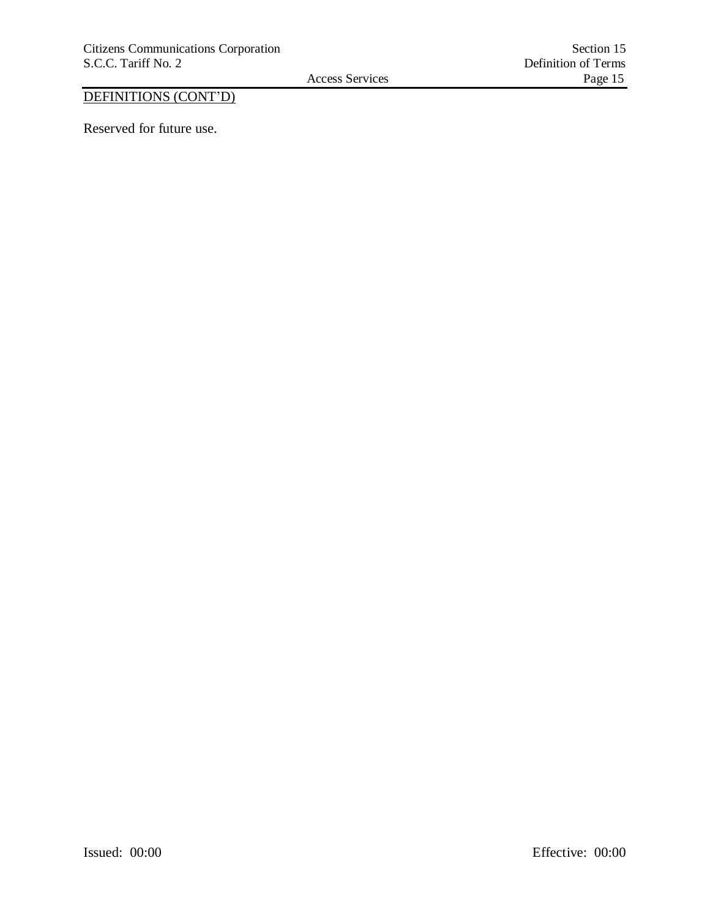Reserved for future use.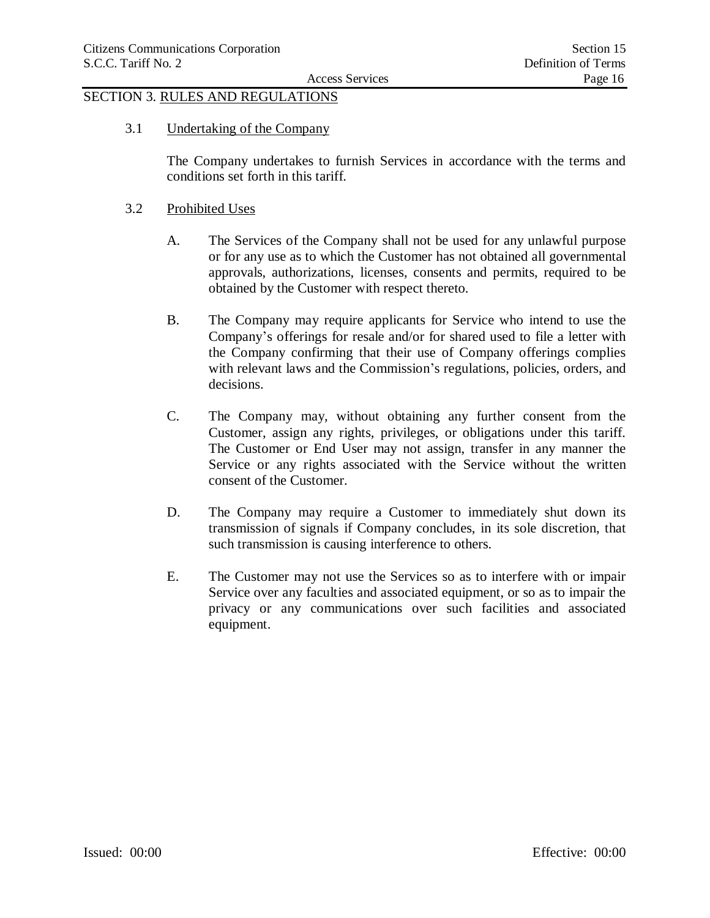## SECTION 3. RULES AND REGULATIONS

3.1 Undertaking of the Company

The Company undertakes to furnish Services in accordance with the terms and conditions set forth in this tariff.

### 3.2 Prohibited Uses

- A. The Services of the Company shall not be used for any unlawful purpose or for any use as to which the Customer has not obtained all governmental approvals, authorizations, licenses, consents and permits, required to be obtained by the Customer with respect thereto.
- B. The Company may require applicants for Service who intend to use the Company's offerings for resale and/or for shared used to file a letter with the Company confirming that their use of Company offerings complies with relevant laws and the Commission's regulations, policies, orders, and decisions.
- C. The Company may, without obtaining any further consent from the Customer, assign any rights, privileges, or obligations under this tariff. The Customer or End User may not assign, transfer in any manner the Service or any rights associated with the Service without the written consent of the Customer.
- D. The Company may require a Customer to immediately shut down its transmission of signals if Company concludes, in its sole discretion, that such transmission is causing interference to others.
- E. The Customer may not use the Services so as to interfere with or impair Service over any faculties and associated equipment, or so as to impair the privacy or any communications over such facilities and associated equipment.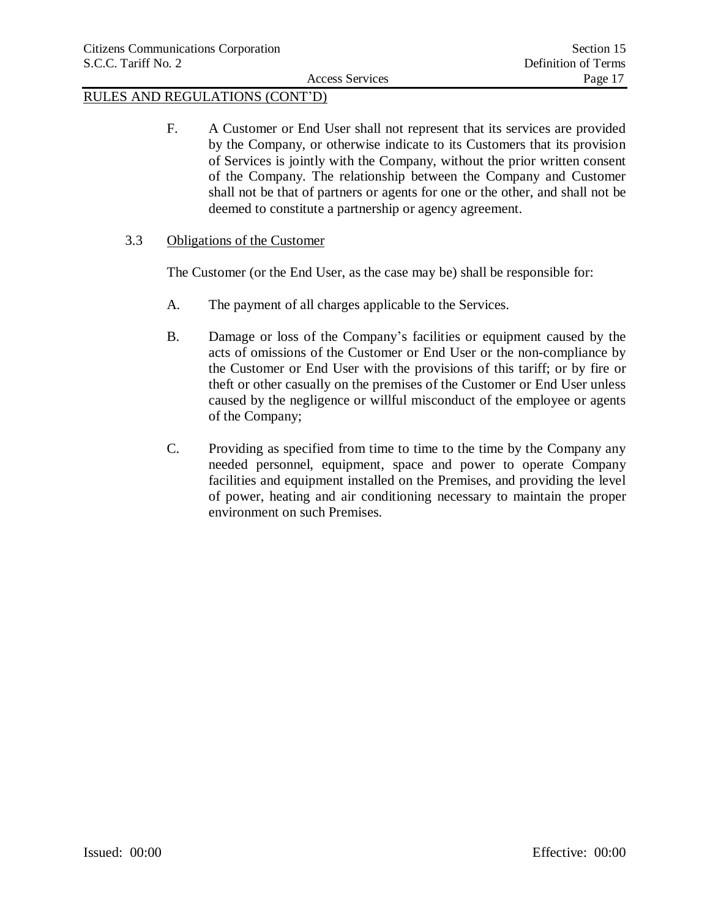F. A Customer or End User shall not represent that its services are provided by the Company, or otherwise indicate to its Customers that its provision of Services is jointly with the Company, without the prior written consent of the Company. The relationship between the Company and Customer shall not be that of partners or agents for one or the other, and shall not be deemed to constitute a partnership or agency agreement.

## 3.3 Obligations of the Customer

The Customer (or the End User, as the case may be) shall be responsible for:

- A. The payment of all charges applicable to the Services.
- B. Damage or loss of the Company's facilities or equipment caused by the acts of omissions of the Customer or End User or the non-compliance by the Customer or End User with the provisions of this tariff; or by fire or theft or other casually on the premises of the Customer or End User unless caused by the negligence or willful misconduct of the employee or agents of the Company;
- C. Providing as specified from time to time to the time by the Company any needed personnel, equipment, space and power to operate Company facilities and equipment installed on the Premises, and providing the level of power, heating and air conditioning necessary to maintain the proper environment on such Premises.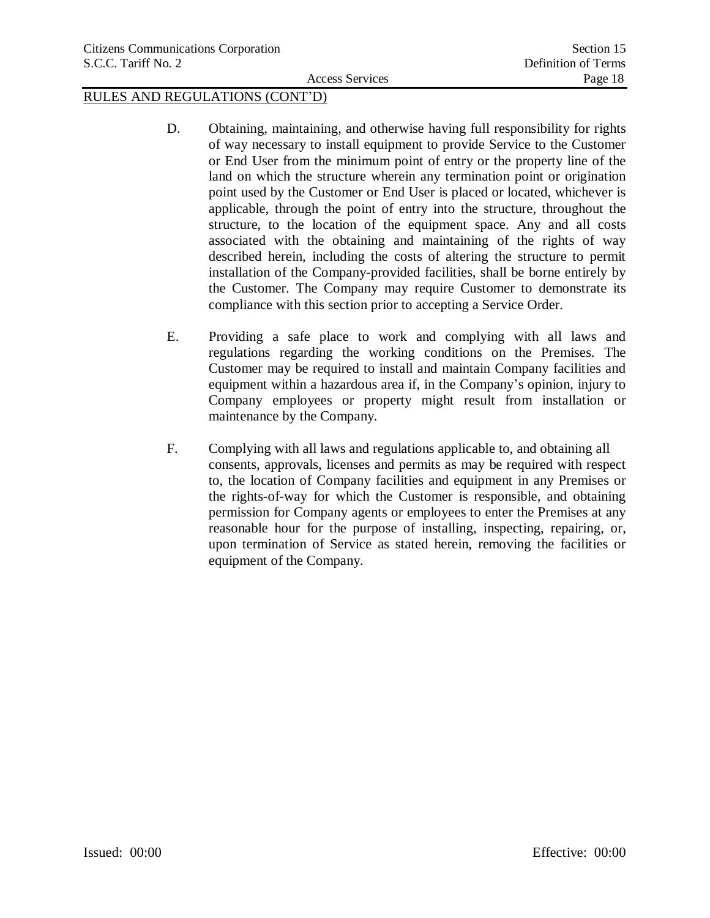- D. Obtaining, maintaining, and otherwise having full responsibility for rights of way necessary to install equipment to provide Service to the Customer or End User from the minimum point of entry or the property line of the land on which the structure wherein any termination point or origination point used by the Customer or End User is placed or located, whichever is applicable, through the point of entry into the structure, throughout the structure, to the location of the equipment space. Any and all costs associated with the obtaining and maintaining of the rights of way described herein, including the costs of altering the structure to permit installation of the Company-provided facilities, shall be borne entirely by the Customer. The Company may require Customer to demonstrate its compliance with this section prior to accepting a Service Order.
- E. Providing a safe place to work and complying with all laws and regulations regarding the working conditions on the Premises. The Customer may be required to install and maintain Company facilities and equipment within a hazardous area if, in the Company's opinion, injury to Company employees or property might result from installation or maintenance by the Company.
- F. Complying with all laws and regulations applicable to, and obtaining all consents, approvals, licenses and permits as may be required with respect to, the location of Company facilities and equipment in any Premises or the rights-of-way for which the Customer is responsible, and obtaining permission for Company agents or employees to enter the Premises at any reasonable hour for the purpose of installing, inspecting, repairing, or, upon termination of Service as stated herein, removing the facilities or equipment of the Company.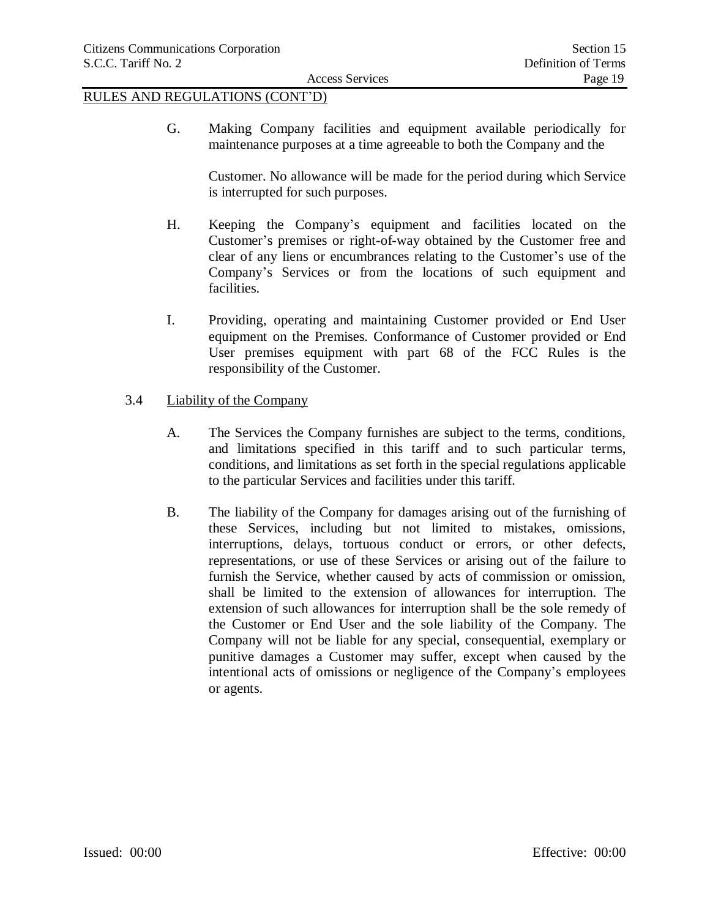G. Making Company facilities and equipment available periodically for maintenance purposes at a time agreeable to both the Company and the

Customer. No allowance will be made for the period during which Service is interrupted for such purposes.

- H. Keeping the Company's equipment and facilities located on the Customer's premises or right-of-way obtained by the Customer free and clear of any liens or encumbrances relating to the Customer's use of the Company's Services or from the locations of such equipment and facilities.
- I. Providing, operating and maintaining Customer provided or End User equipment on the Premises. Conformance of Customer provided or End User premises equipment with part 68 of the FCC Rules is the responsibility of the Customer.
- 3.4 Liability of the Company
	- A. The Services the Company furnishes are subject to the terms, conditions, and limitations specified in this tariff and to such particular terms, conditions, and limitations as set forth in the special regulations applicable to the particular Services and facilities under this tariff.
	- B. The liability of the Company for damages arising out of the furnishing of these Services, including but not limited to mistakes, omissions, interruptions, delays, tortuous conduct or errors, or other defects, representations, or use of these Services or arising out of the failure to furnish the Service, whether caused by acts of commission or omission, shall be limited to the extension of allowances for interruption. The extension of such allowances for interruption shall be the sole remedy of the Customer or End User and the sole liability of the Company. The Company will not be liable for any special, consequential, exemplary or punitive damages a Customer may suffer, except when caused by the intentional acts of omissions or negligence of the Company's employees or agents.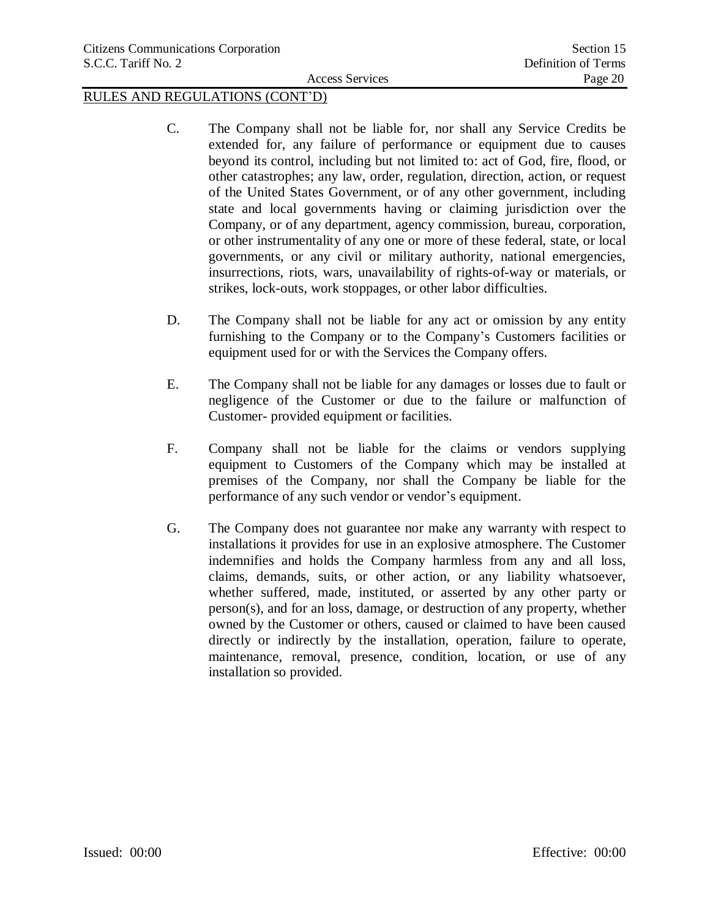- C. The Company shall not be liable for, nor shall any Service Credits be extended for, any failure of performance or equipment due to causes beyond its control, including but not limited to: act of God, fire, flood, or other catastrophes; any law, order, regulation, direction, action, or request of the United States Government, or of any other government, including state and local governments having or claiming jurisdiction over the Company, or of any department, agency commission, bureau, corporation, or other instrumentality of any one or more of these federal, state, or local governments, or any civil or military authority, national emergencies, insurrections, riots, wars, unavailability of rights-of-way or materials, or strikes, lock-outs, work stoppages, or other labor difficulties.
- D. The Company shall not be liable for any act or omission by any entity furnishing to the Company or to the Company's Customers facilities or equipment used for or with the Services the Company offers.
- E. The Company shall not be liable for any damages or losses due to fault or negligence of the Customer or due to the failure or malfunction of Customer- provided equipment or facilities.
- F. Company shall not be liable for the claims or vendors supplying equipment to Customers of the Company which may be installed at premises of the Company, nor shall the Company be liable for the performance of any such vendor or vendor's equipment.
- G. The Company does not guarantee nor make any warranty with respect to installations it provides for use in an explosive atmosphere. The Customer indemnifies and holds the Company harmless from any and all loss, claims, demands, suits, or other action, or any liability whatsoever, whether suffered, made, instituted, or asserted by any other party or person(s), and for an loss, damage, or destruction of any property, whether owned by the Customer or others, caused or claimed to have been caused directly or indirectly by the installation, operation, failure to operate, maintenance, removal, presence, condition, location, or use of any installation so provided.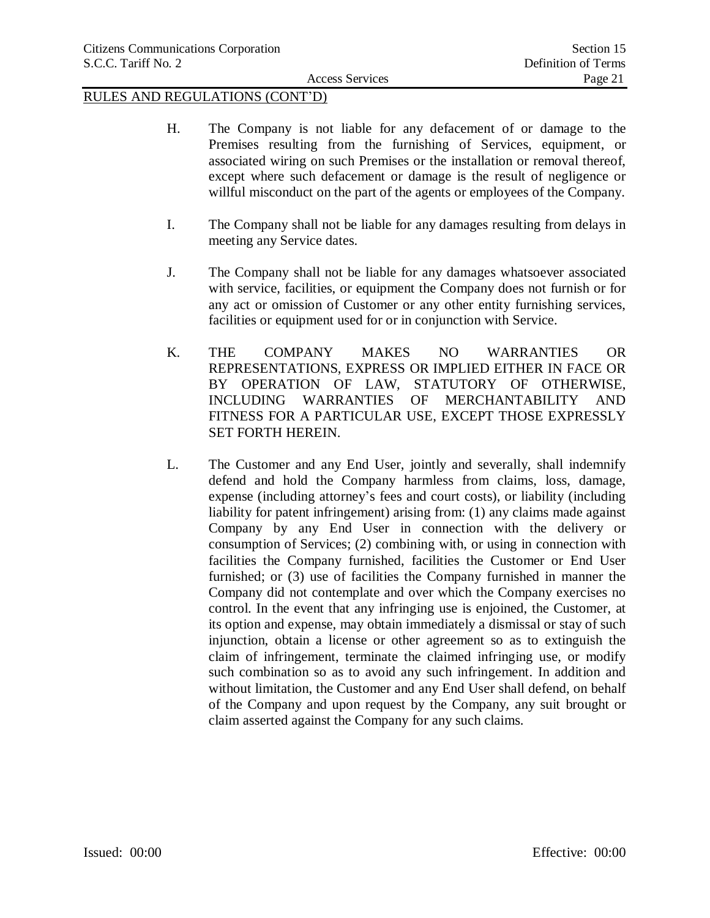- H. The Company is not liable for any defacement of or damage to the Premises resulting from the furnishing of Services, equipment, or associated wiring on such Premises or the installation or removal thereof, except where such defacement or damage is the result of negligence or willful misconduct on the part of the agents or employees of the Company.
- I. The Company shall not be liable for any damages resulting from delays in meeting any Service dates.
- J. The Company shall not be liable for any damages whatsoever associated with service, facilities, or equipment the Company does not furnish or for any act or omission of Customer or any other entity furnishing services, facilities or equipment used for or in conjunction with Service.
- K. THE COMPANY MAKES NO WARRANTIES OR REPRESENTATIONS, EXPRESS OR IMPLIED EITHER IN FACE OR BY OPERATION OF LAW, STATUTORY OF OTHERWISE, INCLUDING WARRANTIES OF MERCHANTABILITY AND FITNESS FOR A PARTICULAR USE, EXCEPT THOSE EXPRESSLY SET FORTH HEREIN.
- L. The Customer and any End User, jointly and severally, shall indemnify defend and hold the Company harmless from claims, loss, damage, expense (including attorney's fees and court costs), or liability (including liability for patent infringement) arising from: (1) any claims made against Company by any End User in connection with the delivery or consumption of Services; (2) combining with, or using in connection with facilities the Company furnished, facilities the Customer or End User furnished; or (3) use of facilities the Company furnished in manner the Company did not contemplate and over which the Company exercises no control. In the event that any infringing use is enjoined, the Customer, at its option and expense, may obtain immediately a dismissal or stay of such injunction, obtain a license or other agreement so as to extinguish the claim of infringement, terminate the claimed infringing use, or modify such combination so as to avoid any such infringement. In addition and without limitation, the Customer and any End User shall defend, on behalf of the Company and upon request by the Company, any suit brought or claim asserted against the Company for any such claims.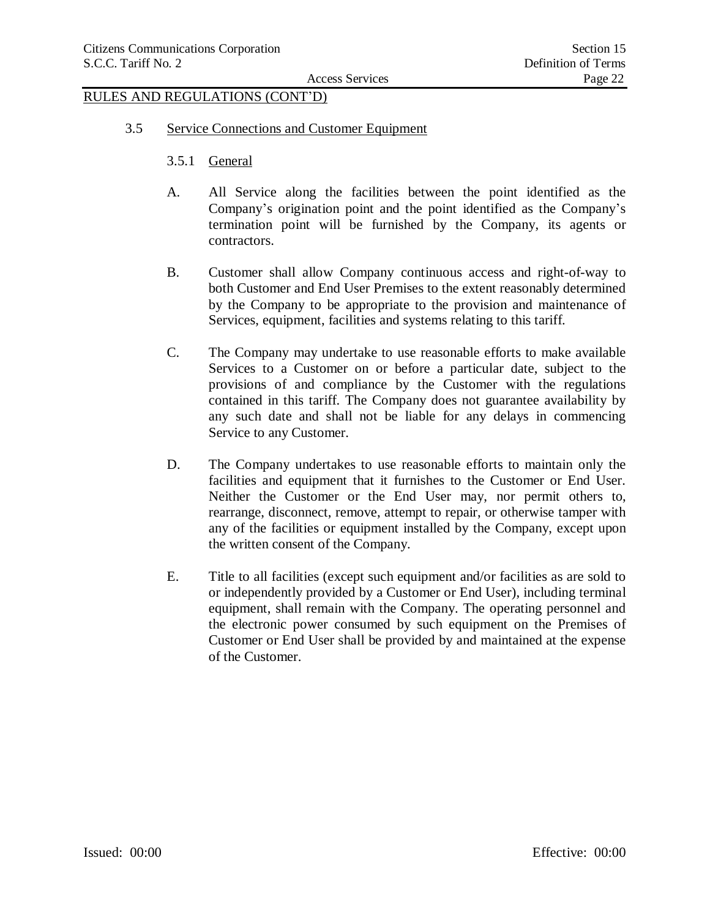- 3.5 Service Connections and Customer Equipment
	- 3.5.1 General
	- A. All Service along the facilities between the point identified as the Company's origination point and the point identified as the Company's termination point will be furnished by the Company, its agents or contractors.
	- B. Customer shall allow Company continuous access and right-of-way to both Customer and End User Premises to the extent reasonably determined by the Company to be appropriate to the provision and maintenance of Services, equipment, facilities and systems relating to this tariff.
	- C. The Company may undertake to use reasonable efforts to make available Services to a Customer on or before a particular date, subject to the provisions of and compliance by the Customer with the regulations contained in this tariff. The Company does not guarantee availability by any such date and shall not be liable for any delays in commencing Service to any Customer.
	- D. The Company undertakes to use reasonable efforts to maintain only the facilities and equipment that it furnishes to the Customer or End User. Neither the Customer or the End User may, nor permit others to, rearrange, disconnect, remove, attempt to repair, or otherwise tamper with any of the facilities or equipment installed by the Company, except upon the written consent of the Company.
	- E. Title to all facilities (except such equipment and/or facilities as are sold to or independently provided by a Customer or End User), including terminal equipment, shall remain with the Company. The operating personnel and the electronic power consumed by such equipment on the Premises of Customer or End User shall be provided by and maintained at the expense of the Customer.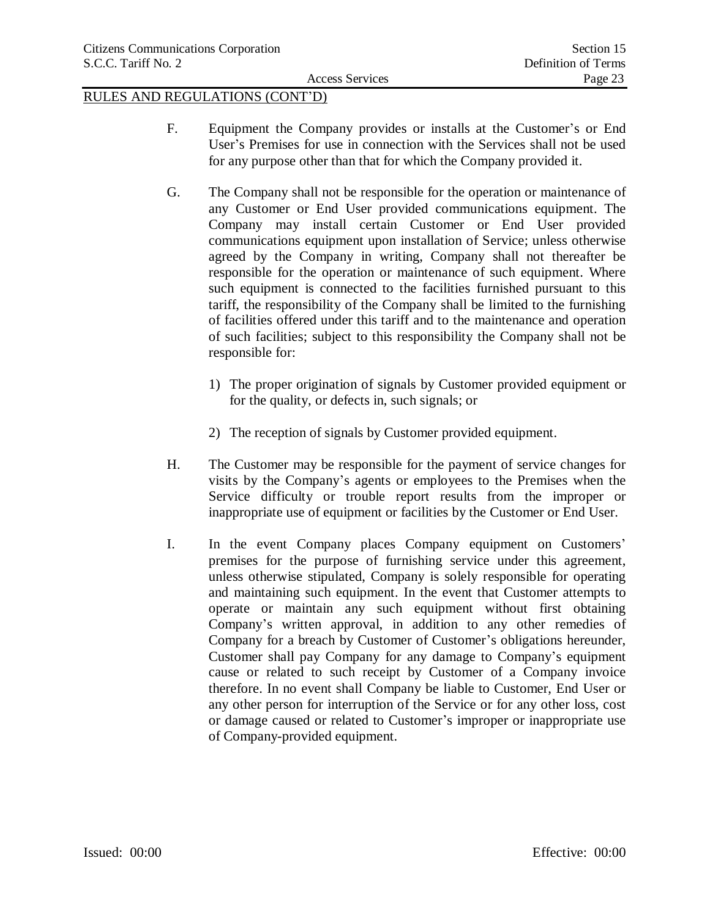- F. Equipment the Company provides or installs at the Customer's or End User's Premises for use in connection with the Services shall not be used for any purpose other than that for which the Company provided it.
- G. The Company shall not be responsible for the operation or maintenance of any Customer or End User provided communications equipment. The Company may install certain Customer or End User provided communications equipment upon installation of Service; unless otherwise agreed by the Company in writing, Company shall not thereafter be responsible for the operation or maintenance of such equipment. Where such equipment is connected to the facilities furnished pursuant to this tariff, the responsibility of the Company shall be limited to the furnishing of facilities offered under this tariff and to the maintenance and operation of such facilities; subject to this responsibility the Company shall not be responsible for:
	- 1) The proper origination of signals by Customer provided equipment or for the quality, or defects in, such signals; or
	- 2) The reception of signals by Customer provided equipment.
- H. The Customer may be responsible for the payment of service changes for visits by the Company's agents or employees to the Premises when the Service difficulty or trouble report results from the improper or inappropriate use of equipment or facilities by the Customer or End User.
- I. In the event Company places Company equipment on Customers' premises for the purpose of furnishing service under this agreement, unless otherwise stipulated, Company is solely responsible for operating and maintaining such equipment. In the event that Customer attempts to operate or maintain any such equipment without first obtaining Company's written approval, in addition to any other remedies of Company for a breach by Customer of Customer's obligations hereunder, Customer shall pay Company for any damage to Company's equipment cause or related to such receipt by Customer of a Company invoice therefore. In no event shall Company be liable to Customer, End User or any other person for interruption of the Service or for any other loss, cost or damage caused or related to Customer's improper or inappropriate use of Company-provided equipment.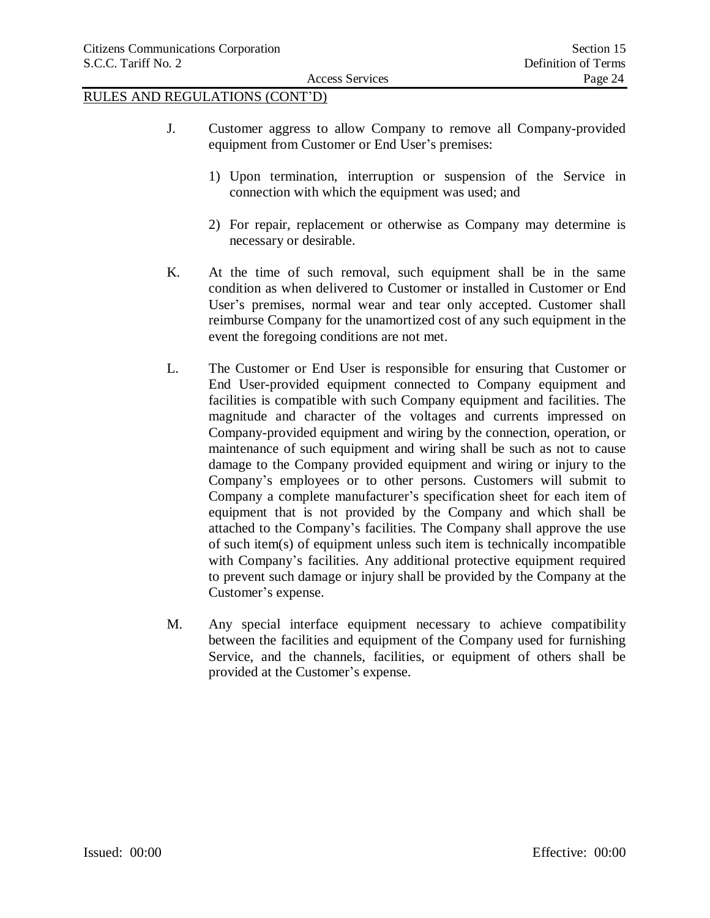- J. Customer aggress to allow Company to remove all Company-provided equipment from Customer or End User's premises:
	- 1) Upon termination, interruption or suspension of the Service in connection with which the equipment was used; and
	- 2) For repair, replacement or otherwise as Company may determine is necessary or desirable.
- K. At the time of such removal, such equipment shall be in the same condition as when delivered to Customer or installed in Customer or End User's premises, normal wear and tear only accepted. Customer shall reimburse Company for the unamortized cost of any such equipment in the event the foregoing conditions are not met.
- L. The Customer or End User is responsible for ensuring that Customer or End User-provided equipment connected to Company equipment and facilities is compatible with such Company equipment and facilities. The magnitude and character of the voltages and currents impressed on Company-provided equipment and wiring by the connection, operation, or maintenance of such equipment and wiring shall be such as not to cause damage to the Company provided equipment and wiring or injury to the Company's employees or to other persons. Customers will submit to Company a complete manufacturer's specification sheet for each item of equipment that is not provided by the Company and which shall be attached to the Company's facilities. The Company shall approve the use of such item(s) of equipment unless such item is technically incompatible with Company's facilities. Any additional protective equipment required to prevent such damage or injury shall be provided by the Company at the Customer's expense.
- M. Any special interface equipment necessary to achieve compatibility between the facilities and equipment of the Company used for furnishing Service, and the channels, facilities, or equipment of others shall be provided at the Customer's expense.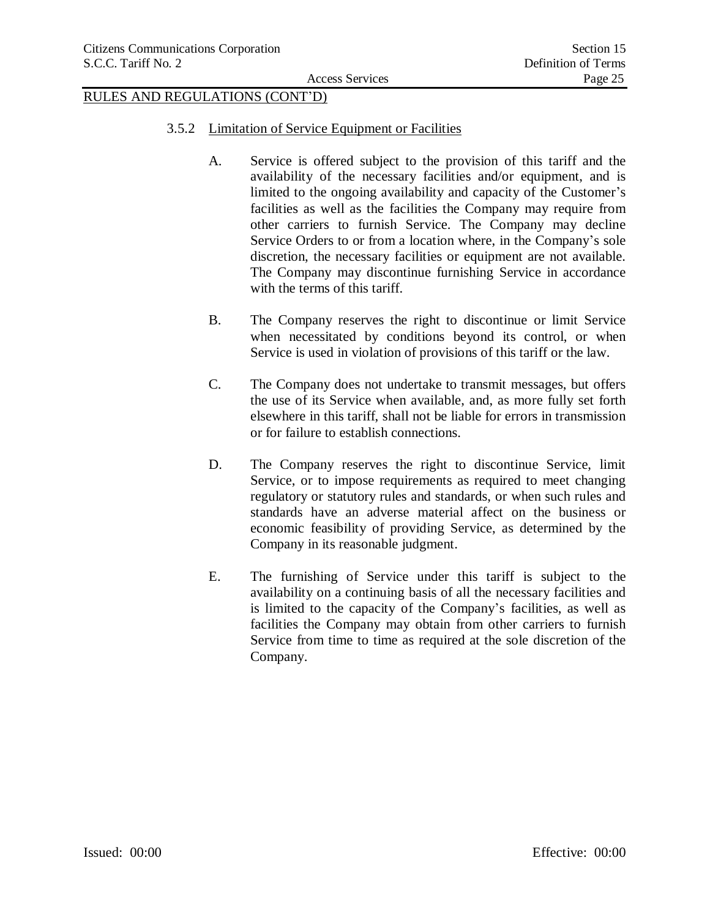- 3.5.2 Limitation of Service Equipment or Facilities
	- A. Service is offered subject to the provision of this tariff and the availability of the necessary facilities and/or equipment, and is limited to the ongoing availability and capacity of the Customer's facilities as well as the facilities the Company may require from other carriers to furnish Service. The Company may decline Service Orders to or from a location where, in the Company's sole discretion, the necessary facilities or equipment are not available. The Company may discontinue furnishing Service in accordance with the terms of this tariff.
	- B. The Company reserves the right to discontinue or limit Service when necessitated by conditions beyond its control, or when Service is used in violation of provisions of this tariff or the law.
	- C. The Company does not undertake to transmit messages, but offers the use of its Service when available, and, as more fully set forth elsewhere in this tariff, shall not be liable for errors in transmission or for failure to establish connections.
	- D. The Company reserves the right to discontinue Service, limit Service, or to impose requirements as required to meet changing regulatory or statutory rules and standards, or when such rules and standards have an adverse material affect on the business or economic feasibility of providing Service, as determined by the Company in its reasonable judgment.
	- E. The furnishing of Service under this tariff is subject to the availability on a continuing basis of all the necessary facilities and is limited to the capacity of the Company's facilities, as well as facilities the Company may obtain from other carriers to furnish Service from time to time as required at the sole discretion of the Company.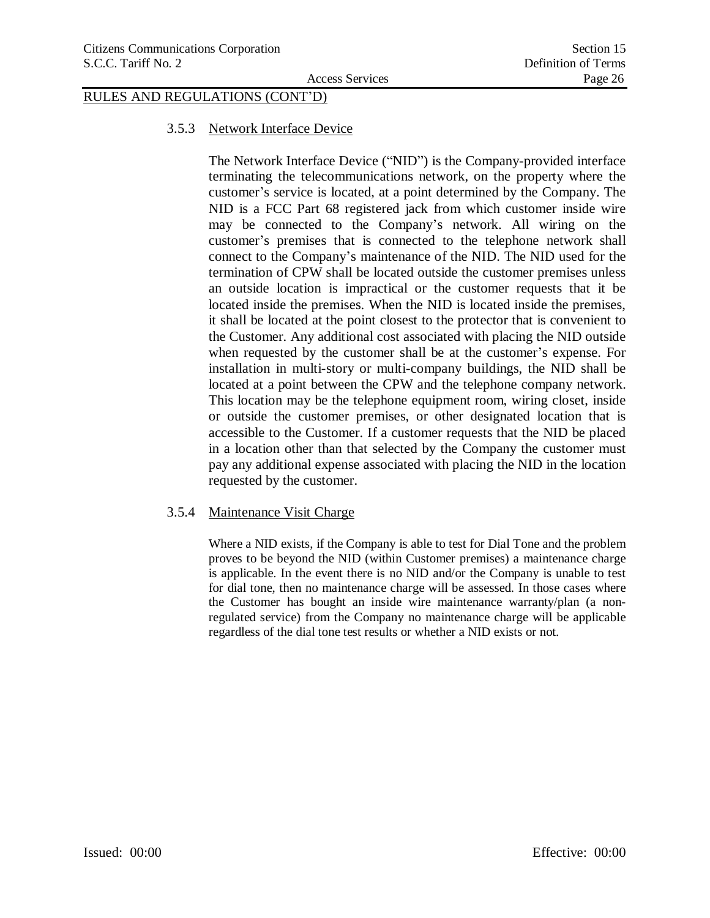### 3.5.3 Network Interface Device

The Network Interface Device ("NID") is the Company-provided interface terminating the telecommunications network, on the property where the customer's service is located, at a point determined by the Company. The NID is a FCC Part 68 registered jack from which customer inside wire may be connected to the Company's network. All wiring on the customer's premises that is connected to the telephone network shall connect to the Company's maintenance of the NID. The NID used for the termination of CPW shall be located outside the customer premises unless an outside location is impractical or the customer requests that it be located inside the premises. When the NID is located inside the premises, it shall be located at the point closest to the protector that is convenient to the Customer. Any additional cost associated with placing the NID outside when requested by the customer shall be at the customer's expense. For installation in multi-story or multi-company buildings, the NID shall be located at a point between the CPW and the telephone company network. This location may be the telephone equipment room, wiring closet, inside or outside the customer premises, or other designated location that is accessible to the Customer. If a customer requests that the NID be placed in a location other than that selected by the Company the customer must pay any additional expense associated with placing the NID in the location requested by the customer.

### 3.5.4 Maintenance Visit Charge

Where a NID exists, if the Company is able to test for Dial Tone and the problem proves to be beyond the NID (within Customer premises) a maintenance charge is applicable. In the event there is no NID and/or the Company is unable to test for dial tone, then no maintenance charge will be assessed. In those cases where the Customer has bought an inside wire maintenance warranty/plan (a nonregulated service) from the Company no maintenance charge will be applicable regardless of the dial tone test results or whether a NID exists or not.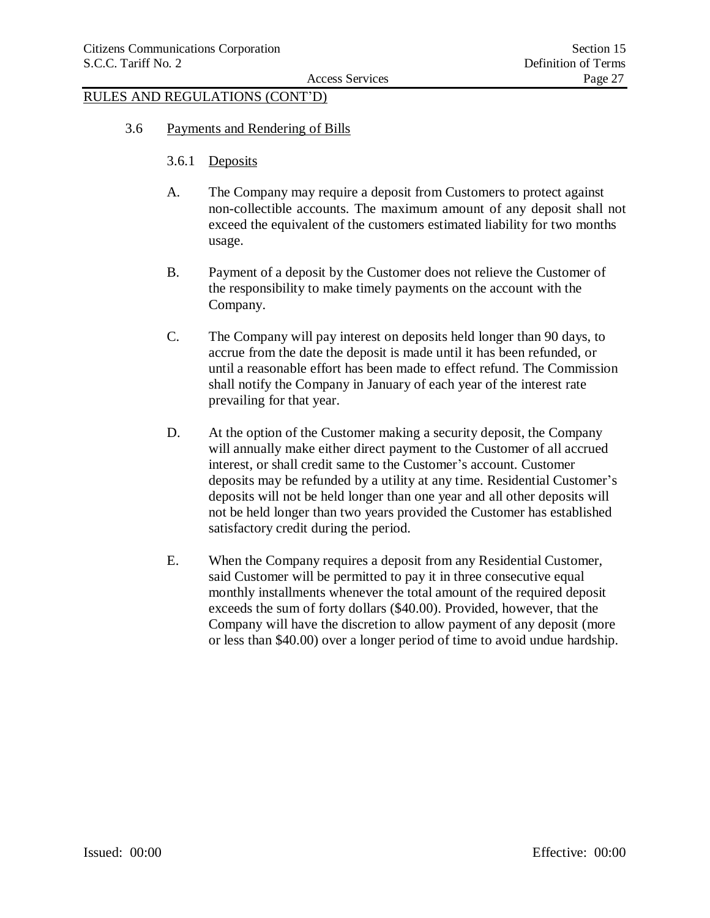- 3.6 Payments and Rendering of Bills
	- 3.6.1 Deposits
	- A. The Company may require a deposit from Customers to protect against non-collectible accounts. The maximum amount of any deposit shall not exceed the equivalent of the customers estimated liability for two months usage.
	- B. Payment of a deposit by the Customer does not relieve the Customer of the responsibility to make timely payments on the account with the Company.
	- C. The Company will pay interest on deposits held longer than 90 days, to accrue from the date the deposit is made until it has been refunded, or until a reasonable effort has been made to effect refund. The Commission shall notify the Company in January of each year of the interest rate prevailing for that year.
	- D. At the option of the Customer making a security deposit, the Company will annually make either direct payment to the Customer of all accrued interest, or shall credit same to the Customer's account. Customer deposits may be refunded by a utility at any time. Residential Customer's deposits will not be held longer than one year and all other deposits will not be held longer than two years provided the Customer has established satisfactory credit during the period.
	- E. When the Company requires a deposit from any Residential Customer, said Customer will be permitted to pay it in three consecutive equal monthly installments whenever the total amount of the required deposit exceeds the sum of forty dollars (\$40.00). Provided, however, that the Company will have the discretion to allow payment of any deposit (more or less than \$40.00) over a longer period of time to avoid undue hardship.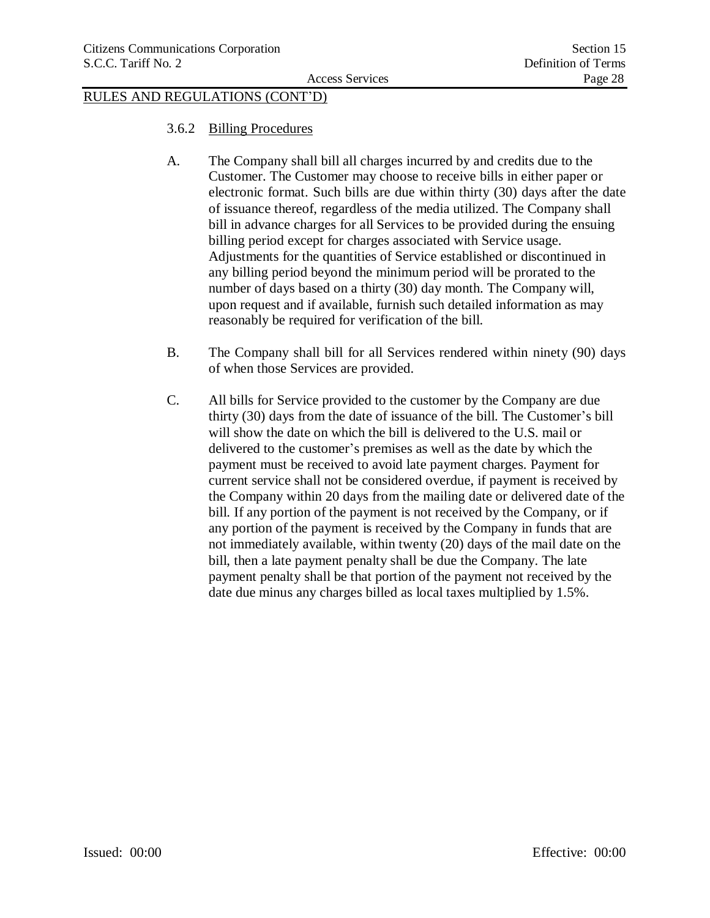- 3.6.2 Billing Procedures
- A. The Company shall bill all charges incurred by and credits due to the Customer. The Customer may choose to receive bills in either paper or electronic format. Such bills are due within thirty (30) days after the date of issuance thereof, regardless of the media utilized. The Company shall bill in advance charges for all Services to be provided during the ensuing billing period except for charges associated with Service usage. Adjustments for the quantities of Service established or discontinued in any billing period beyond the minimum period will be prorated to the number of days based on a thirty (30) day month. The Company will, upon request and if available, furnish such detailed information as may reasonably be required for verification of the bill.
- B. The Company shall bill for all Services rendered within ninety (90) days of when those Services are provided.
- C. All bills for Service provided to the customer by the Company are due thirty (30) days from the date of issuance of the bill. The Customer's bill will show the date on which the bill is delivered to the U.S. mail or delivered to the customer's premises as well as the date by which the payment must be received to avoid late payment charges. Payment for current service shall not be considered overdue, if payment is received by the Company within 20 days from the mailing date or delivered date of the bill. If any portion of the payment is not received by the Company, or if any portion of the payment is received by the Company in funds that are not immediately available, within twenty (20) days of the mail date on the bill, then a late payment penalty shall be due the Company. The late payment penalty shall be that portion of the payment not received by the date due minus any charges billed as local taxes multiplied by 1.5%.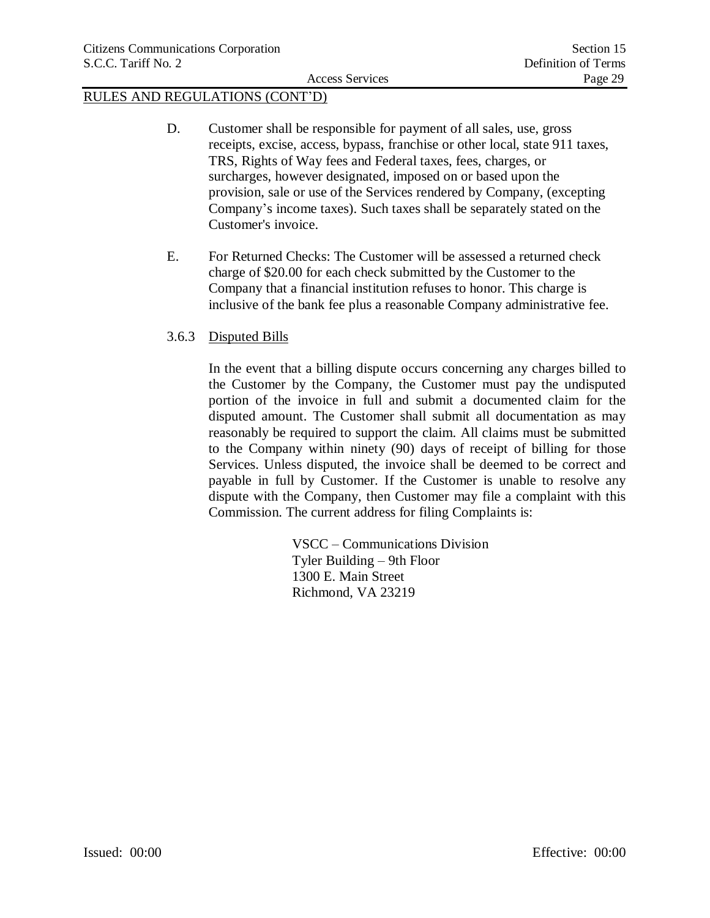- D. Customer shall be responsible for payment of all sales, use, gross receipts, excise, access, bypass, franchise or other local, state 911 taxes, TRS, Rights of Way fees and Federal taxes, fees, charges, or surcharges, however designated, imposed on or based upon the provision, sale or use of the Services rendered by Company, (excepting Company's income taxes). Such taxes shall be separately stated on the Customer's invoice.
- E. For Returned Checks: The Customer will be assessed a returned check charge of \$20.00 for each check submitted by the Customer to the Company that a financial institution refuses to honor. This charge is inclusive of the bank fee plus a reasonable Company administrative fee.

## 3.6.3 Disputed Bills

In the event that a billing dispute occurs concerning any charges billed to the Customer by the Company, the Customer must pay the undisputed portion of the invoice in full and submit a documented claim for the disputed amount. The Customer shall submit all documentation as may reasonably be required to support the claim. All claims must be submitted to the Company within ninety (90) days of receipt of billing for those Services. Unless disputed, the invoice shall be deemed to be correct and payable in full by Customer. If the Customer is unable to resolve any dispute with the Company, then Customer may file a complaint with this Commission. The current address for filing Complaints is:

> VSCC – Communications Division Tyler Building – 9th Floor 1300 E. Main Street Richmond, VA 23219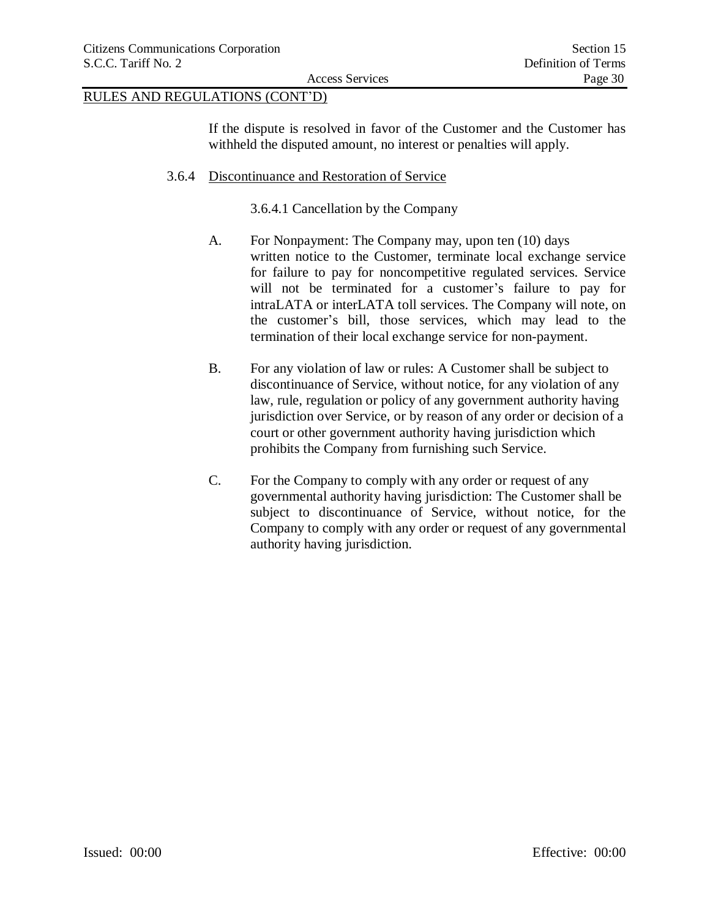If the dispute is resolved in favor of the Customer and the Customer has withheld the disputed amount, no interest or penalties will apply.

## 3.6.4 Discontinuance and Restoration of Service

3.6.4.1 Cancellation by the Company

- A. For Nonpayment: The Company may, upon ten (10) days written notice to the Customer, terminate local exchange service for failure to pay for noncompetitive regulated services. Service will not be terminated for a customer's failure to pay for intraLATA or interLATA toll services. The Company will note, on the customer's bill, those services, which may lead to the termination of their local exchange service for non-payment.
- B. For any violation of law or rules: A Customer shall be subject to discontinuance of Service, without notice, for any violation of any law, rule, regulation or policy of any government authority having jurisdiction over Service, or by reason of any order or decision of a court or other government authority having jurisdiction which prohibits the Company from furnishing such Service.
- C. For the Company to comply with any order or request of any governmental authority having jurisdiction: The Customer shall be subject to discontinuance of Service, without notice, for the Company to comply with any order or request of any governmental authority having jurisdiction.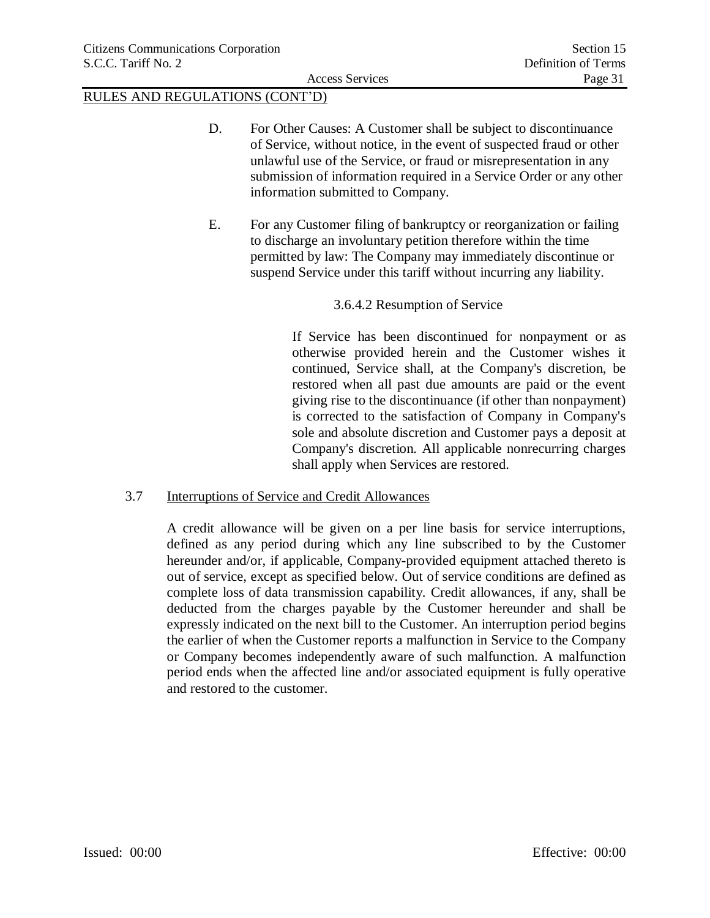- D. For Other Causes: A Customer shall be subject to discontinuance of Service, without notice, in the event of suspected fraud or other unlawful use of the Service, or fraud or misrepresentation in any submission of information required in a Service Order or any other information submitted to Company.
- E. For any Customer filing of bankruptcy or reorganization or failing to discharge an involuntary petition therefore within the time permitted by law: The Company may immediately discontinue or suspend Service under this tariff without incurring any liability.

## 3.6.4.2 Resumption of Service

If Service has been discontinued for nonpayment or as otherwise provided herein and the Customer wishes it continued, Service shall, at the Company's discretion, be restored when all past due amounts are paid or the event giving rise to the discontinuance (if other than nonpayment) is corrected to the satisfaction of Company in Company's sole and absolute discretion and Customer pays a deposit at Company's discretion. All applicable nonrecurring charges shall apply when Services are restored.

## 3.7 Interruptions of Service and Credit Allowances

A credit allowance will be given on a per line basis for service interruptions, defined as any period during which any line subscribed to by the Customer hereunder and/or, if applicable, Company-provided equipment attached thereto is out of service, except as specified below. Out of service conditions are defined as complete loss of data transmission capability. Credit allowances, if any, shall be deducted from the charges payable by the Customer hereunder and shall be expressly indicated on the next bill to the Customer. An interruption period begins the earlier of when the Customer reports a malfunction in Service to the Company or Company becomes independently aware of such malfunction. A malfunction period ends when the affected line and/or associated equipment is fully operative and restored to the customer.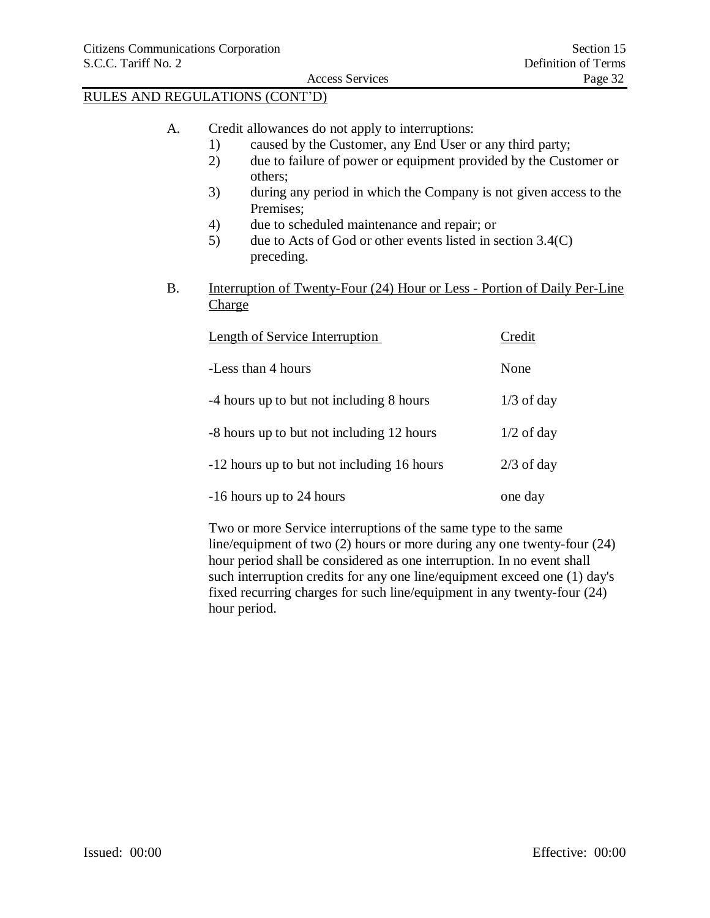- A. Credit allowances do not apply to interruptions:
	- 1) caused by the Customer, any End User or any third party;
	- 2) due to failure of power or equipment provided by the Customer or others;
	- 3) during any period in which the Company is not given access to the Premises;
	- 4) due to scheduled maintenance and repair; or
	- 5) due to Acts of God or other events listed in section 3.4(C) preceding.
- B. Interruption of Twenty-Four (24) Hour or Less Portion of Daily Per-Line Charge

| <b>Length of Service Interruption</b>      | Credit       |
|--------------------------------------------|--------------|
| -Less than 4 hours                         | None         |
| -4 hours up to but not including 8 hours   | $1/3$ of day |
| -8 hours up to but not including 12 hours  | $1/2$ of day |
| -12 hours up to but not including 16 hours | $2/3$ of day |
| -16 hours up to 24 hours                   | one day      |

Two or more Service interruptions of the same type to the same line/equipment of two (2) hours or more during any one twenty-four (24) hour period shall be considered as one interruption. In no event shall such interruption credits for any one line/equipment exceed one (1) day's fixed recurring charges for such line/equipment in any twenty-four (24) hour period.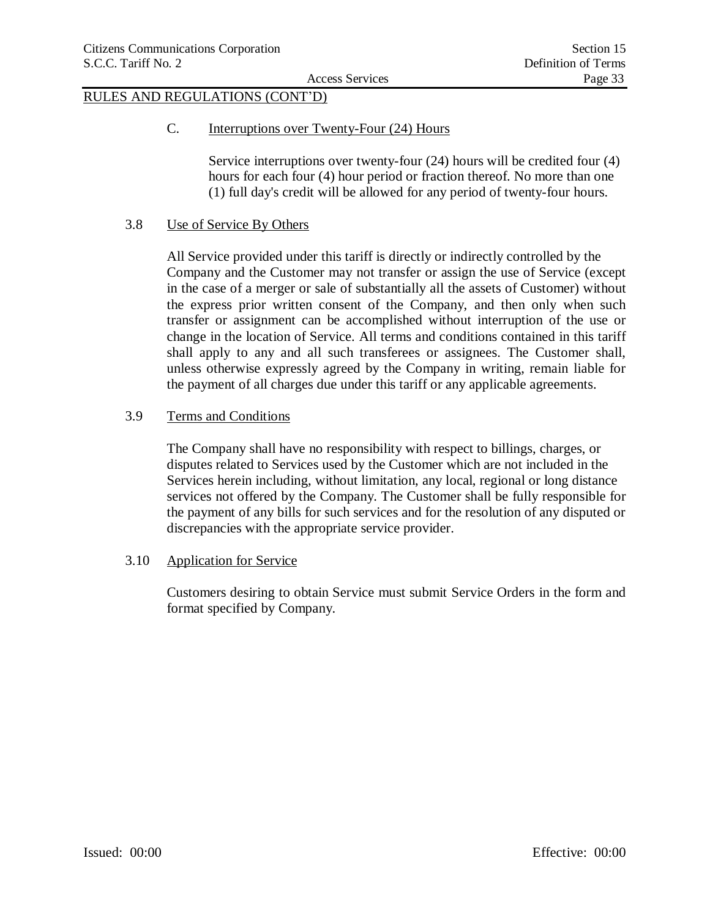C. Interruptions over Twenty-Four (24) Hours

Service interruptions over twenty-four (24) hours will be credited four (4) hours for each four (4) hour period or fraction thereof. No more than one (1) full day's credit will be allowed for any period of twenty-four hours.

### 3.8 Use of Service By Others

All Service provided under this tariff is directly or indirectly controlled by the Company and the Customer may not transfer or assign the use of Service (except in the case of a merger or sale of substantially all the assets of Customer) without the express prior written consent of the Company, and then only when such transfer or assignment can be accomplished without interruption of the use or change in the location of Service. All terms and conditions contained in this tariff shall apply to any and all such transferees or assignees. The Customer shall, unless otherwise expressly agreed by the Company in writing, remain liable for the payment of all charges due under this tariff or any applicable agreements.

## 3.9 Terms and Conditions

The Company shall have no responsibility with respect to billings, charges, or disputes related to Services used by the Customer which are not included in the Services herein including, without limitation, any local, regional or long distance services not offered by the Company. The Customer shall be fully responsible for the payment of any bills for such services and for the resolution of any disputed or discrepancies with the appropriate service provider.

### 3.10 Application for Service

Customers desiring to obtain Service must submit Service Orders in the form and format specified by Company.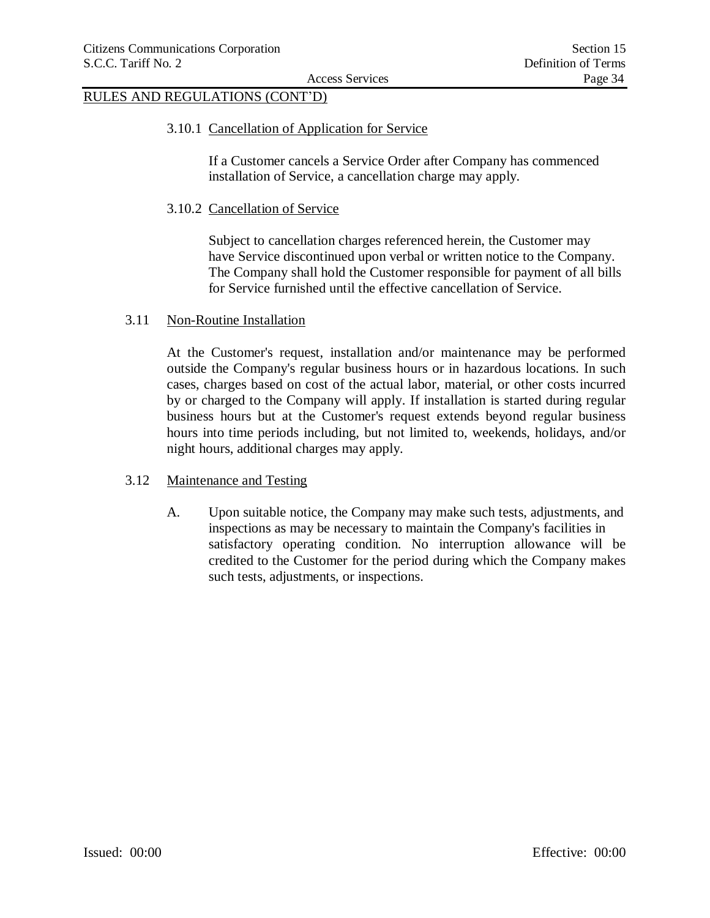### 3.10.1 Cancellation of Application for Service

If a Customer cancels a Service Order after Company has commenced installation of Service, a cancellation charge may apply.

### 3.10.2 Cancellation of Service

Subject to cancellation charges referenced herein, the Customer may have Service discontinued upon verbal or written notice to the Company. The Company shall hold the Customer responsible for payment of all bills for Service furnished until the effective cancellation of Service.

### 3.11 Non-Routine Installation

At the Customer's request, installation and/or maintenance may be performed outside the Company's regular business hours or in hazardous locations. In such cases, charges based on cost of the actual labor, material, or other costs incurred by or charged to the Company will apply. If installation is started during regular business hours but at the Customer's request extends beyond regular business hours into time periods including, but not limited to, weekends, holidays, and/or night hours, additional charges may apply.

### 3.12 Maintenance and Testing

A. Upon suitable notice, the Company may make such tests, adjustments, and inspections as may be necessary to maintain the Company's facilities in satisfactory operating condition. No interruption allowance will be credited to the Customer for the period during which the Company makes such tests, adjustments, or inspections.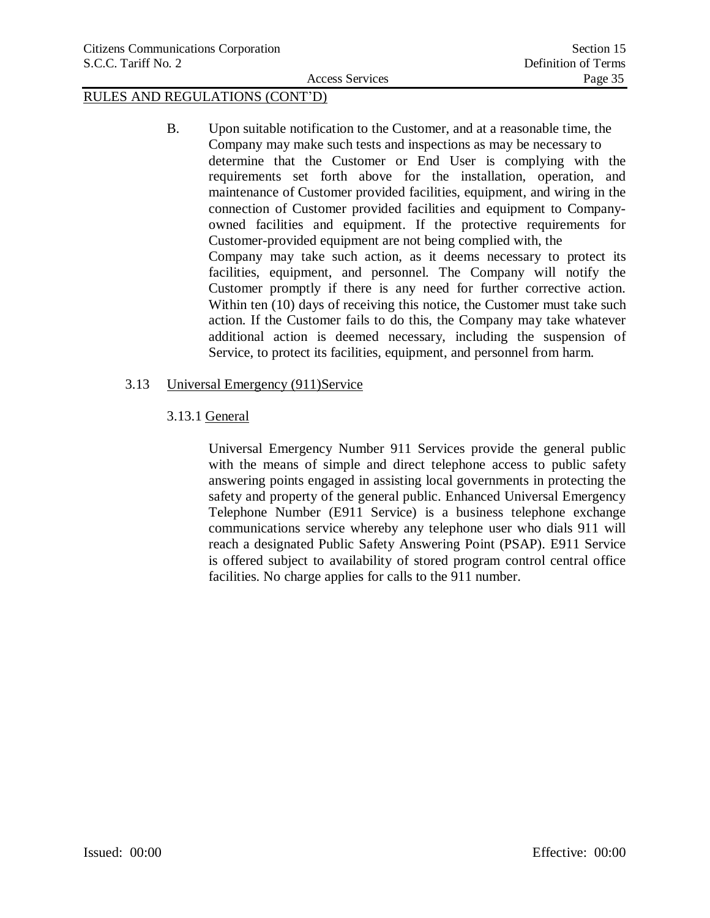B. Upon suitable notification to the Customer, and at a reasonable time, the Company may make such tests and inspections as may be necessary to determine that the Customer or End User is complying with the requirements set forth above for the installation, operation, and maintenance of Customer provided facilities, equipment, and wiring in the connection of Customer provided facilities and equipment to Companyowned facilities and equipment. If the protective requirements for Customer-provided equipment are not being complied with, the Company may take such action, as it deems necessary to protect its facilities, equipment, and personnel. The Company will notify the Customer promptly if there is any need for further corrective action. Within ten (10) days of receiving this notice, the Customer must take such action. If the Customer fails to do this, the Company may take whatever additional action is deemed necessary, including the suspension of Service, to protect its facilities, equipment, and personnel from harm.

## 3.13 Universal Emergency (911)Service

## 3.13.1 General

Universal Emergency Number 911 Services provide the general public with the means of simple and direct telephone access to public safety answering points engaged in assisting local governments in protecting the safety and property of the general public. Enhanced Universal Emergency Telephone Number (E911 Service) is a business telephone exchange communications service whereby any telephone user who dials 911 will reach a designated Public Safety Answering Point (PSAP). E911 Service is offered subject to availability of stored program control central office facilities. No charge applies for calls to the 911 number.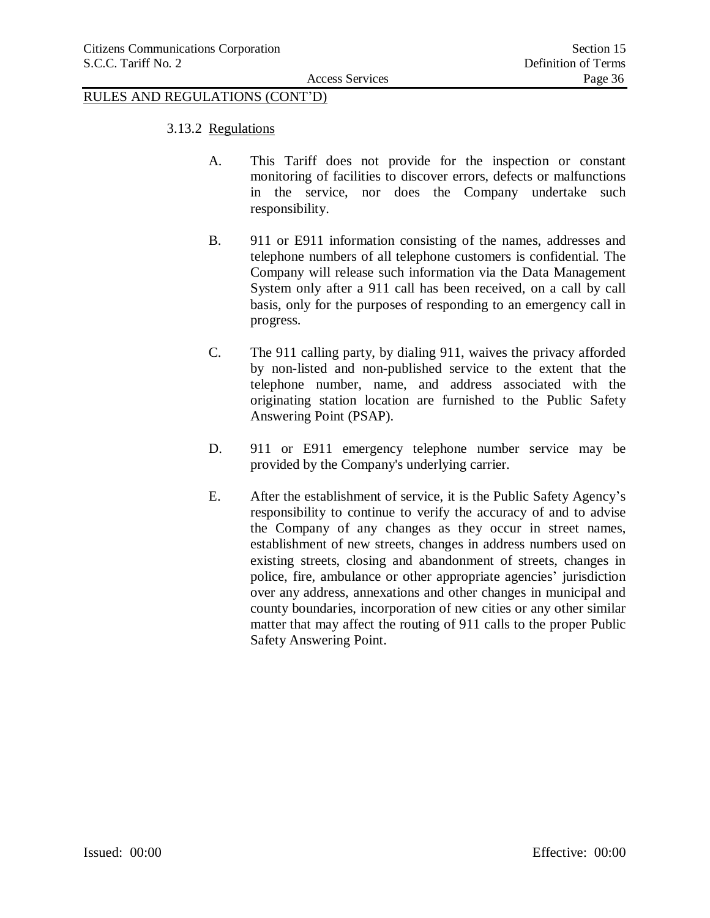- 3.13.2 Regulations
	- A. This Tariff does not provide for the inspection or constant monitoring of facilities to discover errors, defects or malfunctions in the service, nor does the Company undertake such responsibility.
	- B. 911 or E911 information consisting of the names, addresses and telephone numbers of all telephone customers is confidential. The Company will release such information via the Data Management System only after a 911 call has been received, on a call by call basis, only for the purposes of responding to an emergency call in progress.
	- C. The 911 calling party, by dialing 911, waives the privacy afforded by non-listed and non-published service to the extent that the telephone number, name, and address associated with the originating station location are furnished to the Public Safety Answering Point (PSAP).
	- D. 911 or E911 emergency telephone number service may be provided by the Company's underlying carrier.
	- E. After the establishment of service, it is the Public Safety Agency's responsibility to continue to verify the accuracy of and to advise the Company of any changes as they occur in street names, establishment of new streets, changes in address numbers used on existing streets, closing and abandonment of streets, changes in police, fire, ambulance or other appropriate agencies' jurisdiction over any address, annexations and other changes in municipal and county boundaries, incorporation of new cities or any other similar matter that may affect the routing of 911 calls to the proper Public Safety Answering Point.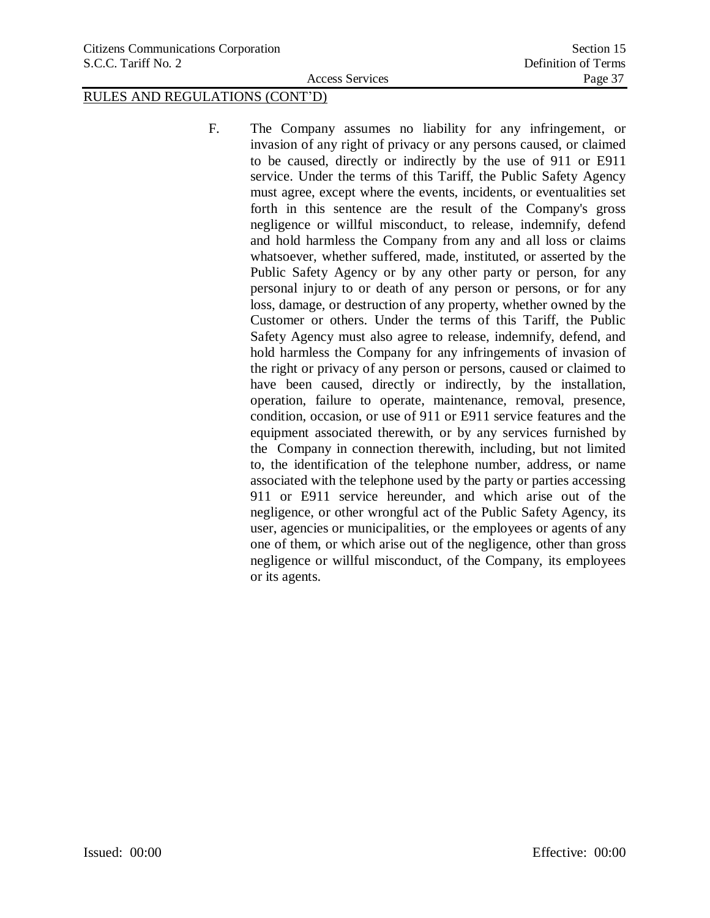F. The Company assumes no liability for any infringement, or invasion of any right of privacy or any persons caused, or claimed to be caused, directly or indirectly by the use of 911 or E911 service. Under the terms of this Tariff, the Public Safety Agency must agree, except where the events, incidents, or eventualities set forth in this sentence are the result of the Company's gross negligence or willful misconduct, to release, indemnify, defend and hold harmless the Company from any and all loss or claims whatsoever, whether suffered, made, instituted, or asserted by the Public Safety Agency or by any other party or person, for any personal injury to or death of any person or persons, or for any loss, damage, or destruction of any property, whether owned by the Customer or others. Under the terms of this Tariff, the Public Safety Agency must also agree to release, indemnify, defend, and hold harmless the Company for any infringements of invasion of the right or privacy of any person or persons, caused or claimed to have been caused, directly or indirectly, by the installation, operation, failure to operate, maintenance, removal, presence, condition, occasion, or use of 911 or E911 service features and the equipment associated therewith, or by any services furnished by the Company in connection therewith, including, but not limited to, the identification of the telephone number, address, or name associated with the telephone used by the party or parties accessing 911 or E911 service hereunder, and which arise out of the negligence, or other wrongful act of the Public Safety Agency, its user, agencies or municipalities, or the employees or agents of any one of them, or which arise out of the negligence, other than gross negligence or willful misconduct, of the Company, its employees or its agents.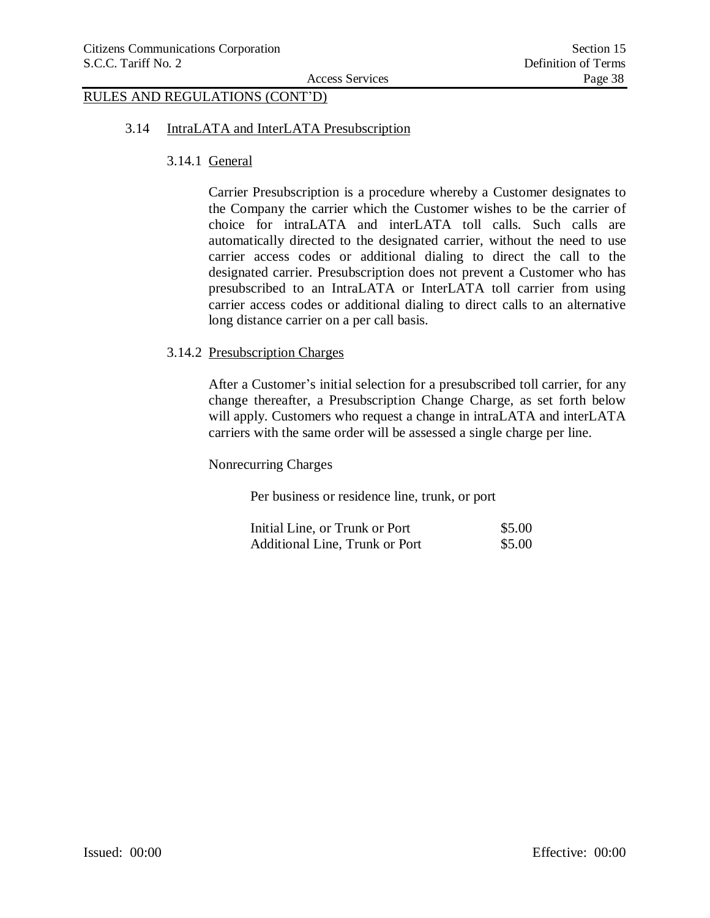#### 3.14 IntraLATA and InterLATA Presubscription

3.14.1 General

Carrier Presubscription is a procedure whereby a Customer designates to the Company the carrier which the Customer wishes to be the carrier of choice for intraLATA and interLATA toll calls. Such calls are automatically directed to the designated carrier, without the need to use carrier access codes or additional dialing to direct the call to the designated carrier. Presubscription does not prevent a Customer who has presubscribed to an IntraLATA or InterLATA toll carrier from using carrier access codes or additional dialing to direct calls to an alternative long distance carrier on a per call basis.

#### 3.14.2 Presubscription Charges

After a Customer's initial selection for a presubscribed toll carrier, for any change thereafter, a Presubscription Change Charge, as set forth below will apply. Customers who request a change in intraLATA and interLATA carriers with the same order will be assessed a single charge per line.

Nonrecurring Charges

Per business or residence line, trunk, or port

| Initial Line, or Trunk or Port        | \$5.00 |
|---------------------------------------|--------|
| <b>Additional Line, Trunk or Port</b> | \$5.00 |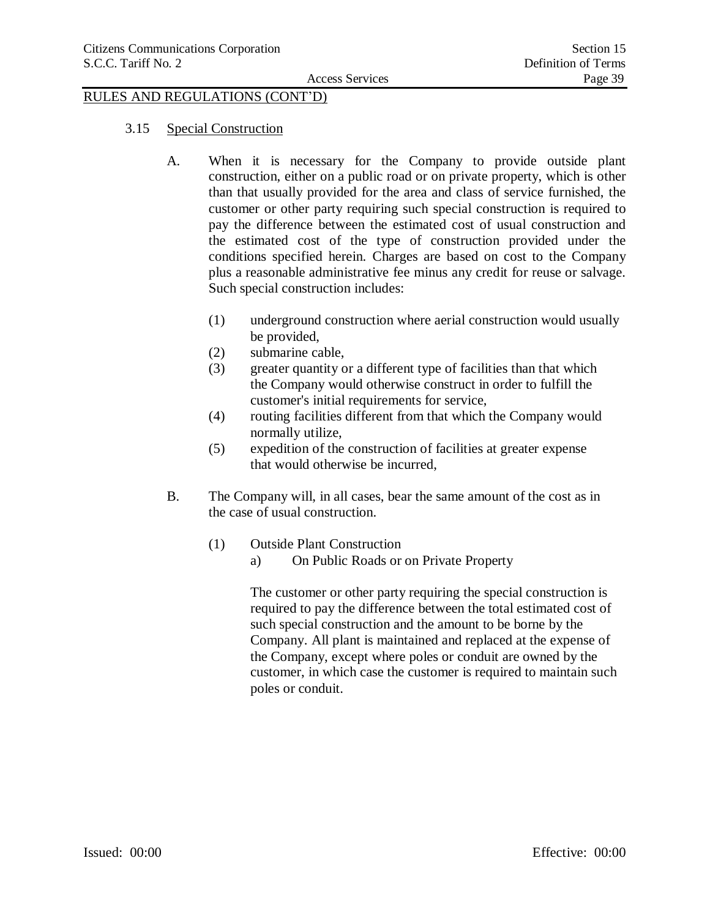#### 3.15 Special Construction

- A. When it is necessary for the Company to provide outside plant construction, either on a public road or on private property, which is other than that usually provided for the area and class of service furnished, the customer or other party requiring such special construction is required to pay the difference between the estimated cost of usual construction and the estimated cost of the type of construction provided under the conditions specified herein. Charges are based on cost to the Company plus a reasonable administrative fee minus any credit for reuse or salvage. Such special construction includes:
	- (1) underground construction where aerial construction would usually be provided,
	- (2) submarine cable,
	- (3) greater quantity or a different type of facilities than that which the Company would otherwise construct in order to fulfill the customer's initial requirements for service,
	- (4) routing facilities different from that which the Company would normally utilize,
	- (5) expedition of the construction of facilities at greater expense that would otherwise be incurred,
- B. The Company will, in all cases, bear the same amount of the cost as in the case of usual construction.
	- (1) Outside Plant Construction
		- a) On Public Roads or on Private Property

The customer or other party requiring the special construction is required to pay the difference between the total estimated cost of such special construction and the amount to be borne by the Company. All plant is maintained and replaced at the expense of the Company, except where poles or conduit are owned by the customer, in which case the customer is required to maintain such poles or conduit.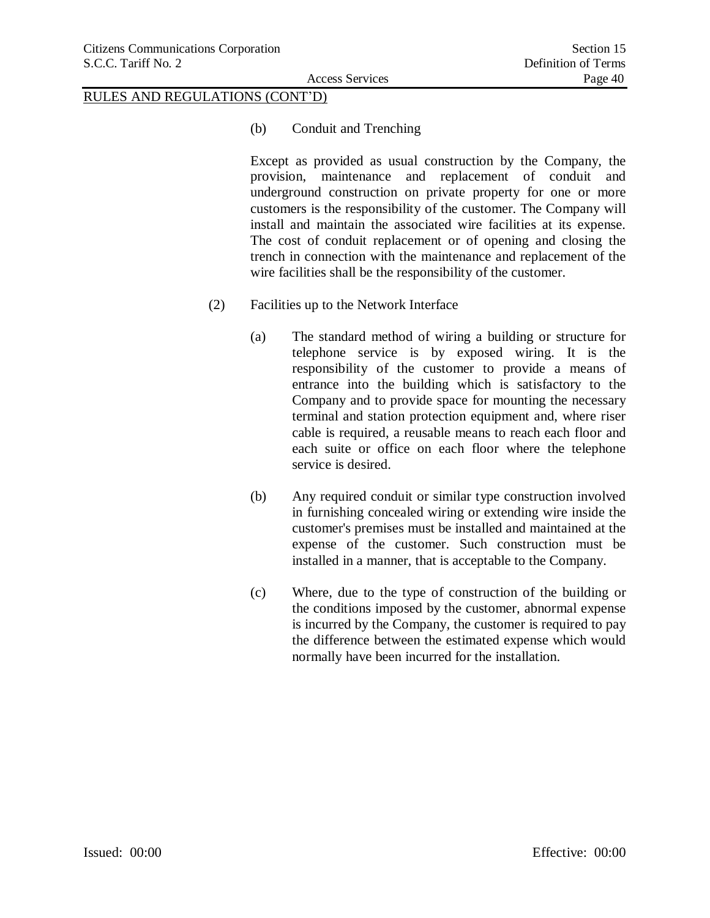(b) Conduit and Trenching

Except as provided as usual construction by the Company, the provision, maintenance and replacement of conduit and underground construction on private property for one or more customers is the responsibility of the customer. The Company will install and maintain the associated wire facilities at its expense. The cost of conduit replacement or of opening and closing the trench in connection with the maintenance and replacement of the wire facilities shall be the responsibility of the customer.

- (2) Facilities up to the Network Interface
	- (a) The standard method of wiring a building or structure for telephone service is by exposed wiring. It is the responsibility of the customer to provide a means of entrance into the building which is satisfactory to the Company and to provide space for mounting the necessary terminal and station protection equipment and, where riser cable is required, a reusable means to reach each floor and each suite or office on each floor where the telephone service is desired.
	- (b) Any required conduit or similar type construction involved in furnishing concealed wiring or extending wire inside the customer's premises must be installed and maintained at the expense of the customer. Such construction must be installed in a manner, that is acceptable to the Company.
	- (c) Where, due to the type of construction of the building or the conditions imposed by the customer, abnormal expense is incurred by the Company, the customer is required to pay the difference between the estimated expense which would normally have been incurred for the installation.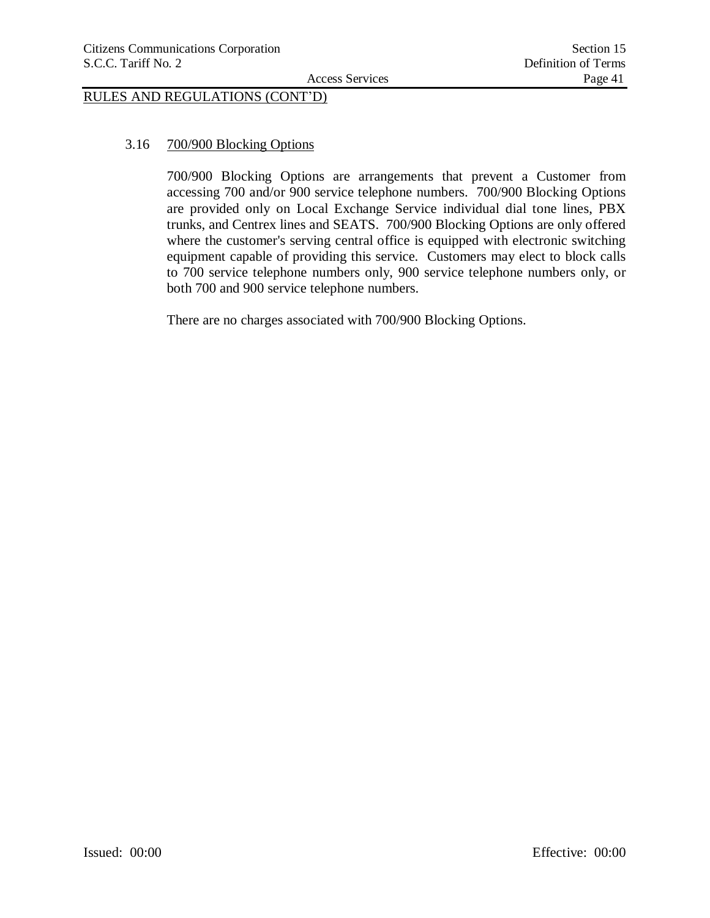# 3.16 700/900 Blocking Options

700/900 Blocking Options are arrangements that prevent a Customer from accessing 700 and/or 900 service telephone numbers. 700/900 Blocking Options are provided only on Local Exchange Service individual dial tone lines, PBX trunks, and Centrex lines and SEATS. 700/900 Blocking Options are only offered where the customer's serving central office is equipped with electronic switching equipment capable of providing this service. Customers may elect to block calls to 700 service telephone numbers only, 900 service telephone numbers only, or both 700 and 900 service telephone numbers.

There are no charges associated with 700/900 Blocking Options.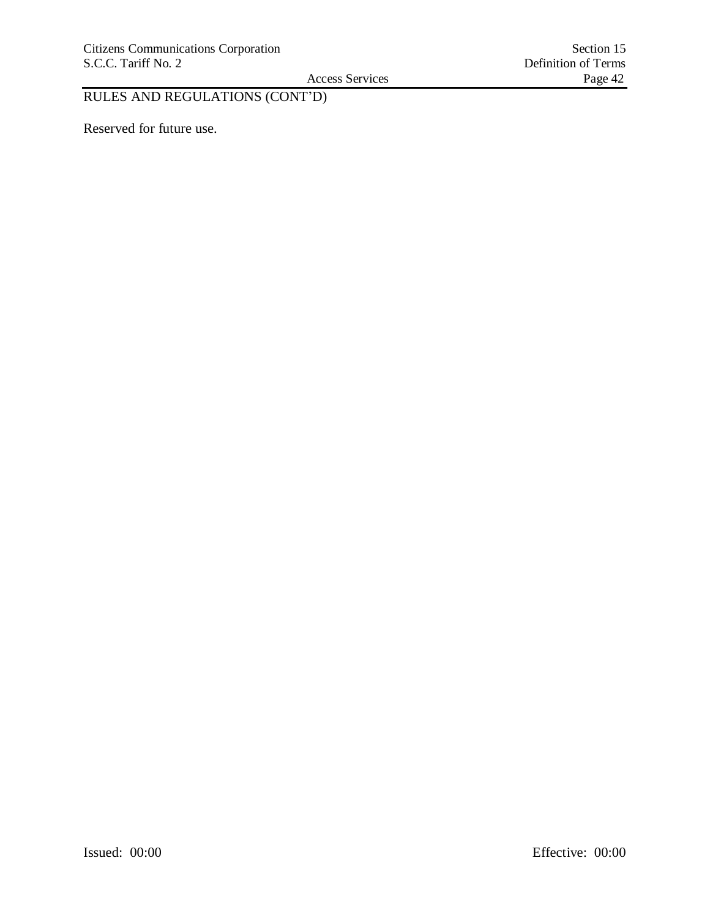Access Services

# RULES AND REGULATIONS (CONT'D)

Reserved for future use.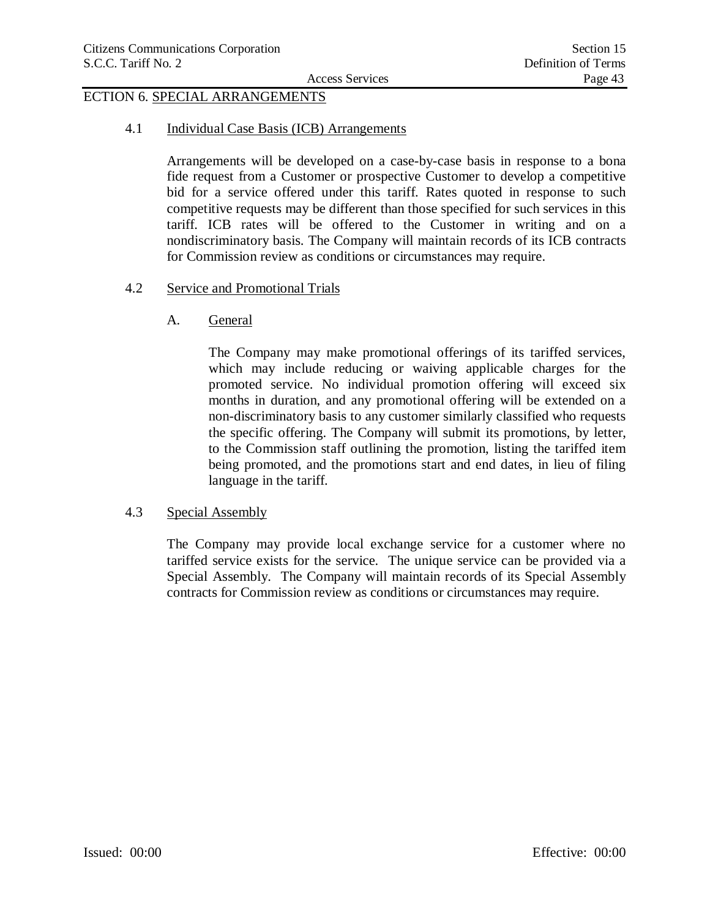# ECTION 6. SPECIAL ARRANGEMENTS

4.1 Individual Case Basis (ICB) Arrangements

Arrangements will be developed on a case-by-case basis in response to a bona fide request from a Customer or prospective Customer to develop a competitive bid for a service offered under this tariff. Rates quoted in response to such competitive requests may be different than those specified for such services in this tariff. ICB rates will be offered to the Customer in writing and on a nondiscriminatory basis. The Company will maintain records of its ICB contracts for Commission review as conditions or circumstances may require.

- 4.2 Service and Promotional Trials
	- A. General

The Company may make promotional offerings of its tariffed services, which may include reducing or waiving applicable charges for the promoted service. No individual promotion offering will exceed six months in duration, and any promotional offering will be extended on a non-discriminatory basis to any customer similarly classified who requests the specific offering. The Company will submit its promotions, by letter, to the Commission staff outlining the promotion, listing the tariffed item being promoted, and the promotions start and end dates, in lieu of filing language in the tariff.

### 4.3 Special Assembly

The Company may provide local exchange service for a customer where no tariffed service exists for the service. The unique service can be provided via a Special Assembly. The Company will maintain records of its Special Assembly contracts for Commission review as conditions or circumstances may require.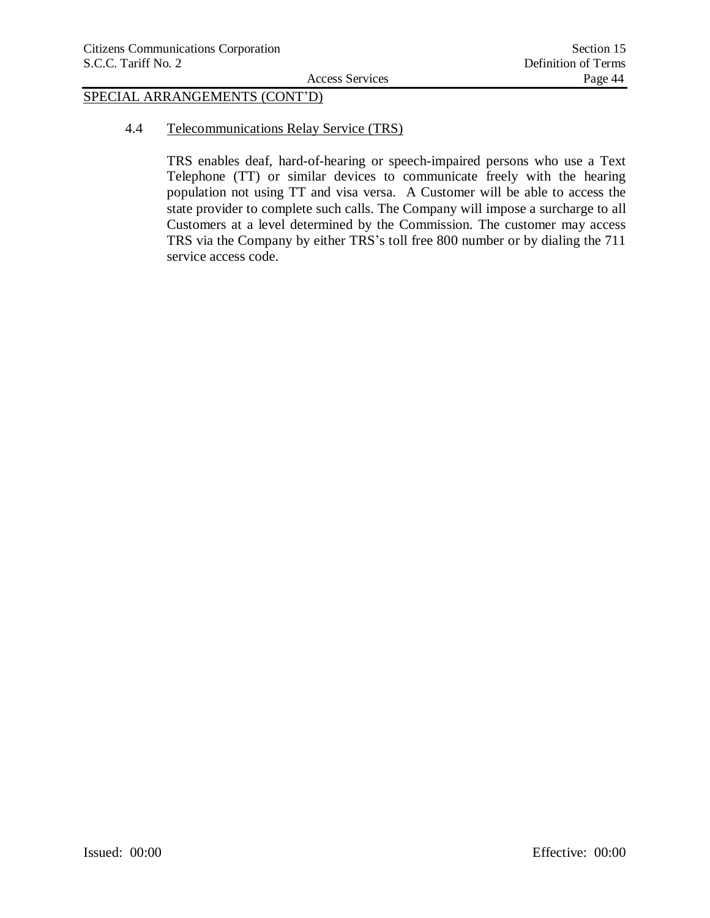# SPECIAL ARRANGEMENTS (CONT'D)

4.4 Telecommunications Relay Service (TRS)

TRS enables deaf, hard-of-hearing or speech-impaired persons who use a Text Telephone (TT) or similar devices to communicate freely with the hearing population not using TT and visa versa. A Customer will be able to access the state provider to complete such calls. The Company will impose a surcharge to all Customers at a level determined by the Commission. The customer may access TRS via the Company by either TRS's toll free 800 number or by dialing the 711 service access code.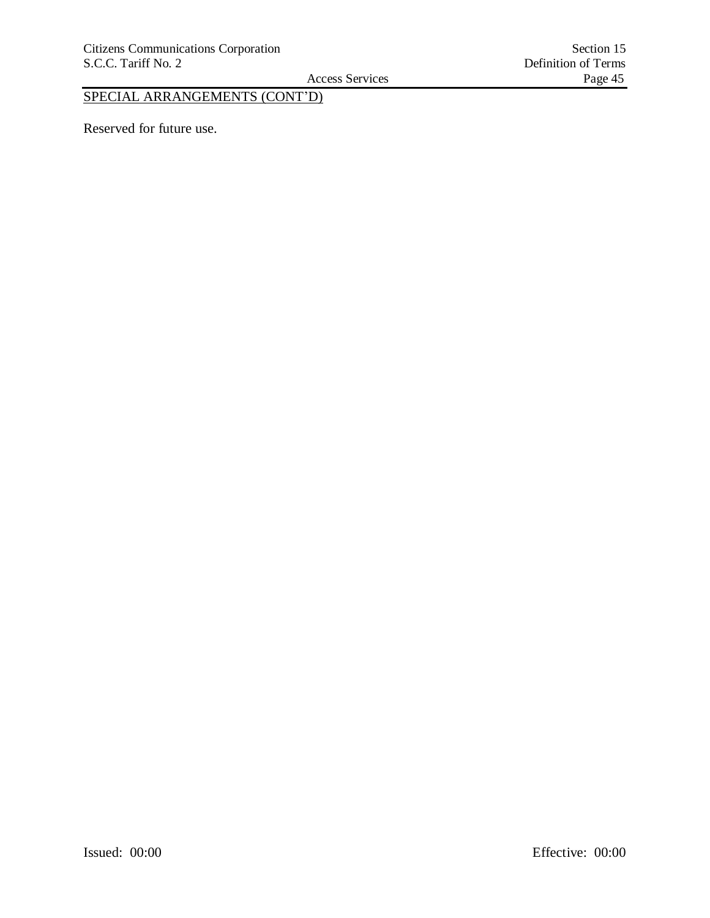Access Services

# SPECIAL ARRANGEMENTS (CONT'D)

Reserved for future use.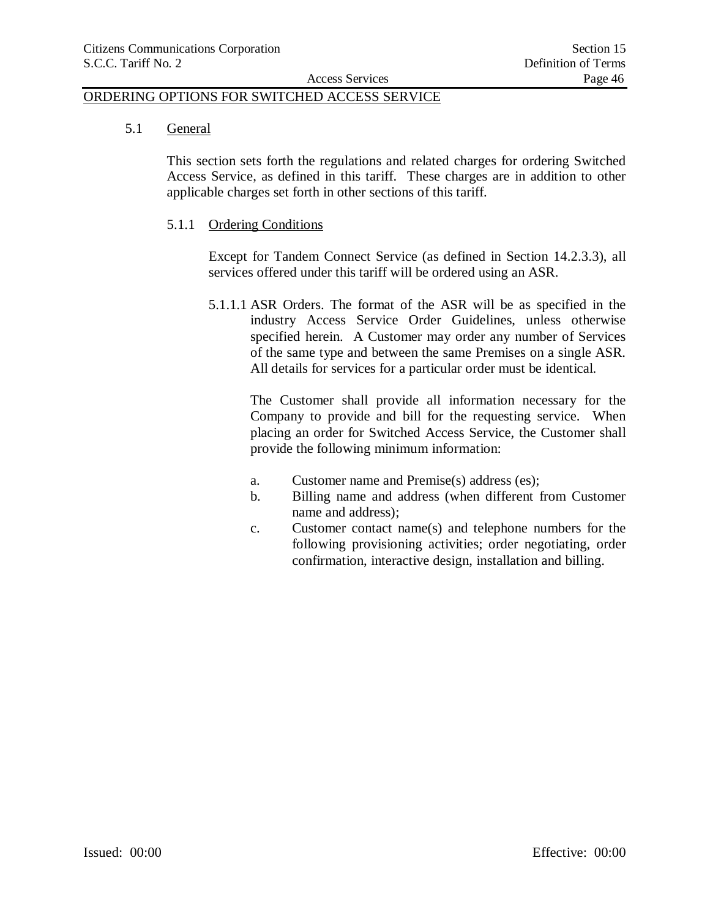5.1 General

This section sets forth the regulations and related charges for ordering Switched Access Service, as defined in this tariff. These charges are in addition to other applicable charges set forth in other sections of this tariff.

5.1.1 Ordering Conditions

Except for Tandem Connect Service (as defined in Section 14.2.3.3), all services offered under this tariff will be ordered using an ASR.

5.1.1.1 ASR Orders. The format of the ASR will be as specified in the industry Access Service Order Guidelines, unless otherwise specified herein. A Customer may order any number of Services of the same type and between the same Premises on a single ASR. All details for services for a particular order must be identical.

The Customer shall provide all information necessary for the Company to provide and bill for the requesting service. When placing an order for Switched Access Service, the Customer shall provide the following minimum information:

- a. Customer name and Premise(s) address (es);
- b. Billing name and address (when different from Customer name and address);
- c. Customer contact name(s) and telephone numbers for the following provisioning activities; order negotiating, order confirmation, interactive design, installation and billing.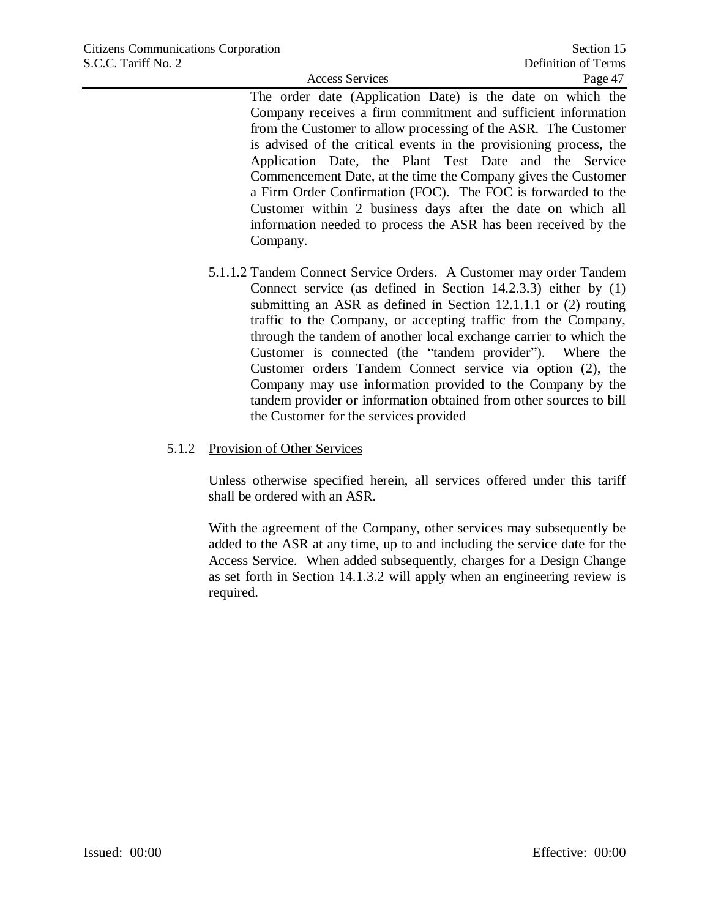The order date (Application Date) is the date on which the Company receives a firm commitment and sufficient information from the Customer to allow processing of the ASR. The Customer is advised of the critical events in the provisioning process, the Application Date, the Plant Test Date and the Service Commencement Date, at the time the Company gives the Customer a Firm Order Confirmation (FOC). The FOC is forwarded to the Customer within 2 business days after the date on which all information needed to process the ASR has been received by the Company.

5.1.1.2 Tandem Connect Service Orders. A Customer may order Tandem Connect service (as defined in Section 14.2.3.3) either by (1) submitting an ASR as defined in Section 12.1.1.1 or (2) routing traffic to the Company, or accepting traffic from the Company, through the tandem of another local exchange carrier to which the Customer is connected (the "tandem provider"). Where the Customer orders Tandem Connect service via option (2), the Company may use information provided to the Company by the tandem provider or information obtained from other sources to bill the Customer for the services provided

## 5.1.2 Provision of Other Services

Unless otherwise specified herein, all services offered under this tariff shall be ordered with an ASR.

With the agreement of the Company, other services may subsequently be added to the ASR at any time, up to and including the service date for the Access Service. When added subsequently, charges for a Design Change as set forth in Section 14.1.3.2 will apply when an engineering review is required.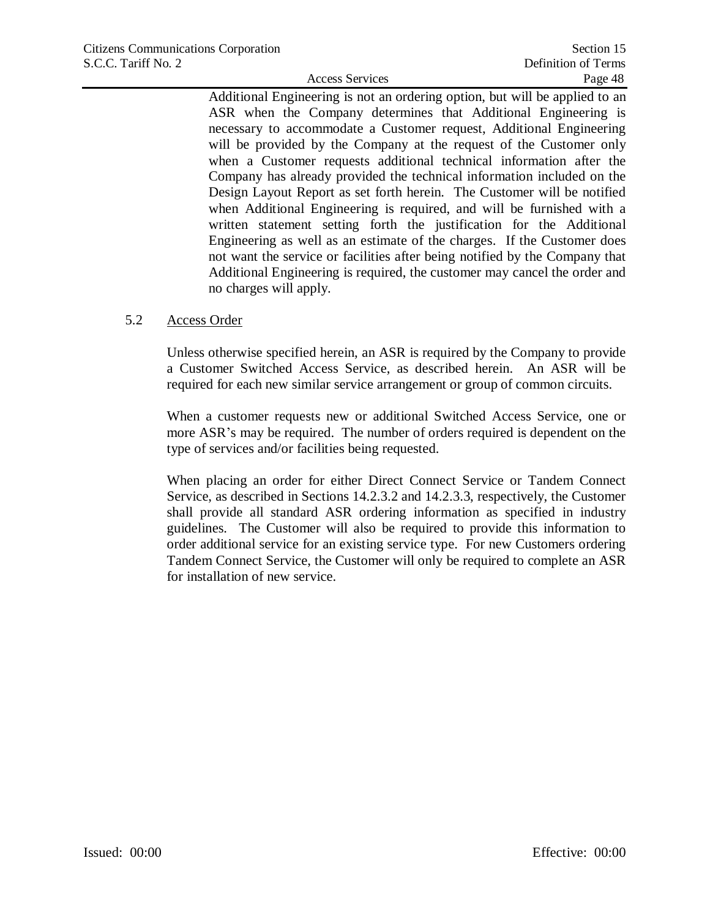Additional Engineering is not an ordering option, but will be applied to an ASR when the Company determines that Additional Engineering is necessary to accommodate a Customer request, Additional Engineering will be provided by the Company at the request of the Customer only when a Customer requests additional technical information after the Company has already provided the technical information included on the Design Layout Report as set forth herein. The Customer will be notified when Additional Engineering is required, and will be furnished with a written statement setting forth the justification for the Additional Engineering as well as an estimate of the charges. If the Customer does not want the service or facilities after being notified by the Company that Additional Engineering is required, the customer may cancel the order and no charges will apply.

### 5.2 Access Order

Unless otherwise specified herein, an ASR is required by the Company to provide a Customer Switched Access Service, as described herein. An ASR will be required for each new similar service arrangement or group of common circuits.

When a customer requests new or additional Switched Access Service, one or more ASR's may be required. The number of orders required is dependent on the type of services and/or facilities being requested.

When placing an order for either Direct Connect Service or Tandem Connect Service, as described in Sections 14.2.3.2 and 14.2.3.3, respectively, the Customer shall provide all standard ASR ordering information as specified in industry guidelines. The Customer will also be required to provide this information to order additional service for an existing service type. For new Customers ordering Tandem Connect Service, the Customer will only be required to complete an ASR for installation of new service.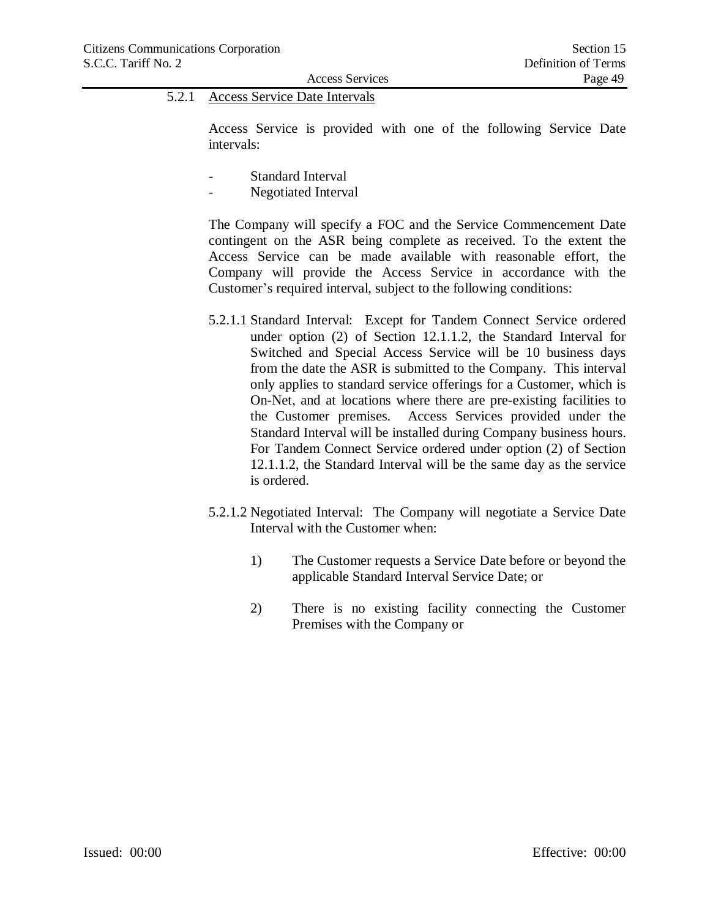# 5.2.1 Access Service Date Intervals

Access Service is provided with one of the following Service Date intervals:

- Standard Interval
- Negotiated Interval

The Company will specify a FOC and the Service Commencement Date contingent on the ASR being complete as received. To the extent the Access Service can be made available with reasonable effort, the Company will provide the Access Service in accordance with the Customer's required interval, subject to the following conditions:

- 5.2.1.1 Standard Interval: Except for Tandem Connect Service ordered under option (2) of Section 12.1.1.2, the Standard Interval for Switched and Special Access Service will be 10 business days from the date the ASR is submitted to the Company. This interval only applies to standard service offerings for a Customer, which is On-Net, and at locations where there are pre-existing facilities to the Customer premises. Access Services provided under the Standard Interval will be installed during Company business hours. For Tandem Connect Service ordered under option (2) of Section 12.1.1.2, the Standard Interval will be the same day as the service is ordered.
- 5.2.1.2 Negotiated Interval: The Company will negotiate a Service Date Interval with the Customer when:
	- 1) The Customer requests a Service Date before or beyond the applicable Standard Interval Service Date; or
	- 2) There is no existing facility connecting the Customer Premises with the Company or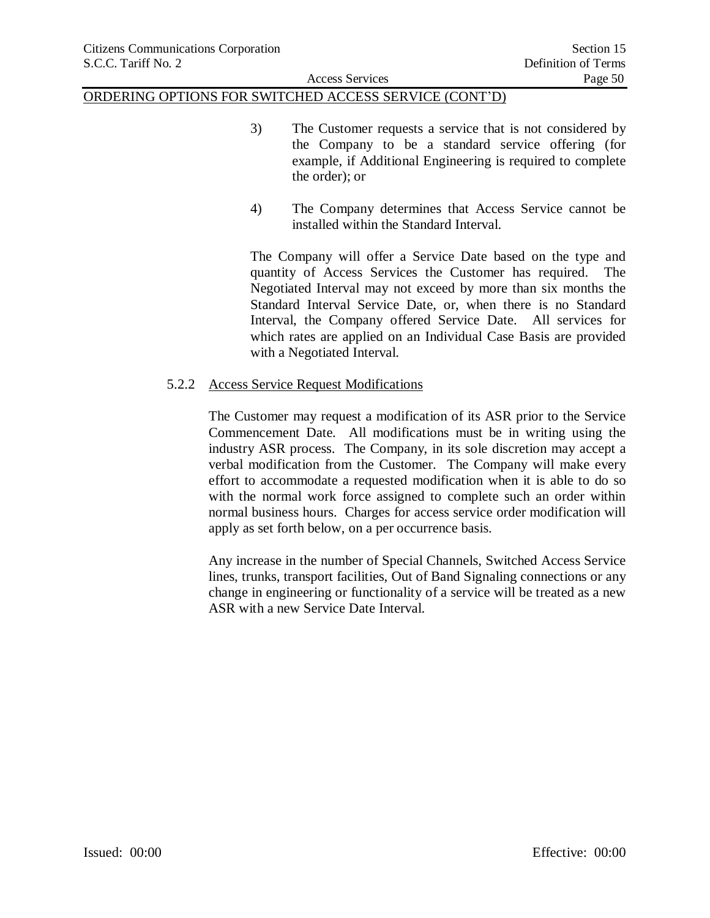- 3) The Customer requests a service that is not considered by the Company to be a standard service offering (for example, if Additional Engineering is required to complete the order); or
- 4) The Company determines that Access Service cannot be installed within the Standard Interval.

The Company will offer a Service Date based on the type and quantity of Access Services the Customer has required. The Negotiated Interval may not exceed by more than six months the Standard Interval Service Date, or, when there is no Standard Interval, the Company offered Service Date. All services for which rates are applied on an Individual Case Basis are provided with a Negotiated Interval.

### 5.2.2 Access Service Request Modifications

The Customer may request a modification of its ASR prior to the Service Commencement Date. All modifications must be in writing using the industry ASR process. The Company, in its sole discretion may accept a verbal modification from the Customer. The Company will make every effort to accommodate a requested modification when it is able to do so with the normal work force assigned to complete such an order within normal business hours. Charges for access service order modification will apply as set forth below, on a per occurrence basis.

Any increase in the number of Special Channels, Switched Access Service lines, trunks, transport facilities, Out of Band Signaling connections or any change in engineering or functionality of a service will be treated as a new ASR with a new Service Date Interval.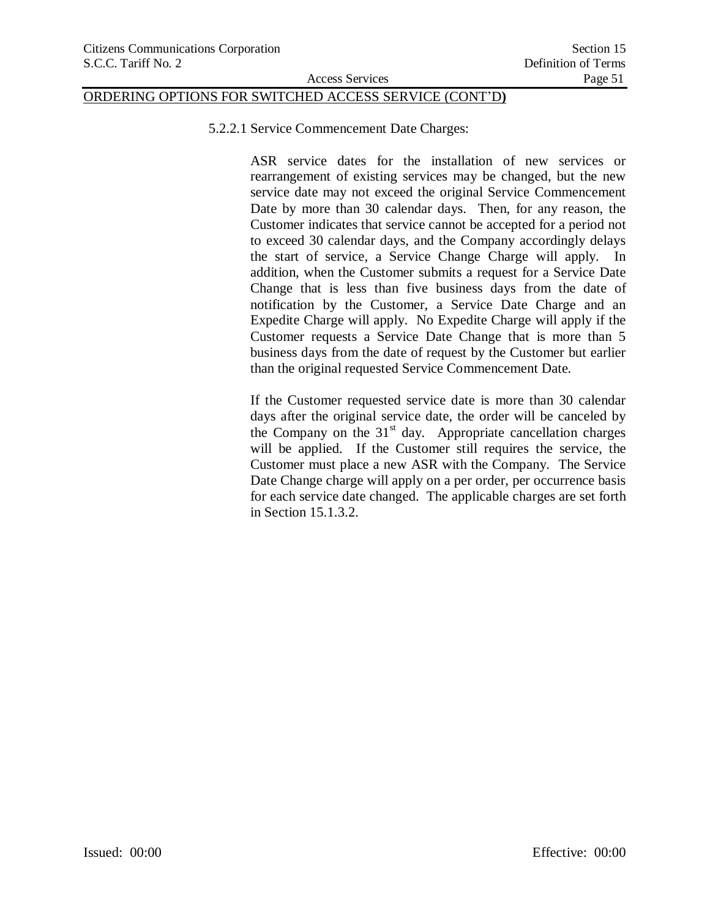5.2.2.1 Service Commencement Date Charges:

ASR service dates for the installation of new services or rearrangement of existing services may be changed, but the new service date may not exceed the original Service Commencement Date by more than 30 calendar days. Then, for any reason, the Customer indicates that service cannot be accepted for a period not to exceed 30 calendar days, and the Company accordingly delays the start of service, a Service Change Charge will apply. In addition, when the Customer submits a request for a Service Date Change that is less than five business days from the date of notification by the Customer, a Service Date Charge and an Expedite Charge will apply. No Expedite Charge will apply if the Customer requests a Service Date Change that is more than 5 business days from the date of request by the Customer but earlier than the original requested Service Commencement Date.

If the Customer requested service date is more than 30 calendar days after the original service date, the order will be canceled by the Company on the  $31<sup>st</sup>$  day. Appropriate cancellation charges will be applied. If the Customer still requires the service, the Customer must place a new ASR with the Company. The Service Date Change charge will apply on a per order, per occurrence basis for each service date changed. The applicable charges are set forth in Section 15.1.3.2.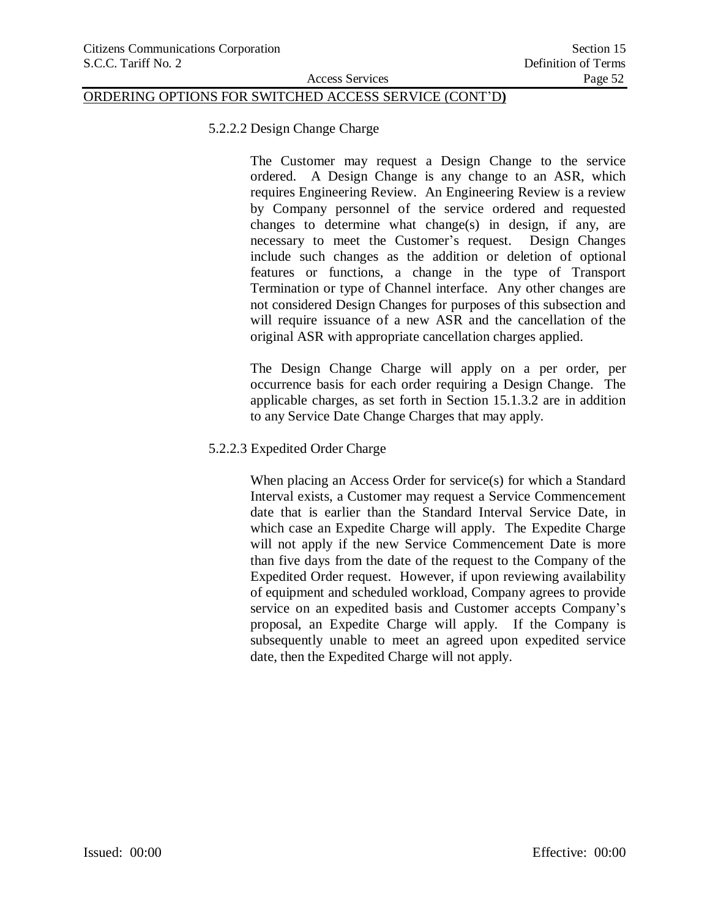5.2.2.2 Design Change Charge

The Customer may request a Design Change to the service ordered. A Design Change is any change to an ASR, which requires Engineering Review. An Engineering Review is a review by Company personnel of the service ordered and requested changes to determine what change(s) in design, if any, are necessary to meet the Customer's request. Design Changes include such changes as the addition or deletion of optional features or functions, a change in the type of Transport Termination or type of Channel interface. Any other changes are not considered Design Changes for purposes of this subsection and will require issuance of a new ASR and the cancellation of the original ASR with appropriate cancellation charges applied.

The Design Change Charge will apply on a per order, per occurrence basis for each order requiring a Design Change. The applicable charges, as set forth in Section 15.1.3.2 are in addition to any Service Date Change Charges that may apply.

#### 5.2.2.3 Expedited Order Charge

When placing an Access Order for service(s) for which a Standard Interval exists, a Customer may request a Service Commencement date that is earlier than the Standard Interval Service Date, in which case an Expedite Charge will apply. The Expedite Charge will not apply if the new Service Commencement Date is more than five days from the date of the request to the Company of the Expedited Order request. However, if upon reviewing availability of equipment and scheduled workload, Company agrees to provide service on an expedited basis and Customer accepts Company's proposal, an Expedite Charge will apply. If the Company is subsequently unable to meet an agreed upon expedited service date, then the Expedited Charge will not apply.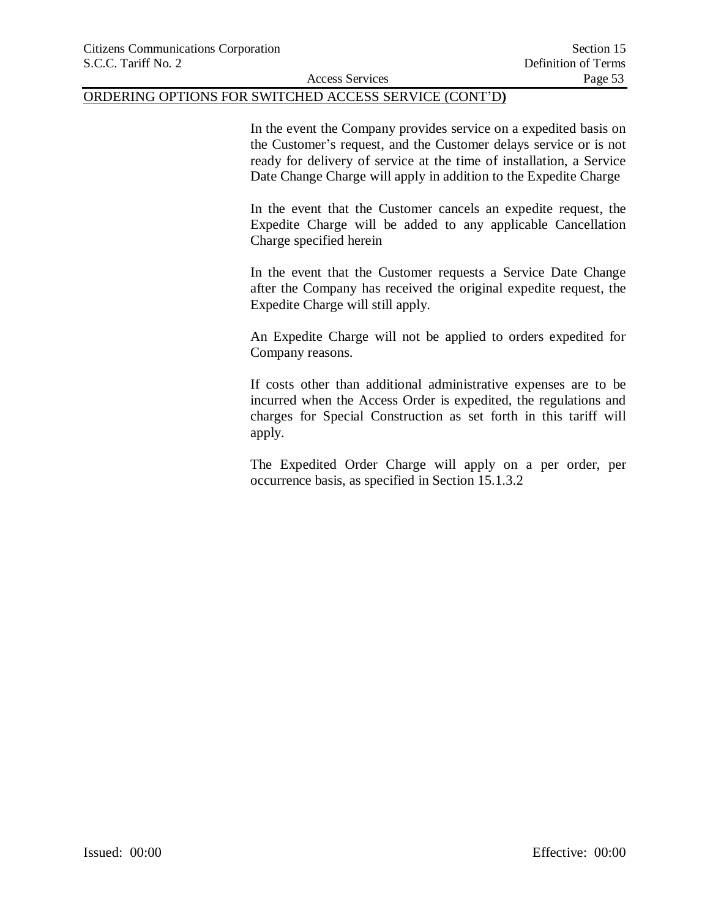In the event the Company provides service on a expedited basis on the Customer's request, and the Customer delays service or is not ready for delivery of service at the time of installation, a Service Date Change Charge will apply in addition to the Expedite Charge

In the event that the Customer cancels an expedite request, the Expedite Charge will be added to any applicable Cancellation Charge specified herein

In the event that the Customer requests a Service Date Change after the Company has received the original expedite request, the Expedite Charge will still apply.

An Expedite Charge will not be applied to orders expedited for Company reasons.

If costs other than additional administrative expenses are to be incurred when the Access Order is expedited, the regulations and charges for Special Construction as set forth in this tariff will apply.

The Expedited Order Charge will apply on a per order, per occurrence basis, as specified in Section 15.1.3.2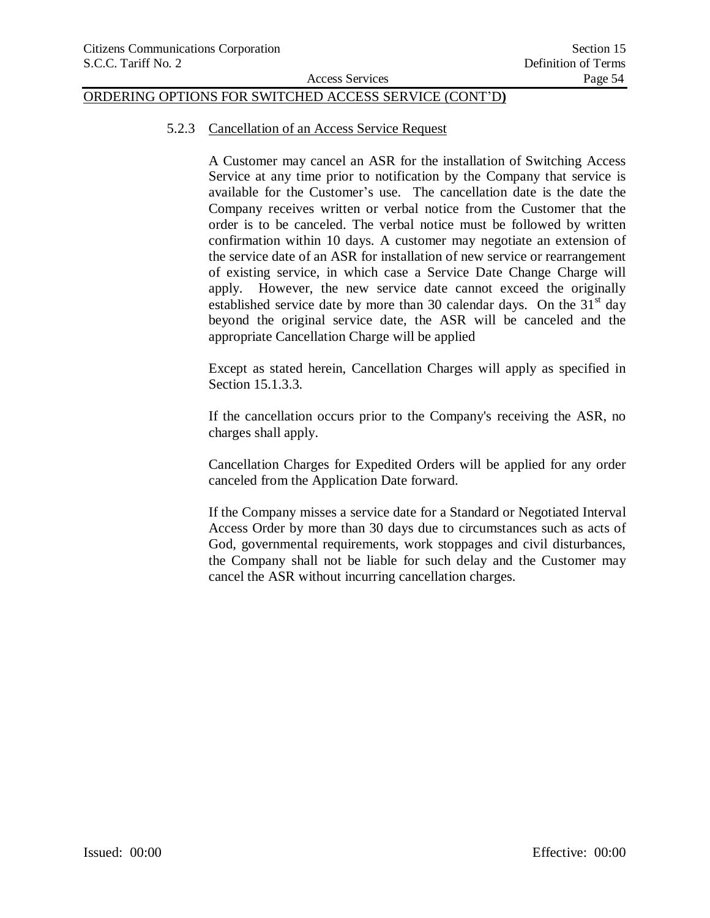#### 5.2.3 Cancellation of an Access Service Request

A Customer may cancel an ASR for the installation of Switching Access Service at any time prior to notification by the Company that service is available for the Customer's use. The cancellation date is the date the Company receives written or verbal notice from the Customer that the order is to be canceled. The verbal notice must be followed by written confirmation within 10 days. A customer may negotiate an extension of the service date of an ASR for installation of new service or rearrangement of existing service, in which case a Service Date Change Charge will apply. However, the new service date cannot exceed the originally established service date by more than 30 calendar days. On the  $31<sup>st</sup>$  day beyond the original service date, the ASR will be canceled and the appropriate Cancellation Charge will be applied

Except as stated herein, Cancellation Charges will apply as specified in Section 15.1.3.3.

If the cancellation occurs prior to the Company's receiving the ASR, no charges shall apply.

Cancellation Charges for Expedited Orders will be applied for any order canceled from the Application Date forward.

If the Company misses a service date for a Standard or Negotiated Interval Access Order by more than 30 days due to circumstances such as acts of God, governmental requirements, work stoppages and civil disturbances, the Company shall not be liable for such delay and the Customer may cancel the ASR without incurring cancellation charges.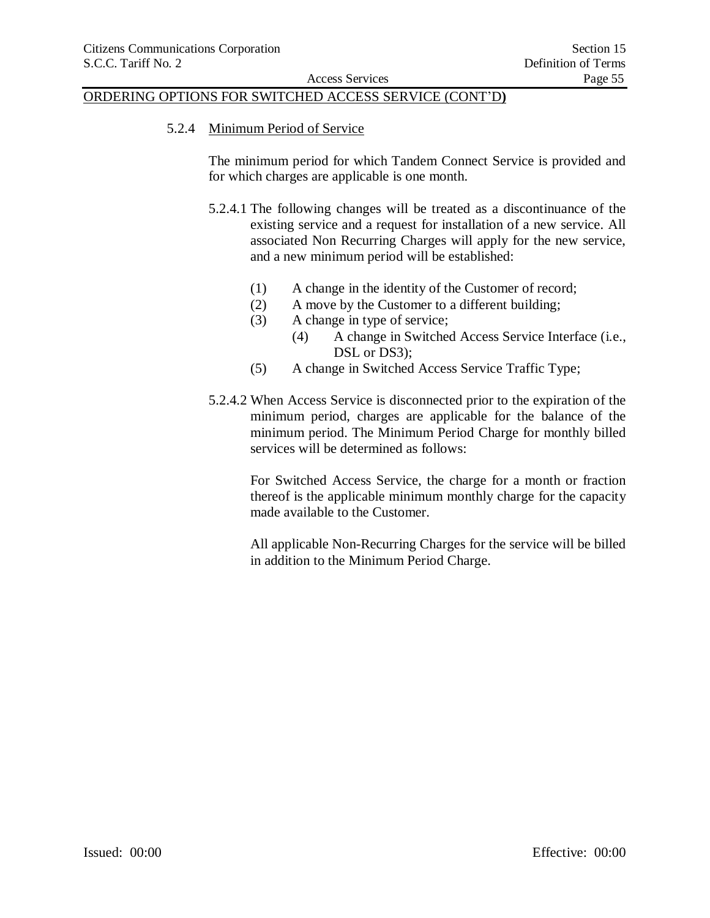#### 5.2.4 Minimum Period of Service

The minimum period for which Tandem Connect Service is provided and for which charges are applicable is one month.

- 5.2.4.1 The following changes will be treated as a discontinuance of the existing service and a request for installation of a new service. All associated Non Recurring Charges will apply for the new service, and a new minimum period will be established:
	- (1) A change in the identity of the Customer of record;
	- (2) A move by the Customer to a different building;
	- (3) A change in type of service;
		- (4) A change in Switched Access Service Interface (i.e., DSL or DS3);
	- (5) A change in Switched Access Service Traffic Type;
- 5.2.4.2 When Access Service is disconnected prior to the expiration of the minimum period, charges are applicable for the balance of the minimum period. The Minimum Period Charge for monthly billed services will be determined as follows:

For Switched Access Service, the charge for a month or fraction thereof is the applicable minimum monthly charge for the capacity made available to the Customer.

All applicable Non-Recurring Charges for the service will be billed in addition to the Minimum Period Charge.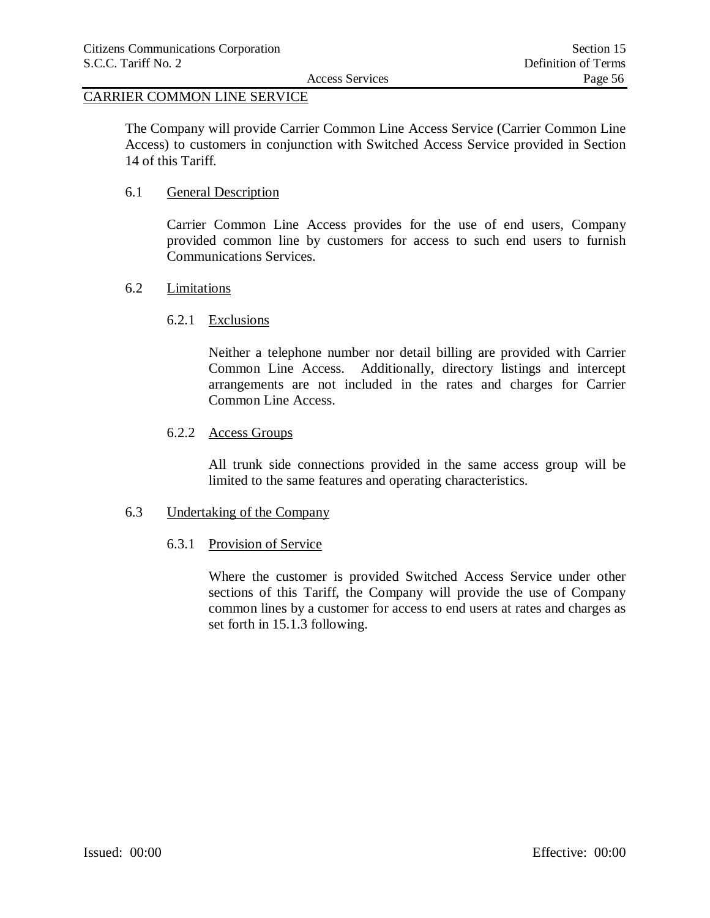## CARRIER COMMON LINE SERVICE

The Company will provide Carrier Common Line Access Service (Carrier Common Line Access) to customers in conjunction with Switched Access Service provided in Section 14 of this Tariff.

#### 6.1 General Description

Carrier Common Line Access provides for the use of end users, Company provided common line by customers for access to such end users to furnish Communications Services.

#### 6.2 Limitations

#### 6.2.1 Exclusions

Neither a telephone number nor detail billing are provided with Carrier Common Line Access. Additionally, directory listings and intercept arrangements are not included in the rates and charges for Carrier Common Line Access.

#### 6.2.2 Access Groups

All trunk side connections provided in the same access group will be limited to the same features and operating characteristics.

### 6.3 Undertaking of the Company

#### 6.3.1 Provision of Service

Where the customer is provided Switched Access Service under other sections of this Tariff, the Company will provide the use of Company common lines by a customer for access to end users at rates and charges as set forth in 15.1.3 following.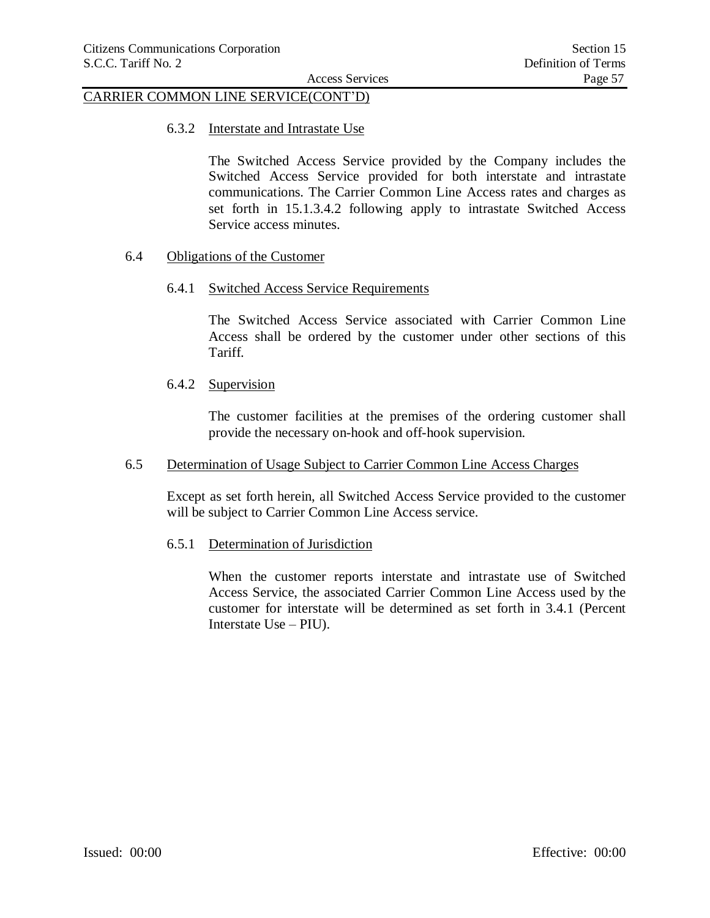# CARRIER COMMON LINE SERVICE(CONT'D)

6.3.2 Interstate and Intrastate Use

The Switched Access Service provided by the Company includes the Switched Access Service provided for both interstate and intrastate communications. The Carrier Common Line Access rates and charges as set forth in 15.1.3.4.2 following apply to intrastate Switched Access Service access minutes.

#### 6.4 Obligations of the Customer

#### 6.4.1 Switched Access Service Requirements

The Switched Access Service associated with Carrier Common Line Access shall be ordered by the customer under other sections of this Tariff.

#### 6.4.2 Supervision

The customer facilities at the premises of the ordering customer shall provide the necessary on-hook and off-hook supervision.

#### 6.5 Determination of Usage Subject to Carrier Common Line Access Charges

Except as set forth herein, all Switched Access Service provided to the customer will be subject to Carrier Common Line Access service.

#### 6.5.1 Determination of Jurisdiction

When the customer reports interstate and intrastate use of Switched Access Service, the associated Carrier Common Line Access used by the customer for interstate will be determined as set forth in 3.4.1 (Percent Interstate Use – PIU).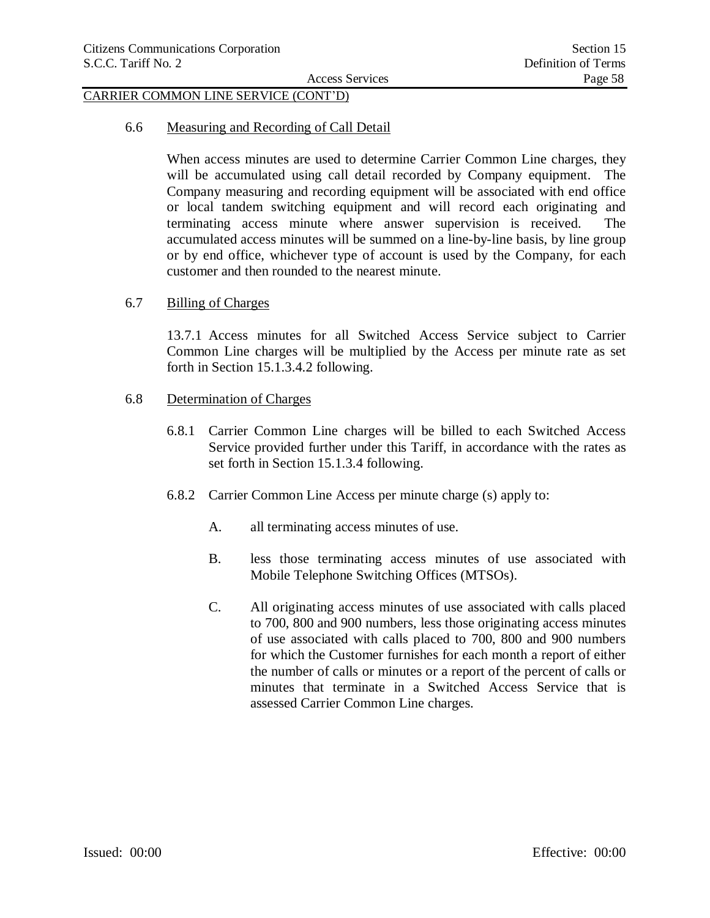### CARRIER COMMON LINE SERVICE (CONT'D)

#### 6.6 Measuring and Recording of Call Detail

When access minutes are used to determine Carrier Common Line charges, they will be accumulated using call detail recorded by Company equipment. The Company measuring and recording equipment will be associated with end office or local tandem switching equipment and will record each originating and terminating access minute where answer supervision is received. The accumulated access minutes will be summed on a line-by-line basis, by line group or by end office, whichever type of account is used by the Company, for each customer and then rounded to the nearest minute.

#### 6.7 Billing of Charges

13.7.1 Access minutes for all Switched Access Service subject to Carrier Common Line charges will be multiplied by the Access per minute rate as set forth in Section 15.1.3.4.2 following.

#### 6.8 Determination of Charges

- 6.8.1 Carrier Common Line charges will be billed to each Switched Access Service provided further under this Tariff, in accordance with the rates as set forth in Section 15.1.3.4 following.
- 6.8.2 Carrier Common Line Access per minute charge (s) apply to:
	- A. all terminating access minutes of use.
	- B. less those terminating access minutes of use associated with Mobile Telephone Switching Offices (MTSOs).
	- C. All originating access minutes of use associated with calls placed to 700, 800 and 900 numbers, less those originating access minutes of use associated with calls placed to 700, 800 and 900 numbers for which the Customer furnishes for each month a report of either the number of calls or minutes or a report of the percent of calls or minutes that terminate in a Switched Access Service that is assessed Carrier Common Line charges.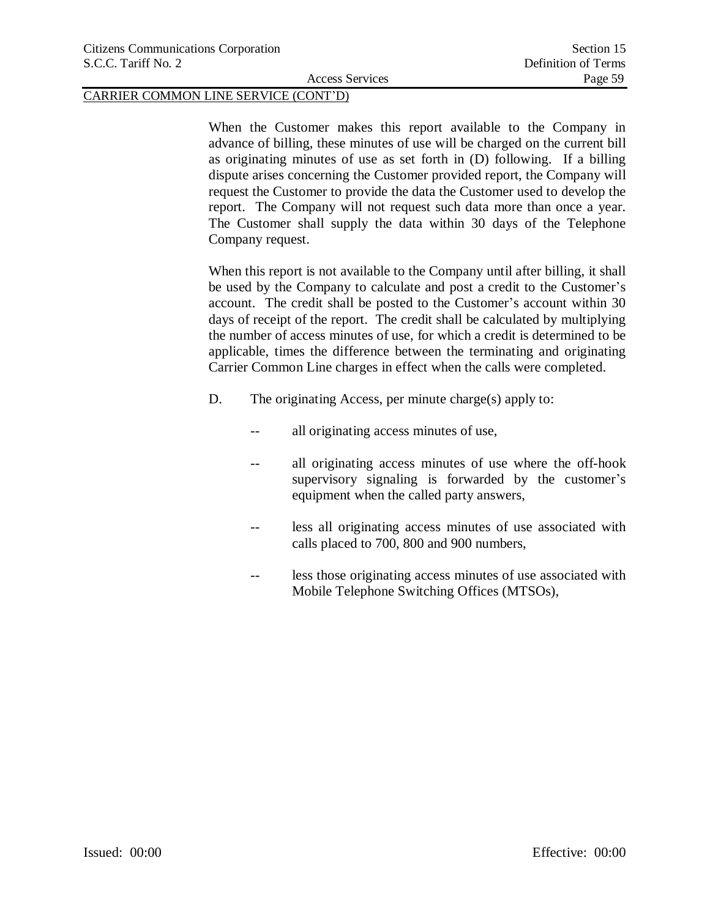#### CARRIER COMMON LINE SERVICE (CONT'D)

When the Customer makes this report available to the Company in advance of billing, these minutes of use will be charged on the current bill as originating minutes of use as set forth in (D) following. If a billing dispute arises concerning the Customer provided report, the Company will request the Customer to provide the data the Customer used to develop the report. The Company will not request such data more than once a year. The Customer shall supply the data within 30 days of the Telephone Company request.

When this report is not available to the Company until after billing, it shall be used by the Company to calculate and post a credit to the Customer's account. The credit shall be posted to the Customer's account within 30 days of receipt of the report. The credit shall be calculated by multiplying the number of access minutes of use, for which a credit is determined to be applicable, times the difference between the terminating and originating Carrier Common Line charges in effect when the calls were completed.

- D. The originating Access, per minute charge(s) apply to:
	- -- all originating access minutes of use,
	- -- all originating access minutes of use where the off-hook supervisory signaling is forwarded by the customer's equipment when the called party answers,
	- -- less all originating access minutes of use associated with calls placed to 700, 800 and 900 numbers,
	- -- less those originating access minutes of use associated with Mobile Telephone Switching Offices (MTSOs),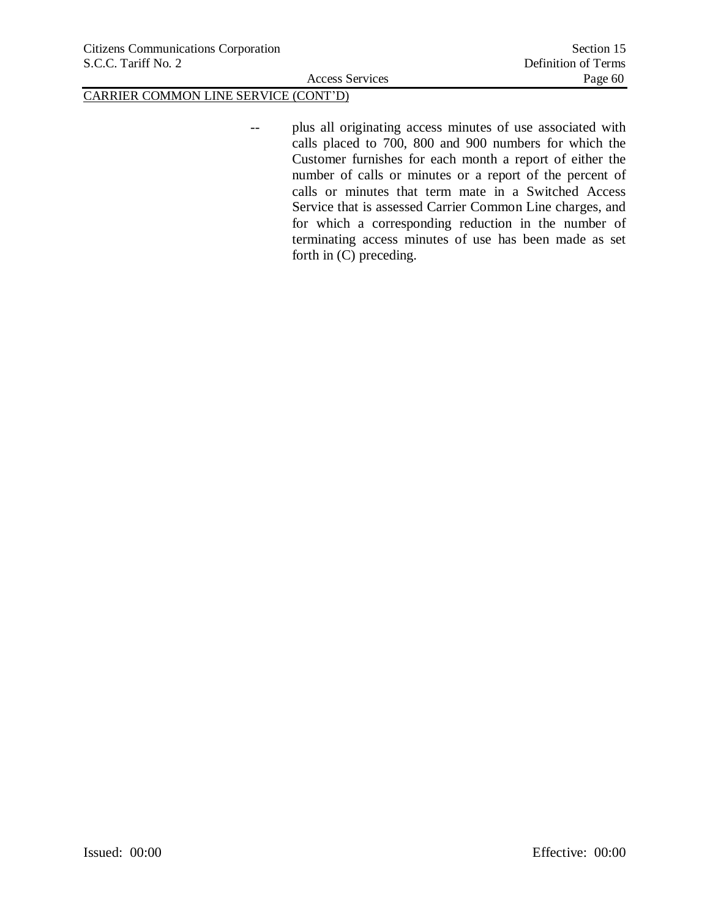# CARRIER COMMON LINE SERVICE (CONT'D)

-- plus all originating access minutes of use associated with calls placed to 700, 800 and 900 numbers for which the Customer furnishes for each month a report of either the number of calls or minutes or a report of the percent of calls or minutes that term mate in a Switched Access Service that is assessed Carrier Common Line charges, and for which a corresponding reduction in the number of terminating access minutes of use has been made as set forth in (C) preceding.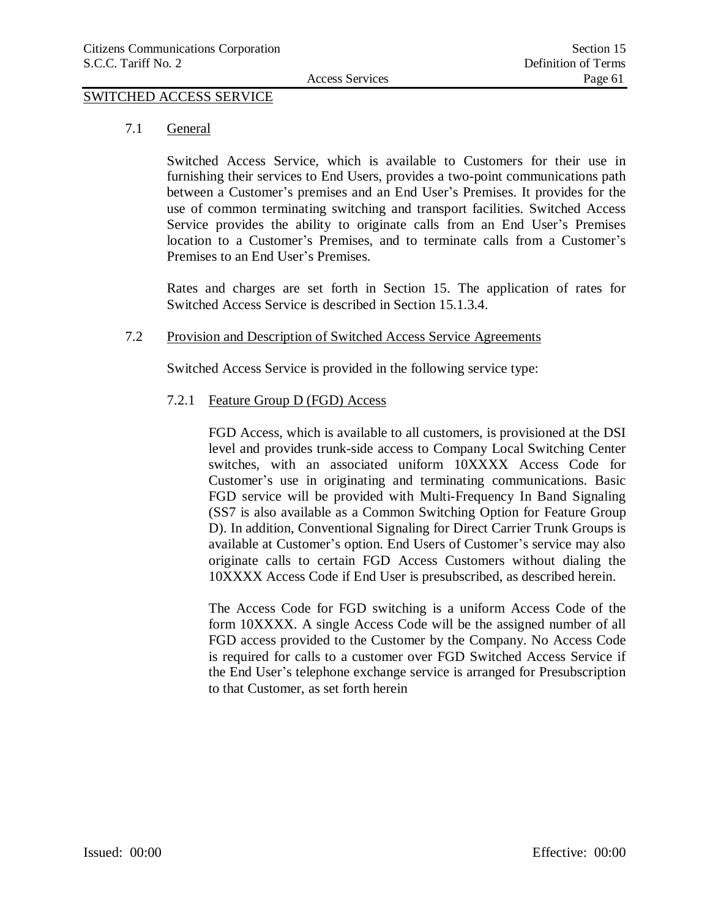# SWITCHED ACCESS SERVICE

7.1 General

Switched Access Service, which is available to Customers for their use in furnishing their services to End Users, provides a two-point communications path between a Customer's premises and an End User's Premises. It provides for the use of common terminating switching and transport facilities. Switched Access Service provides the ability to originate calls from an End User's Premises location to a Customer's Premises, and to terminate calls from a Customer's Premises to an End User's Premises.

Rates and charges are set forth in Section 15. The application of rates for Switched Access Service is described in Section 15.1.3.4.

#### 7.2 Provision and Description of Switched Access Service Agreements

Switched Access Service is provided in the following service type:

### 7.2.1 Feature Group D (FGD) Access

FGD Access, which is available to all customers, is provisioned at the DSI level and provides trunk-side access to Company Local Switching Center switches, with an associated uniform 10XXXX Access Code for Customer's use in originating and terminating communications. Basic FGD service will be provided with Multi-Frequency In Band Signaling (SS7 is also available as a Common Switching Option for Feature Group D). In addition, Conventional Signaling for Direct Carrier Trunk Groups is available at Customer's option. End Users of Customer's service may also originate calls to certain FGD Access Customers without dialing the 10XXXX Access Code if End User is presubscribed, as described herein.

The Access Code for FGD switching is a uniform Access Code of the form 10XXXX. A single Access Code will be the assigned number of all FGD access provided to the Customer by the Company. No Access Code is required for calls to a customer over FGD Switched Access Service if the End User's telephone exchange service is arranged for Presubscription to that Customer, as set forth herein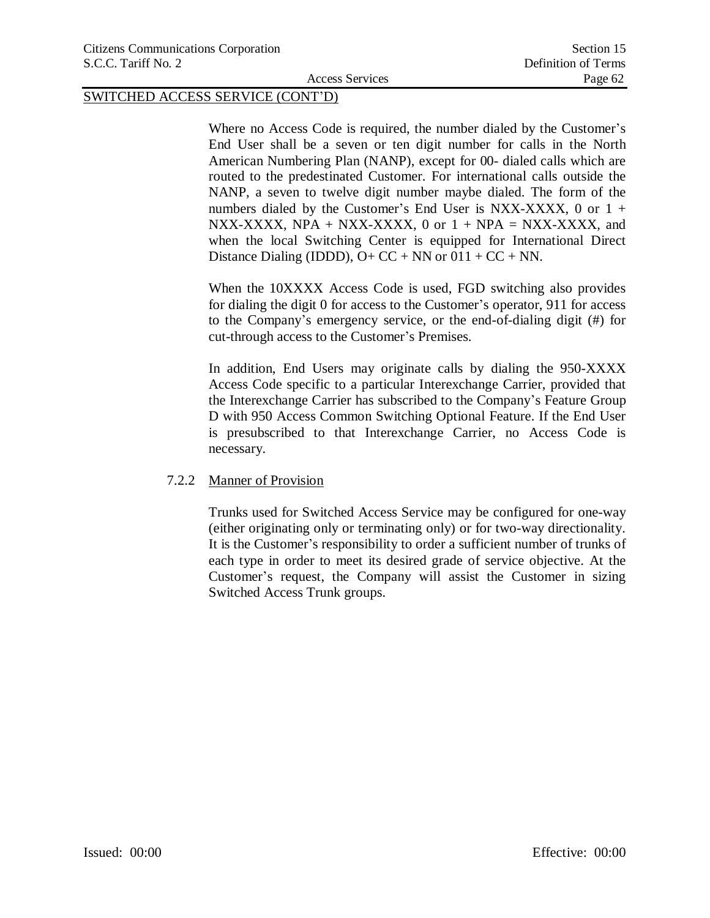Where no Access Code is required, the number dialed by the Customer's End User shall be a seven or ten digit number for calls in the North American Numbering Plan (NANP), except for 00- dialed calls which are routed to the predestinated Customer. For international calls outside the NANP, a seven to twelve digit number maybe dialed. The form of the numbers dialed by the Customer's End User is NXX-XXXX, 0 or  $1 +$ NXX-XXXX, NPA + NXX-XXXX, 0 or  $1 + NPA = NXX-XXXX$ , and when the local Switching Center is equipped for International Direct Distance Dialing (IDDD),  $O+CC + NN$  or  $011 + CC + NN$ .

When the 10XXXX Access Code is used, FGD switching also provides for dialing the digit 0 for access to the Customer's operator, 911 for access to the Company's emergency service, or the end-of-dialing digit (#) for cut-through access to the Customer's Premises.

In addition, End Users may originate calls by dialing the 950-XXXX Access Code specific to a particular Interexchange Carrier, provided that the Interexchange Carrier has subscribed to the Company's Feature Group D with 950 Access Common Switching Optional Feature. If the End User is presubscribed to that Interexchange Carrier, no Access Code is necessary.

#### 7.2.2 Manner of Provision

Trunks used for Switched Access Service may be configured for one-way (either originating only or terminating only) or for two-way directionality. It is the Customer's responsibility to order a sufficient number of trunks of each type in order to meet its desired grade of service objective. At the Customer's request, the Company will assist the Customer in sizing Switched Access Trunk groups.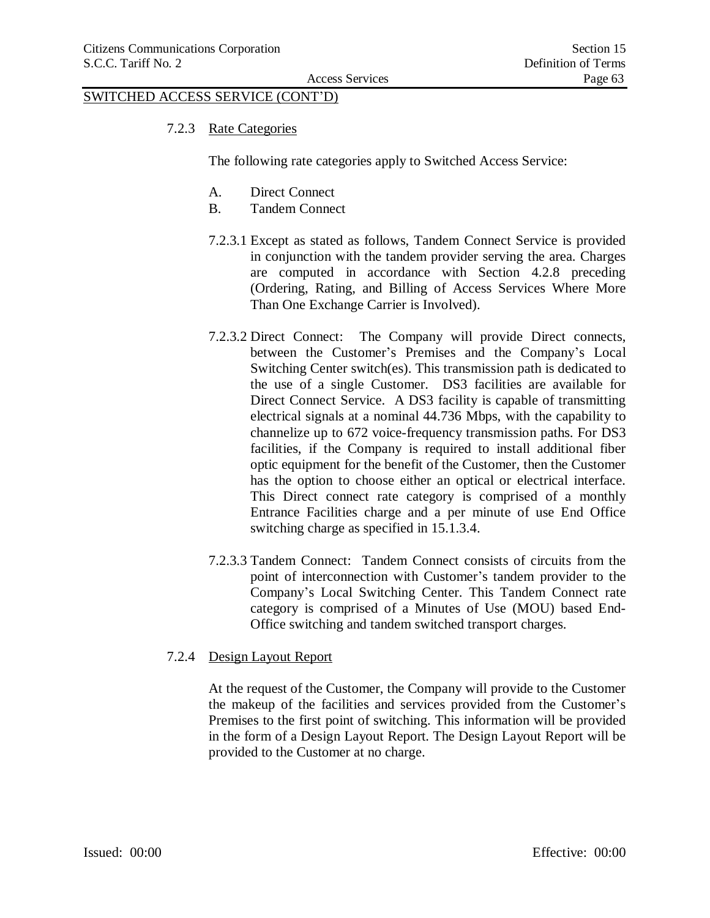7.2.3 Rate Categories

The following rate categories apply to Switched Access Service:

- A. Direct Connect
- B. Tandem Connect
- 7.2.3.1 Except as stated as follows, Tandem Connect Service is provided in conjunction with the tandem provider serving the area. Charges are computed in accordance with Section 4.2.8 preceding (Ordering, Rating, and Billing of Access Services Where More Than One Exchange Carrier is Involved).
- 7.2.3.2 Direct Connect: The Company will provide Direct connects, between the Customer's Premises and the Company's Local Switching Center switch(es). This transmission path is dedicated to the use of a single Customer. DS3 facilities are available for Direct Connect Service. A DS3 facility is capable of transmitting electrical signals at a nominal 44.736 Mbps, with the capability to channelize up to 672 voice-frequency transmission paths. For DS3 facilities, if the Company is required to install additional fiber optic equipment for the benefit of the Customer, then the Customer has the option to choose either an optical or electrical interface. This Direct connect rate category is comprised of a monthly Entrance Facilities charge and a per minute of use End Office switching charge as specified in 15.1.3.4.
- 7.2.3.3 Tandem Connect: Tandem Connect consists of circuits from the point of interconnection with Customer's tandem provider to the Company's Local Switching Center. This Tandem Connect rate category is comprised of a Minutes of Use (MOU) based End-Office switching and tandem switched transport charges.
- 7.2.4 Design Layout Report

At the request of the Customer, the Company will provide to the Customer the makeup of the facilities and services provided from the Customer's Premises to the first point of switching. This information will be provided in the form of a Design Layout Report. The Design Layout Report will be provided to the Customer at no charge.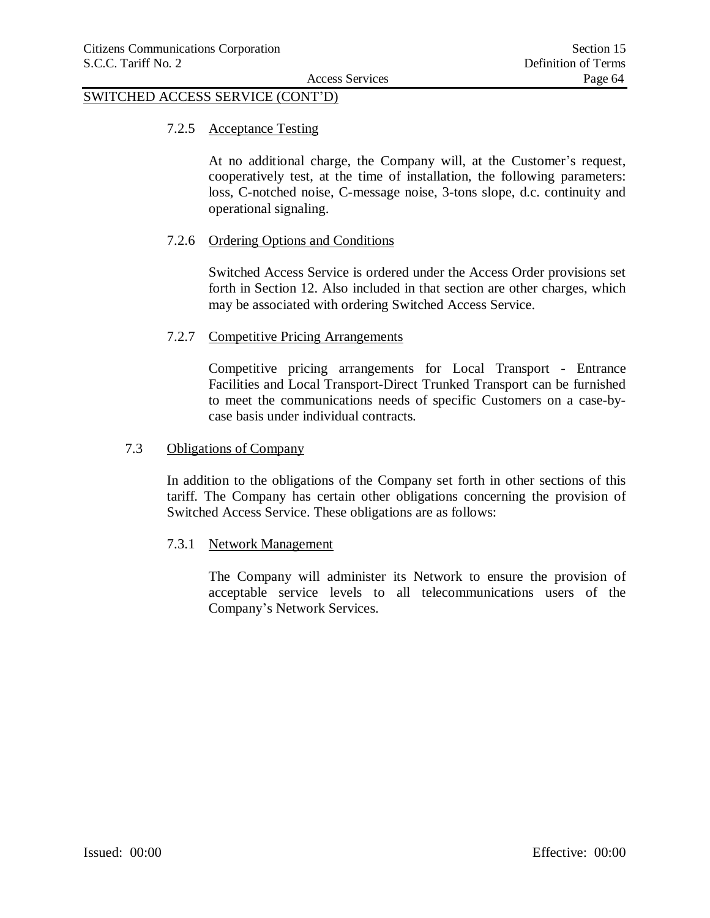### 7.2.5 Acceptance Testing

At no additional charge, the Company will, at the Customer's request, cooperatively test, at the time of installation, the following parameters: loss, C-notched noise, C-message noise, 3-tons slope, d.c. continuity and operational signaling.

### 7.2.6 Ordering Options and Conditions

Switched Access Service is ordered under the Access Order provisions set forth in Section 12. Also included in that section are other charges, which may be associated with ordering Switched Access Service.

#### 7.2.7 Competitive Pricing Arrangements

Competitive pricing arrangements for Local Transport - Entrance Facilities and Local Transport-Direct Trunked Transport can be furnished to meet the communications needs of specific Customers on a case-bycase basis under individual contracts.

### 7.3 Obligations of Company

In addition to the obligations of the Company set forth in other sections of this tariff. The Company has certain other obligations concerning the provision of Switched Access Service. These obligations are as follows:

#### 7.3.1 Network Management

The Company will administer its Network to ensure the provision of acceptable service levels to all telecommunications users of the Company's Network Services.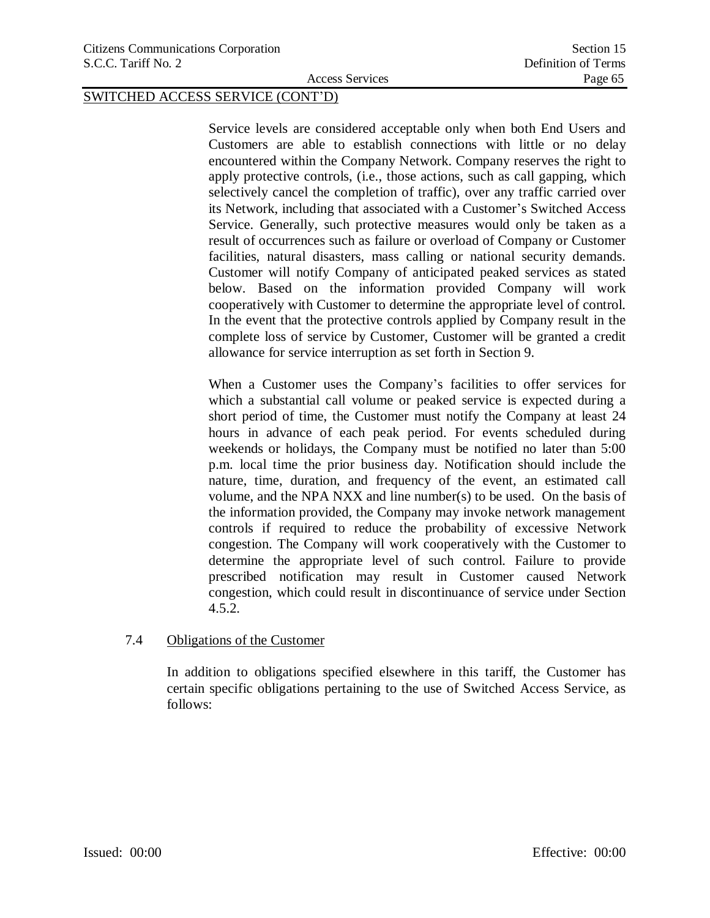Service levels are considered acceptable only when both End Users and Customers are able to establish connections with little or no delay encountered within the Company Network. Company reserves the right to apply protective controls, (i.e., those actions, such as call gapping, which selectively cancel the completion of traffic), over any traffic carried over its Network, including that associated with a Customer's Switched Access Service. Generally, such protective measures would only be taken as a result of occurrences such as failure or overload of Company or Customer facilities, natural disasters, mass calling or national security demands. Customer will notify Company of anticipated peaked services as stated below. Based on the information provided Company will work cooperatively with Customer to determine the appropriate level of control. In the event that the protective controls applied by Company result in the complete loss of service by Customer, Customer will be granted a credit allowance for service interruption as set forth in Section 9.

When a Customer uses the Company's facilities to offer services for which a substantial call volume or peaked service is expected during a short period of time, the Customer must notify the Company at least 24 hours in advance of each peak period. For events scheduled during weekends or holidays, the Company must be notified no later than 5:00 p.m. local time the prior business day. Notification should include the nature, time, duration, and frequency of the event, an estimated call volume, and the NPA NXX and line number(s) to be used. On the basis of the information provided, the Company may invoke network management controls if required to reduce the probability of excessive Network congestion. The Company will work cooperatively with the Customer to determine the appropriate level of such control. Failure to provide prescribed notification may result in Customer caused Network congestion, which could result in discontinuance of service under Section 4.5.2.

#### 7.4 Obligations of the Customer

In addition to obligations specified elsewhere in this tariff, the Customer has certain specific obligations pertaining to the use of Switched Access Service, as follows: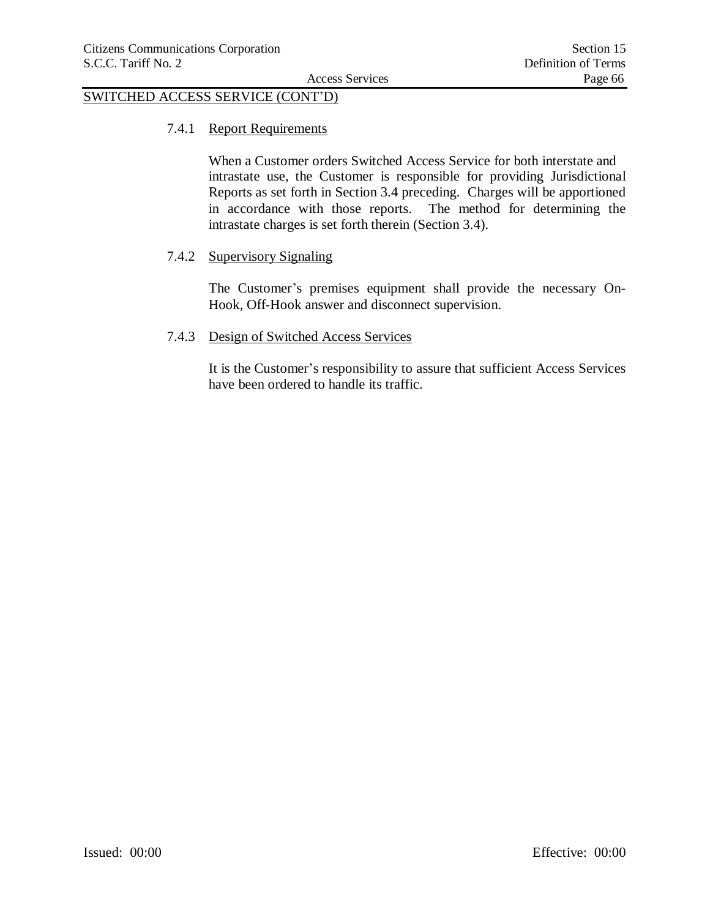#### 7.4.1 Report Requirements

When a Customer orders Switched Access Service for both interstate and intrastate use, the Customer is responsible for providing Jurisdictional Reports as set forth in Section 3.4 preceding. Charges will be apportioned in accordance with those reports. The method for determining the intrastate charges is set forth therein (Section 3.4).

### 7.4.2 Supervisory Signaling

The Customer's premises equipment shall provide the necessary On-Hook, Off-Hook answer and disconnect supervision.

### 7.4.3 Design of Switched Access Services

It is the Customer's responsibility to assure that sufficient Access Services have been ordered to handle its traffic.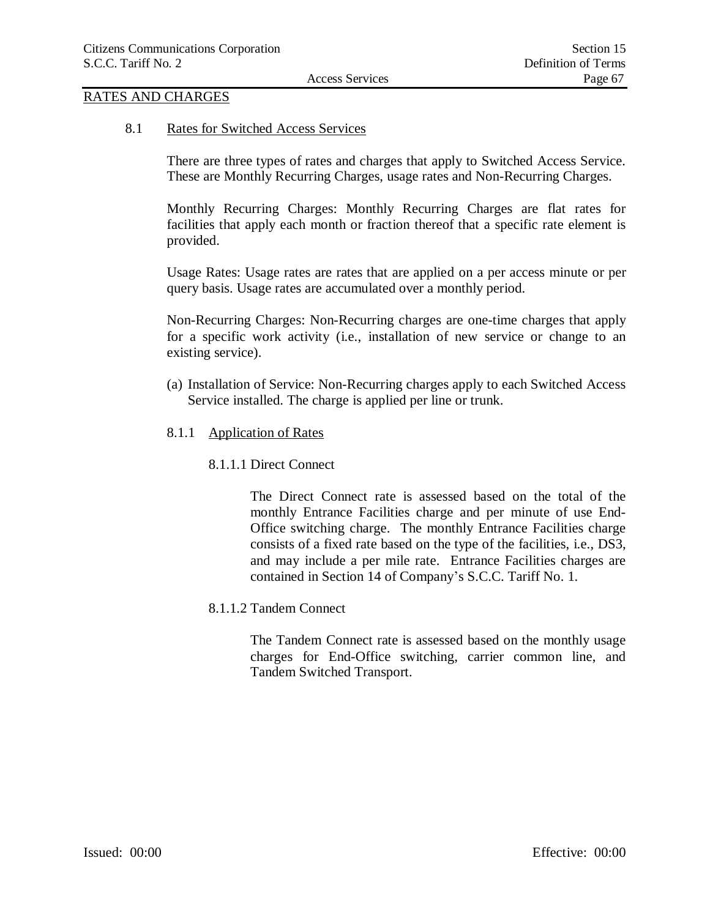## RATES AND CHARGES

8.1 Rates for Switched Access Services

There are three types of rates and charges that apply to Switched Access Service. These are Monthly Recurring Charges, usage rates and Non-Recurring Charges.

Monthly Recurring Charges: Monthly Recurring Charges are flat rates for facilities that apply each month or fraction thereof that a specific rate element is provided.

Usage Rates: Usage rates are rates that are applied on a per access minute or per query basis. Usage rates are accumulated over a monthly period.

Non-Recurring Charges: Non-Recurring charges are one-time charges that apply for a specific work activity (i.e., installation of new service or change to an existing service).

- (a) Installation of Service: Non-Recurring charges apply to each Switched Access Service installed. The charge is applied per line or trunk.
- 8.1.1 Application of Rates
	- 8.1.1.1 Direct Connect

The Direct Connect rate is assessed based on the total of the monthly Entrance Facilities charge and per minute of use End-Office switching charge. The monthly Entrance Facilities charge consists of a fixed rate based on the type of the facilities, i.e., DS3, and may include a per mile rate. Entrance Facilities charges are contained in Section 14 of Company's S.C.C. Tariff No. 1.

8.1.1.2 Tandem Connect

The Tandem Connect rate is assessed based on the monthly usage charges for End-Office switching, carrier common line, and Tandem Switched Transport.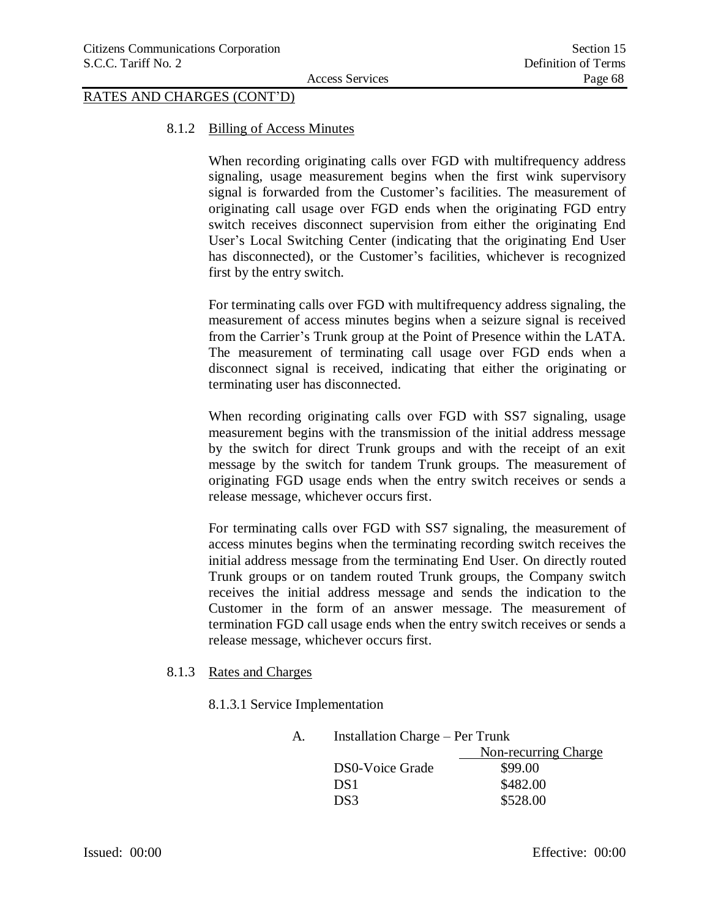# RATES AND CHARGES (CONT'D)

#### 8.1.2 Billing of Access Minutes

When recording originating calls over FGD with multifrequency address signaling, usage measurement begins when the first wink supervisory signal is forwarded from the Customer's facilities. The measurement of originating call usage over FGD ends when the originating FGD entry switch receives disconnect supervision from either the originating End User's Local Switching Center (indicating that the originating End User has disconnected), or the Customer's facilities, whichever is recognized first by the entry switch.

For terminating calls over FGD with multifrequency address signaling, the measurement of access minutes begins when a seizure signal is received from the Carrier's Trunk group at the Point of Presence within the LATA. The measurement of terminating call usage over FGD ends when a disconnect signal is received, indicating that either the originating or terminating user has disconnected.

When recording originating calls over FGD with SS7 signaling, usage measurement begins with the transmission of the initial address message by the switch for direct Trunk groups and with the receipt of an exit message by the switch for tandem Trunk groups. The measurement of originating FGD usage ends when the entry switch receives or sends a release message, whichever occurs first.

For terminating calls over FGD with SS7 signaling, the measurement of access minutes begins when the terminating recording switch receives the initial address message from the terminating End User. On directly routed Trunk groups or on tandem routed Trunk groups, the Company switch receives the initial address message and sends the indication to the Customer in the form of an answer message. The measurement of termination FGD call usage ends when the entry switch receives or sends a release message, whichever occurs first.

#### 8.1.3 Rates and Charges

8.1.3.1 Service Implementation

| А. | <b>Installation Charge – Per Trunk</b> |                      |  |
|----|----------------------------------------|----------------------|--|
|    |                                        | Non-recurring Charge |  |
|    | DS0-Voice Grade                        | \$99.00              |  |
|    | DS <sub>1</sub>                        | \$482.00             |  |
|    | DS3                                    | \$528.00             |  |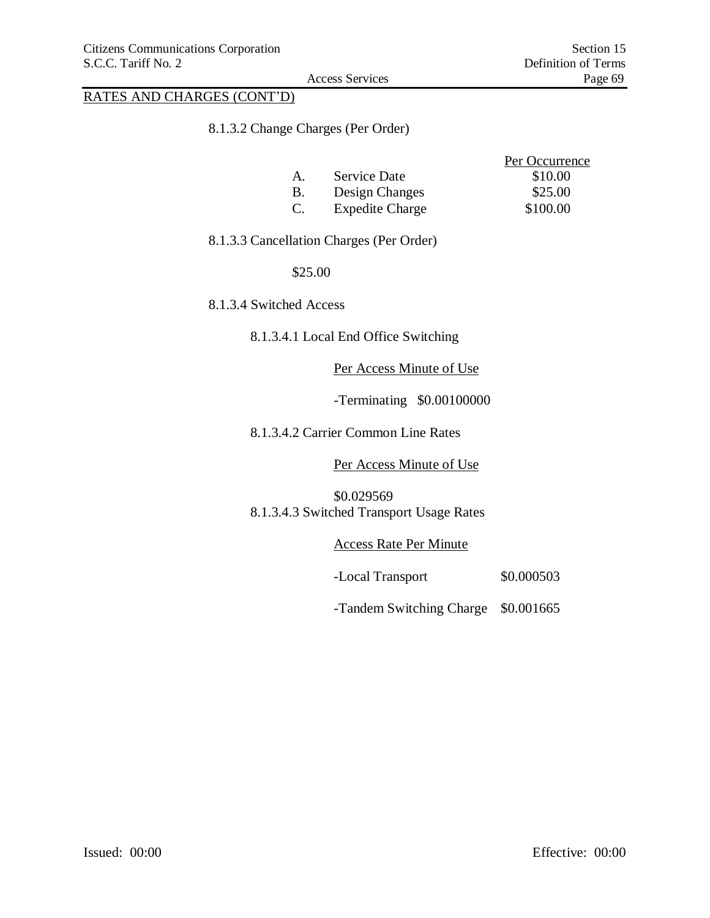# RATES AND CHARGES (CONT'D)

### 8.1.3.2 Change Charges (Per Order)

|    |                        | Per Occurrence |
|----|------------------------|----------------|
| A  | Service Date           | \$10.00        |
| В. | Design Changes         | \$25.00        |
| C. | <b>Expedite Charge</b> | \$100.00       |

# 8.1.3.3 Cancellation Charges (Per Order)

#### \$25.00

8.1.3.4 Switched Access

# 8.1.3.4.1 Local End Office Switching

#### Per Access Minute of Use

-Terminating \$0.00100000

8.1.3.4.2 Carrier Common Line Rates

#### Per Access Minute of Use

\$0.029569 8.1.3.4.3 Switched Transport Usage Rates

Access Rate Per Minute

-Local Transport \$0.000503

-Tandem Switching Charge \$0.001665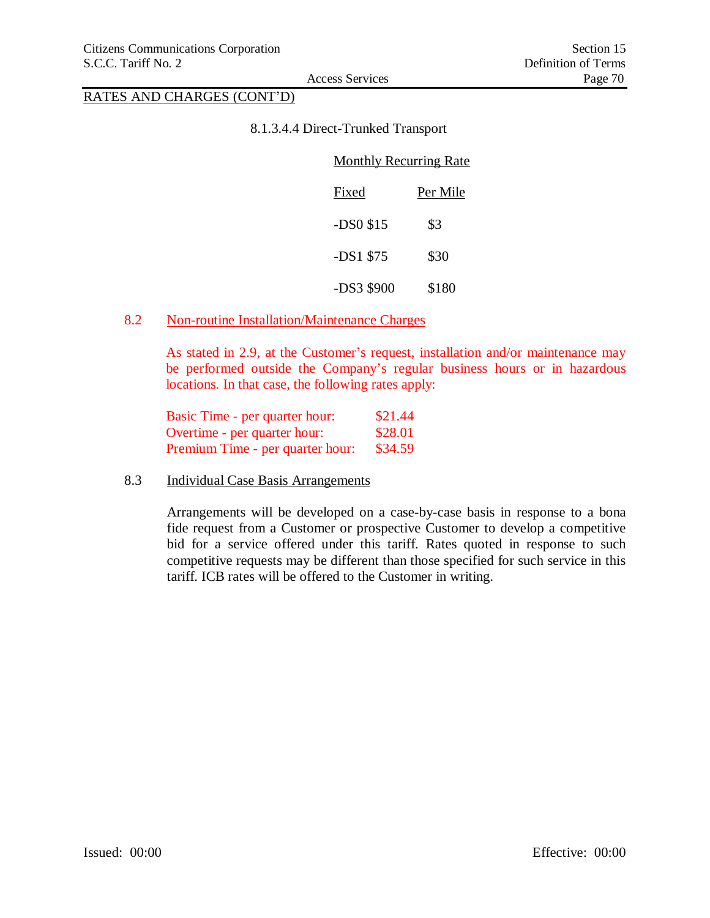# RATES AND CHARGES (CONT'D)

#### 8.1.3.4.4 Direct-Trunked Transport

| <b>Monthly Recurring Rate</b> |          |  |
|-------------------------------|----------|--|
| Fixed                         | Per Mile |  |
| $-DS0$ \$15                   | \$3      |  |
| $-DS1$ \$75                   | \$30     |  |
| -DS3 \$900                    | \$180    |  |

### 8.2 Non-routine Installation/Maintenance Charges

As stated in 2.9, at the Customer's request, installation and/or maintenance may be performed outside the Company's regular business hours or in hazardous locations. In that case, the following rates apply:

| Basic Time - per quarter hour:   | \$21.44 |
|----------------------------------|---------|
| Overtime - per quarter hour:     | \$28.01 |
| Premium Time - per quarter hour: | \$34.59 |

8.3 Individual Case Basis Arrangements

Arrangements will be developed on a case-by-case basis in response to a bona fide request from a Customer or prospective Customer to develop a competitive bid for a service offered under this tariff. Rates quoted in response to such competitive requests may be different than those specified for such service in this tariff. ICB rates will be offered to the Customer in writing.